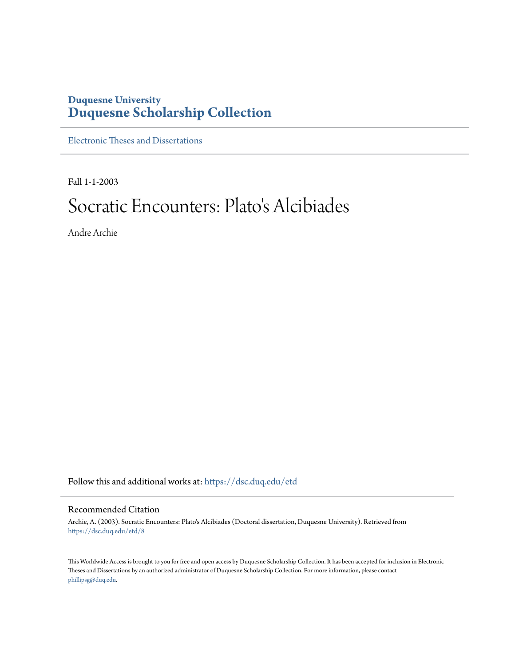# **Duquesne University [Duquesne Scholarship Collection](https://dsc.duq.edu?utm_source=dsc.duq.edu%2Fetd%2F8&utm_medium=PDF&utm_campaign=PDFCoverPages)**

[Electronic Theses and Dissertations](https://dsc.duq.edu/etd?utm_source=dsc.duq.edu%2Fetd%2F8&utm_medium=PDF&utm_campaign=PDFCoverPages)

Fall 1-1-2003

# Socratic Encounters: Plato 's Alcibiades

Andre Archie

Follow this and additional works at: [https://dsc.duq.edu/etd](https://dsc.duq.edu/etd?utm_source=dsc.duq.edu%2Fetd%2F8&utm_medium=PDF&utm_campaign=PDFCoverPages)

#### Recommended Citation

Archie, A. (2003). Socratic Encounters: Plato's Alcibiades (Doctoral dissertation, Duquesne University). Retrieved from [https://dsc.duq.edu/etd/8](https://dsc.duq.edu/etd/8?utm_source=dsc.duq.edu%2Fetd%2F8&utm_medium=PDF&utm_campaign=PDFCoverPages)

This Worldwide Access is brought to you for free and open access by Duquesne Scholarship Collection. It has been accepted for inclusion in Electronic Theses and Dissertations by an authorized administrator of Duquesne Scholarship Collection. For more information, please contact [phillipsg@duq.edu.](mailto:phillipsg@duq.edu)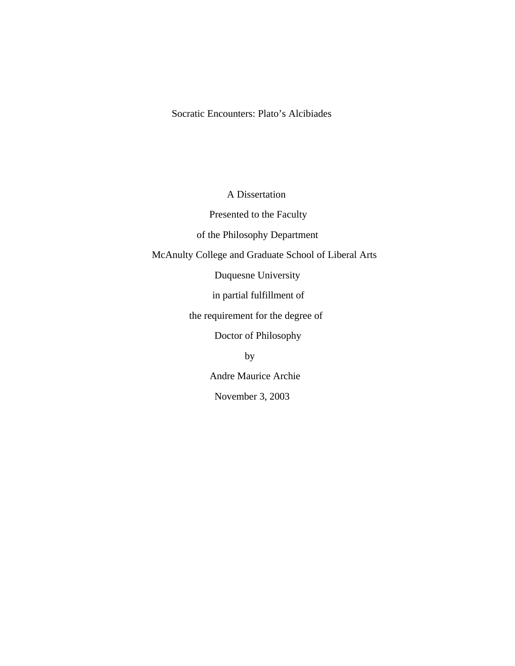Socratic Encounters: Plato's Alcibiades

A Dissertation

Presented to the Faculty

of the Philosophy Department

McAnulty College and Graduate School of Liberal Arts

Duquesne University

in partial fulfillment of

the requirement for the degree of

Doctor of Philosophy

by

Andre Maurice Archie

November 3, 2003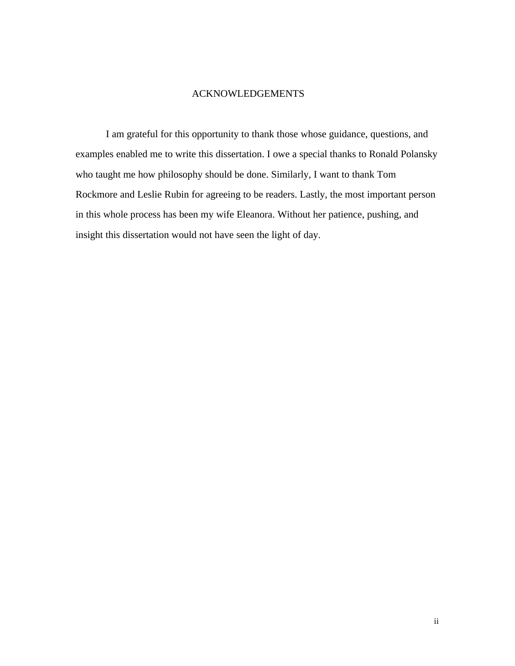#### ACKNOWLEDGEMENTS

I am grateful for this opportunity to thank those whose guidance, questions, and examples enabled me to write this dissertation. I owe a special thanks to Ronald Polansky who taught me how philosophy should be done. Similarly, I want to thank Tom Rockmore and Leslie Rubin for agreeing to be readers. Lastly, the most important person in this whole process has been my wife Eleanora. Without her patience, pushing, and insight this dissertation would not have seen the light of day.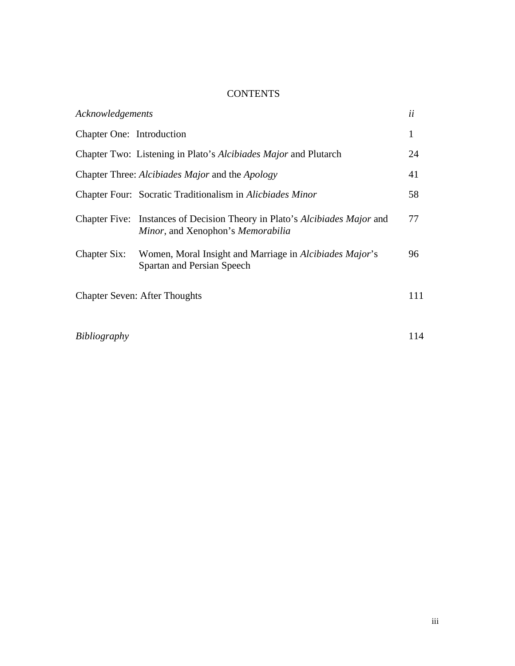### **CONTENTS**

| Acknowledgements          |                                                                                                                 | ii  |
|---------------------------|-----------------------------------------------------------------------------------------------------------------|-----|
| Chapter One: Introduction |                                                                                                                 | 1   |
|                           | Chapter Two: Listening in Plato's <i>Alcibiades Major</i> and Plutarch                                          | 24  |
|                           | Chapter Three: <i>Alcibiades Major</i> and the <i>Apology</i>                                                   | 41  |
|                           | Chapter Four: Socratic Traditionalism in Alichiades Minor                                                       | 58  |
|                           | Chapter Five: Instances of Decision Theory in Plato's Alcibiades Major and<br>Minor, and Xenophon's Memorabilia | 77  |
| <b>Chapter Six:</b>       | Women, Moral Insight and Marriage in Alcibiades Major's<br>Spartan and Persian Speech                           | 96  |
|                           | <b>Chapter Seven: After Thoughts</b>                                                                            | 111 |
| Bibliography              |                                                                                                                 | 114 |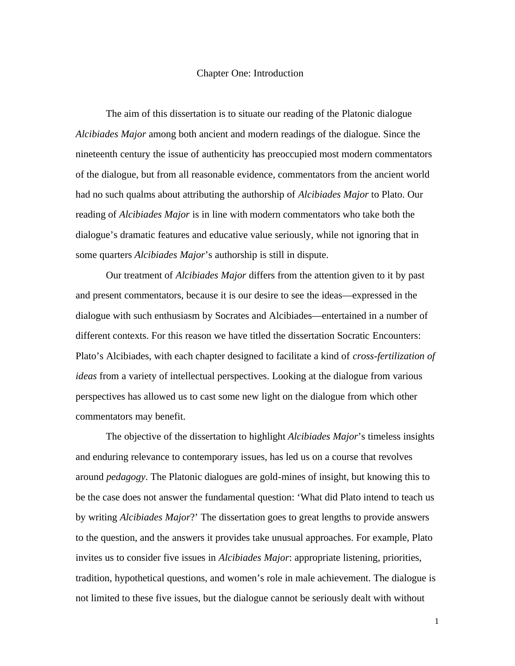#### Chapter One: Introduction

The aim of this dissertation is to situate our reading of the Platonic dialogue *Alcibiades Major* among both ancient and modern readings of the dialogue. Since the nineteenth century the issue of authenticity has preoccupied most modern commentators of the dialogue, but from all reasonable evidence, commentators from the ancient world had no such qualms about attributing the authorship of *Alcibiades Major* to Plato. Our reading of *Alcibiades Major* is in line with modern commentators who take both the dialogue's dramatic features and educative value seriously, while not ignoring that in some quarters *Alcibiades Major*'s authorship is still in dispute.

Our treatment of *Alcibiades Major* differs from the attention given to it by past and present commentators, because it is our desire to see the ideas—expressed in the dialogue with such enthusiasm by Socrates and Alcibiades—entertained in a number of different contexts. For this reason we have titled the dissertation Socratic Encounters: Plato's Alcibiades, with each chapter designed to facilitate a kind of *cross-fertilization of ideas* from a variety of intellectual perspectives. Looking at the dialogue from various perspectives has allowed us to cast some new light on the dialogue from which other commentators may benefit.

The objective of the dissertation to highlight *Alcibiades Major*'s timeless insights and enduring relevance to contemporary issues, has led us on a course that revolves around *pedagogy*. The Platonic dialogues are gold-mines of insight, but knowing this to be the case does not answer the fundamental question: 'What did Plato intend to teach us by writing *Alcibiades Major*?' The dissertation goes to great lengths to provide answers to the question, and the answers it provides take unusual approaches. For example, Plato invites us to consider five issues in *Alcibiades Major*: appropriate listening, priorities, tradition, hypothetical questions, and women's role in male achievement. The dialogue is not limited to these five issues, but the dialogue cannot be seriously dealt with without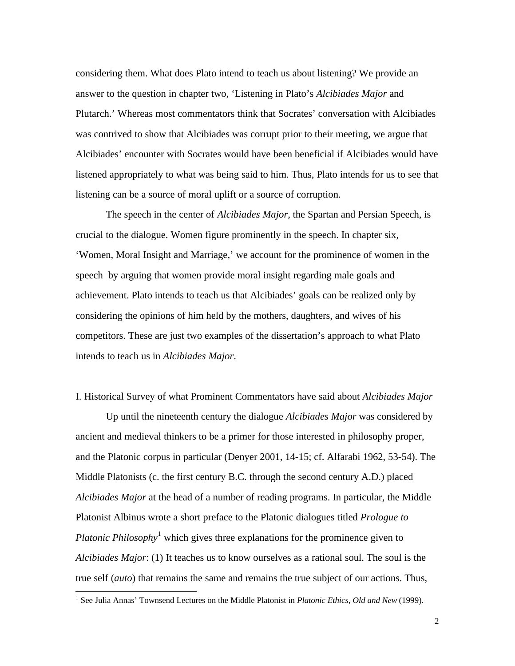considering them. What does Plato intend to teach us about listening? We provide an answer to the question in chapter two, 'Listening in Plato's *Alcibiades Major* and Plutarch.' Whereas most commentators think that Socrates' conversation with Alcibiades was contrived to show that Alcibiades was corrupt prior to their meeting, we argue that Alcibiades' encounter with Socrates would have been beneficial if Alcibiades would have listened appropriately to what was being said to him. Thus, Plato intends for us to see that listening can be a source of moral uplift or a source of corruption.

The speech in the center of *Alcibiades Major,* the Spartan and Persian Speech, is crucial to the dialogue. Women figure prominently in the speech. In chapter six, 'Women, Moral Insight and Marriage,' we account for the prominence of women in the speech by arguing that women provide moral insight regarding male goals and achievement. Plato intends to teach us that Alcibiades' goals can be realized only by considering the opinions of him held by the mothers, daughters, and wives of his competitors. These are just two examples of the dissertation's approach to what Plato intends to teach us in *Alcibiades Major*.

I. Historical Survey of what Prominent Commentators have said about *Alcibiades Major*

Up until the nineteenth century the dialogue *Alcibiades Major* was considered by ancient and medieval thinkers to be a primer for those interested in philosophy proper, and the Platonic corpus in particular (Denyer 2001, 14-15; cf. Alfarabi 1962, 53-54). The Middle Platonists (c. the first century B.C. through the second century A.D.) placed *Alcibiades Major* at the head of a number of reading programs. In particular, the Middle Platonist Albinus wrote a short preface to the Platonic dialogues titled *Prologue to*  Platonic Philosophy<sup>1</sup> which gives three explanations for the prominence given to *Alcibiades Major*: (1) It teaches us to know ourselves as a rational soul. The soul is the true self (*auto*) that remains the same and remains the true subject of our actions. Thus,

<sup>&</sup>lt;sup>1</sup> See Julia Annas' Townsend Lectures on the Middle Platonist in *Platonic Ethics, Old and New* (1999).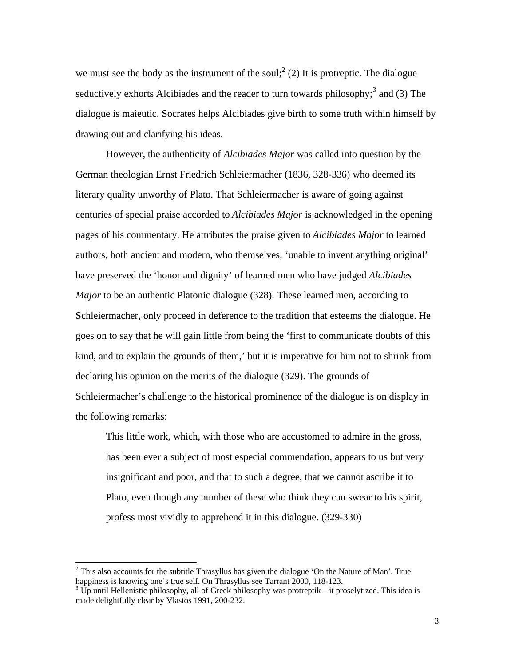we must see the body as the instrument of the soul;<sup>2</sup> (2) It is protreptic. The dialogue seductively exhorts Alcibiades and the reader to turn towards philosophy;<sup>3</sup> and (3) The dialogue is maieutic. Socrates helps Alcibiades give birth to some truth within himself by drawing out and clarifying his ideas.

However, the authenticity of *Alcibiades Major* was called into question by the German theologian Ernst Friedrich Schleiermacher (1836, 328-336) who deemed its literary quality unworthy of Plato. That Schleiermacher is aware of going against centuries of special praise accorded to *Alcibiades Major* is acknowledged in the opening pages of his commentary. He attributes the praise given to *Alcibiades Major* to learned authors, both ancient and modern, who themselves, 'unable to invent anything original' have preserved the 'honor and dignity' of learned men who have judged *Alcibiades Major* to be an authentic Platonic dialogue (328). These learned men, according to Schleiermacher, only proceed in deference to the tradition that esteems the dialogue. He goes on to say that he will gain little from being the 'first to communicate doubts of this kind, and to explain the grounds of them,' but it is imperative for him not to shrink from declaring his opinion on the merits of the dialogue (329). The grounds of Schleiermacher's challenge to the historical prominence of the dialogue is on display in the following remarks:

This little work, which, with those who are accustomed to admire in the gross, has been ever a subject of most especial commendation, appears to us but very insignificant and poor, and that to such a degree, that we cannot ascribe it to Plato, even though any number of these who think they can swear to his spirit, profess most vividly to apprehend it in this dialogue. (329-330)

<sup>&</sup>lt;sup>2</sup> This also accounts for the subtitle Thrasyllus has given the dialogue 'On the Nature of Man'. True happiness is knowing one's true self. On Thrasyllus see Tarrant 2000, 118-123**.** 

 $3 \overline{Up}$  until Hellenistic philosophy, all of Greek philosophy was protreptik—it proselytized. This idea is made delightfully clear by Vlastos 1991, 200-232.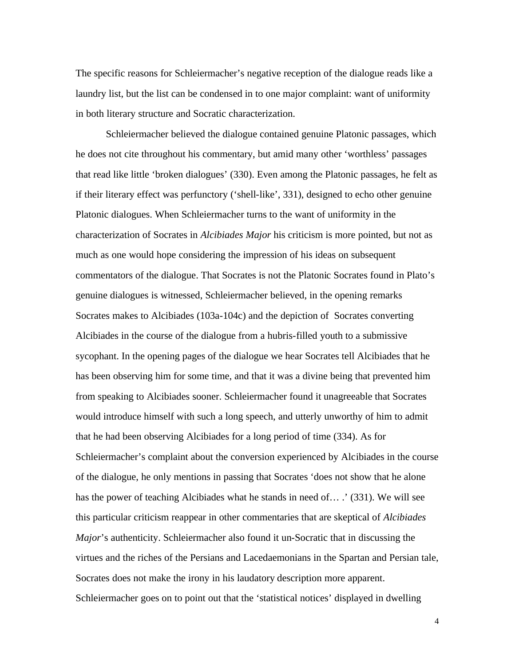The specific reasons for Schleiermacher's negative reception of the dialogue reads like a laundry list, but the list can be condensed in to one major complaint: want of uniformity in both literary structure and Socratic characterization.

Schleiermacher believed the dialogue contained genuine Platonic passages, which he does not cite throughout his commentary, but amid many other 'worthless' passages that read like little 'broken dialogues' (330). Even among the Platonic passages, he felt as if their literary effect was perfunctory ('shell-like', 331), designed to echo other genuine Platonic dialogues. When Schleiermacher turns to the want of uniformity in the characterization of Socrates in *Alcibiades Major* his criticism is more pointed, but not as much as one would hope considering the impression of his ideas on subsequent commentators of the dialogue. That Socrates is not the Platonic Socrates found in Plato's genuine dialogues is witnessed, Schleiermacher believed, in the opening remarks Socrates makes to Alcibiades (103a-104c) and the depiction of Socrates converting Alcibiades in the course of the dialogue from a hubris-filled youth to a submissive sycophant. In the opening pages of the dialogue we hear Socrates tell Alcibiades that he has been observing him for some time, and that it was a divine being that prevented him from speaking to Alcibiades sooner. Schleiermacher found it unagreeable that Socrates would introduce himself with such a long speech, and utterly unworthy of him to admit that he had been observing Alcibiades for a long period of time (334). As for Schleiermacher's complaint about the conversion experienced by Alcibiades in the course of the dialogue, he only mentions in passing that Socrates 'does not show that he alone has the power of teaching Alcibiades what he stands in need of... .' (331). We will see this particular criticism reappear in other commentaries that are skeptical of *Alcibiades Major*'s authenticity. Schleiermacher also found it un-Socratic that in discussing the virtues and the riches of the Persians and Lacedaemonians in the Spartan and Persian tale, Socrates does not make the irony in his laudatory description more apparent. Schleiermacher goes on to point out that the 'statistical notices' displayed in dwelling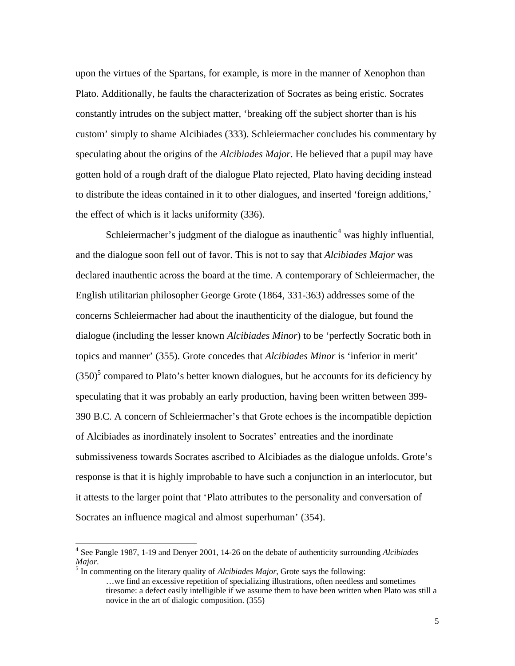upon the virtues of the Spartans, for example, is more in the manner of Xenophon than Plato. Additionally, he faults the characterization of Socrates as being eristic. Socrates constantly intrudes on the subject matter, 'breaking off the subject shorter than is his custom' simply to shame Alcibiades (333). Schleiermacher concludes his commentary by speculating about the origins of the *Alcibiades Major*. He believed that a pupil may have gotten hold of a rough draft of the dialogue Plato rejected, Plato having deciding instead to distribute the ideas contained in it to other dialogues, and inserted 'foreign additions,' the effect of which is it lacks uniformity (336).

Schleiermacher's judgment of the dialogue as inauthentic<sup>4</sup> was highly influential, and the dialogue soon fell out of favor. This is not to say that *Alcibiades Major* was declared inauthentic across the board at the time. A contemporary of Schleiermacher, the English utilitarian philosopher George Grote (1864, 331-363) addresses some of the concerns Schleiermacher had about the inauthenticity of the dialogue, but found the dialogue (including the lesser known *Alcibiades Minor*) to be 'perfectly Socratic both in topics and manner' (355). Grote concedes that *Alcibiades Minor* is 'inferior in merit'  $(350)^5$  compared to Plato's better known dialogues, but he accounts for its deficiency by speculating that it was probably an early production, having been written between 399- 390 B.C. A concern of Schleiermacher's that Grote echoes is the incompatible depiction of Alcibiades as inordinately insolent to Socrates' entreaties and the inordinate submissiveness towards Socrates ascribed to Alcibiades as the dialogue unfolds. Grote's response is that it is highly improbable to have such a conjunction in an interlocutor, but it attests to the larger point that 'Plato attributes to the personality and conversation of Socrates an influence magical and almost superhuman' (354).

<sup>4</sup> See Pangle 1987, 1-19 and Denyer 2001, 14-26 on the debate of authenticity surrounding *Alcibiades Major*.

<sup>&</sup>lt;sup>5</sup> In commenting on the literary quality of *Alcibiades Major*, Grote says the following: …we find an excessive repetition of specializing illustrations, often needless and sometimes tiresome: a defect easily intelligible if we assume them to have been written when Plato was still a novice in the art of dialogic composition. (355)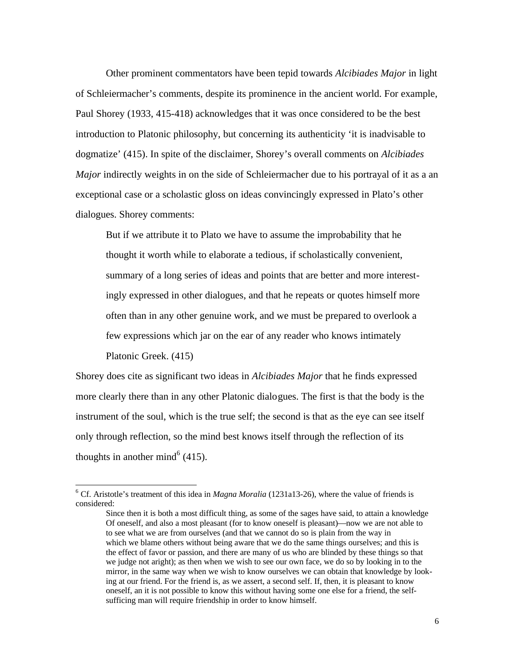Other prominent commentators have been tepid towards *Alcibiades Major* in light of Schleiermacher's comments, despite its prominence in the ancient world. For example, Paul Shorey (1933, 415-418) acknowledges that it was once considered to be the best introduction to Platonic philosophy, but concerning its authenticity 'it is inadvisable to dogmatize' (415). In spite of the disclaimer, Shorey's overall comments on *Alcibiades Major* indirectly weights in on the side of Schleiermacher due to his portrayal of it as a an exceptional case or a scholastic gloss on ideas convincingly expressed in Plato's other dialogues. Shorey comments:

But if we attribute it to Plato we have to assume the improbability that he thought it worth while to elaborate a tedious, if scholastically convenient, summary of a long series of ideas and points that are better and more interestingly expressed in other dialogues, and that he repeats or quotes himself more often than in any other genuine work, and we must be prepared to overlook a few expressions which jar on the ear of any reader who knows intimately Platonic Greek. (415)

Shorey does cite as significant two ideas in *Alcibiades Major* that he finds expressed more clearly there than in any other Platonic dialogues. The first is that the body is the instrument of the soul, which is the true self; the second is that as the eye can see itself only through reflection, so the mind best knows itself through the reflection of its thoughts in another mind<sup>6</sup> (415).

<sup>&</sup>lt;sup>6</sup> Cf. Aristotle's treatment of this idea in *Magna Moralia* (1231a13-26), where the value of friends is considered:

Since then it is both a most difficult thing, as some of the sages have said, to attain a knowledge Of oneself, and also a most pleasant (for to know oneself is pleasant)—now we are not able to to see what we are from ourselves (and that we cannot do so is plain from the way in which we blame others without being aware that we do the same things ourselves; and this is the effect of favor or passion, and there are many of us who are blinded by these things so that we judge not aright); as then when we wish to see our own face, we do so by looking in to the mirror, in the same way when we wish to know ourselves we can obtain that knowledge by looking at our friend. For the friend is, as we assert, a second self. If, then, it is pleasant to know oneself, an it is not possible to know this without having some one else for a friend, the selfsufficing man will require friendship in order to know himself.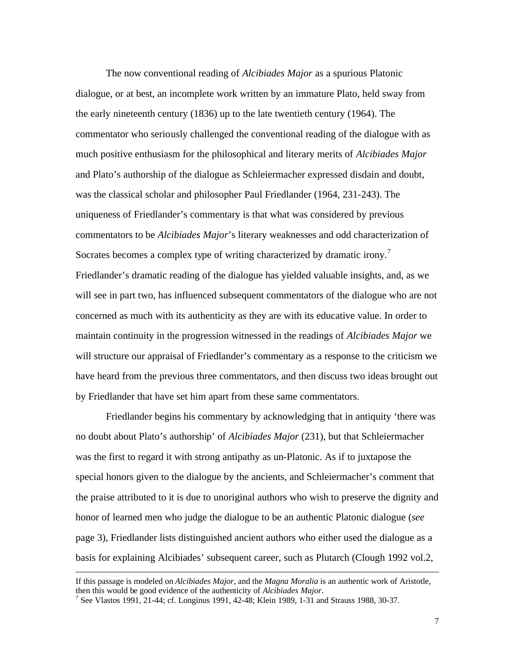The now conventional reading of *Alcibiades Major* as a spurious Platonic dialogue, or at best, an incomplete work written by an immature Plato, held sway from the early nineteenth century (1836) up to the late twentieth century (1964). The commentator who seriously challenged the conventional reading of the dialogue with as much positive enthusiasm for the philosophical and literary merits of *Alcibiades Major* and Plato's authorship of the dialogue as Schleiermacher expressed disdain and doubt, was the classical scholar and philosopher Paul Friedlander (1964, 231-243). The uniqueness of Friedlander's commentary is that what was considered by previous commentators to be *Alcibiades Major*'s literary weaknesses and odd characterization of Socrates becomes a complex type of writing characterized by dramatic irony.<sup>7</sup> Friedlander's dramatic reading of the dialogue has yielded valuable insights, and, as we will see in part two, has influenced subsequent commentators of the dialogue who are not concerned as much with its authenticity as they are with its educative value. In order to maintain continuity in the progression witnessed in the readings of *Alcibiades Major* we will structure our appraisal of Friedlander's commentary as a response to the criticism we have heard from the previous three commentators, and then discuss two ideas brought out by Friedlander that have set him apart from these same commentators.

Friedlander begins his commentary by acknowledging that in antiquity 'there was no doubt about Plato's authorship' of *Alcibiades Major* (231), but that Schleiermacher was the first to regard it with strong antipathy as un-Platonic. As if to juxtapose the special honors given to the dialogue by the ancients, and Schleiermacher's comment that the praise attributed to it is due to unoriginal authors who wish to preserve the dignity and honor of learned men who judge the dialogue to be an authentic Platonic dialogue (*see* page 3), Friedlander lists distinguished ancient authors who either used the dialogue as a basis for explaining Alcibiades' subsequent career, such as Plutarch (Clough 1992 vol.2,

If this passage is modeled on *Alcibiades Major*, and the *Magna Moralia* is an authentic work of Aristotle, then this would be good evidence of the authenticity of *Alcibiades Major*.

<sup>&</sup>lt;sup>7</sup> See Vlastos 1991, 21-44; cf. Longinus 1991, 42-48; Klein 1989, 1-31 and Strauss 1988, 30-37.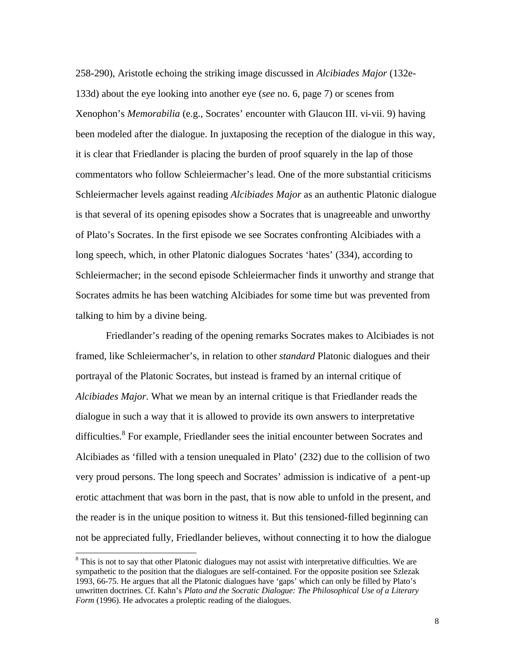258-290), Aristotle echoing the striking image discussed in *Alcibiades Major* (132e-133d) about the eye looking into another eye (*see* no. 6, page 7) or scenes from Xenophon's *Memorabilia* (e.g., Socrates' encounter with Glaucon III. vi-vii. 9) having been modeled after the dialogue. In juxtaposing the reception of the dialogue in this way, it is clear that Friedlander is placing the burden of proof squarely in the lap of those commentators who follow Schleiermacher's lead. One of the more substantial criticisms Schleiermacher levels against reading *Alcibiades Major* as an authentic Platonic dialogue is that several of its opening episodes show a Socrates that is unagreeable and unworthy of Plato's Socrates. In the first episode we see Socrates confronting Alcibiades with a long speech, which, in other Platonic dialogues Socrates 'hates' (334), according to Schleiermacher; in the second episode Schleiermacher finds it unworthy and strange that Socrates admits he has been watching Alcibiades for some time but was prevented from talking to him by a divine being.

Friedlander's reading of the opening remarks Socrates makes to Alcibiades is not framed, like Schleiermacher's, in relation to other *standard* Platonic dialogues and their portrayal of the Platonic Socrates, but instead is framed by an internal critique of *Alcibiades Major*. What we mean by an internal critique is that Friedlander reads the dialogue in such a way that it is allowed to provide its own answers to interpretative difficulties.<sup>8</sup> For example, Friedlander sees the initial encounter between Socrates and Alcibiades as 'filled with a tension unequaled in Plato' (232) due to the collision of two very proud persons. The long speech and Socrates' admission is indicative of a pent-up erotic attachment that was born in the past, that is now able to unfold in the present, and the reader is in the unique position to witness it. But this tensioned-filled beginning can not be appreciated fully, Friedlander believes, without connecting it to how the dialogue

 $\overline{a}$ 

<sup>&</sup>lt;sup>8</sup> This is not to say that other Platonic dialogues may not assist with interpretative difficulties. We are sympathetic to the position that the dialogues are self-contained. For the opposite position see Szlezak 1993, 66-75. He argues that all the Platonic dialogues have 'gaps' which can only be filled by Plato's unwritten doctrines. Cf. Kahn's *Plato and the Socratic Dialogue: The Philosophical Use of a Literary Form* (1996). He advocates a proleptic reading of the dialogues.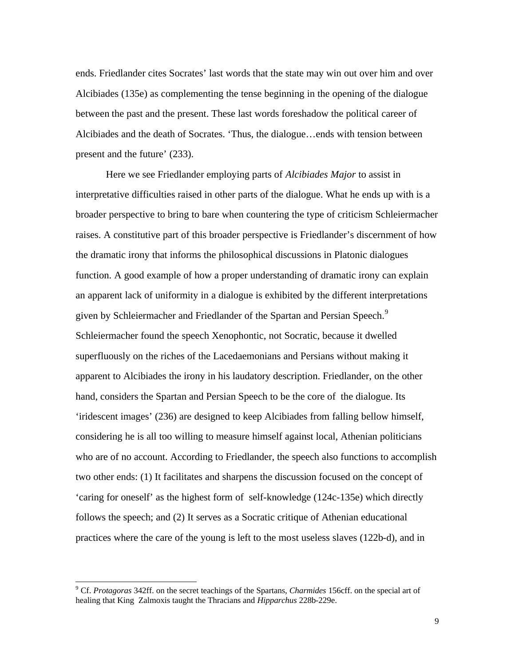ends. Friedlander cites Socrates' last words that the state may win out over him and over Alcibiades (135e) as complementing the tense beginning in the opening of the dialogue between the past and the present. These last words foreshadow the political career of Alcibiades and the death of Socrates. 'Thus, the dialogue…ends with tension between present and the future' (233).

Here we see Friedlander employing parts of *Alcibiades Major* to assist in interpretative difficulties raised in other parts of the dialogue. What he ends up with is a broader perspective to bring to bare when countering the type of criticism Schleiermacher raises. A constitutive part of this broader perspective is Friedlander's discernment of how the dramatic irony that informs the philosophical discussions in Platonic dialogues function. A good example of how a proper understanding of dramatic irony can explain an apparent lack of uniformity in a dialogue is exhibited by the different interpretations given by Schleiermacher and Friedlander of the Spartan and Persian Speech.<sup>9</sup> Schleiermacher found the speech Xenophontic, not Socratic, because it dwelled superfluously on the riches of the Lacedaemonians and Persians without making it apparent to Alcibiades the irony in his laudatory description. Friedlander, on the other hand, considers the Spartan and Persian Speech to be the core of the dialogue. Its 'iridescent images' (236) are designed to keep Alcibiades from falling bellow himself, considering he is all too willing to measure himself against local, Athenian politicians who are of no account. According to Friedlander, the speech also functions to accomplish two other ends: (1) It facilitates and sharpens the discussion focused on the concept of 'caring for oneself' as the highest form of self-knowledge (124c-135e) which directly follows the speech; and (2) It serves as a Socratic critique of Athenian educational practices where the care of the young is left to the most useless slaves (122b-d), and in

<sup>9</sup> Cf. *Protagoras* 342ff. on the secret teachings of the Spartans, *Charmides* 156cff. on the special art of healing that King Zalmoxis taught the Thracians and *Hipparchus* 228b-229e.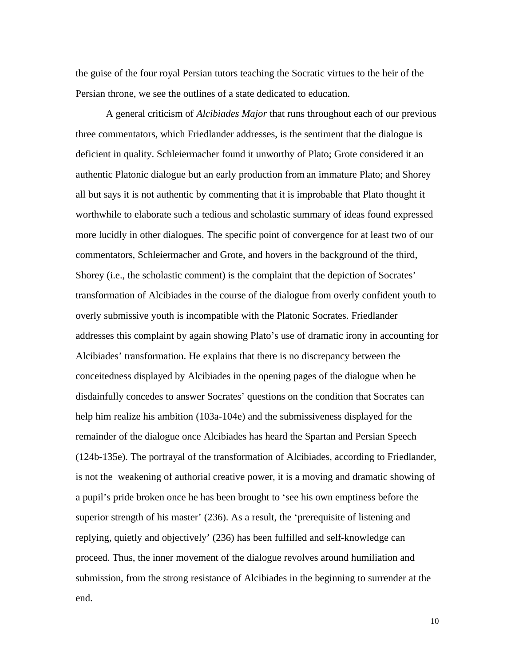the guise of the four royal Persian tutors teaching the Socratic virtues to the heir of the Persian throne, we see the outlines of a state dedicated to education.

A general criticism of *Alcibiades Major* that runs throughout each of our previous three commentators, which Friedlander addresses, is the sentiment that the dialogue is deficient in quality. Schleiermacher found it unworthy of Plato; Grote considered it an authentic Platonic dialogue but an early production from an immature Plato; and Shorey all but says it is not authentic by commenting that it is improbable that Plato thought it worthwhile to elaborate such a tedious and scholastic summary of ideas found expressed more lucidly in other dialogues. The specific point of convergence for at least two of our commentators, Schleiermacher and Grote, and hovers in the background of the third, Shorey (i.e., the scholastic comment) is the complaint that the depiction of Socrates' transformation of Alcibiades in the course of the dialogue from overly confident youth to overly submissive youth is incompatible with the Platonic Socrates. Friedlander addresses this complaint by again showing Plato's use of dramatic irony in accounting for Alcibiades' transformation. He explains that there is no discrepancy between the conceitedness displayed by Alcibiades in the opening pages of the dialogue when he disdainfully concedes to answer Socrates' questions on the condition that Socrates can help him realize his ambition (103a-104e) and the submissiveness displayed for the remainder of the dialogue once Alcibiades has heard the Spartan and Persian Speech (124b-135e). The portrayal of the transformation of Alcibiades, according to Friedlander, is not the weakening of authorial creative power, it is a moving and dramatic showing of a pupil's pride broken once he has been brought to 'see his own emptiness before the superior strength of his master' (236). As a result, the 'prerequisite of listening and replying, quietly and objectively' (236) has been fulfilled and self-knowledge can proceed. Thus, the inner movement of the dialogue revolves around humiliation and submission, from the strong resistance of Alcibiades in the beginning to surrender at the end.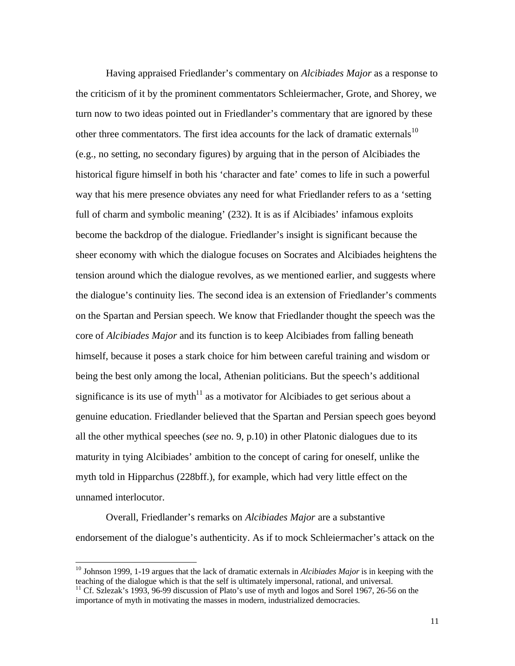Having appraised Friedlander's commentary on *Alcibiades Major* as a response to the criticism of it by the prominent commentators Schleiermacher, Grote, and Shorey, we turn now to two ideas pointed out in Friedlander's commentary that are ignored by these other three commentators. The first idea accounts for the lack of dramatic externals<sup>10</sup> (e.g., no setting, no secondary figures) by arguing that in the person of Alcibiades the historical figure himself in both his 'character and fate' comes to life in such a powerful way that his mere presence obviates any need for what Friedlander refers to as a 'setting full of charm and symbolic meaning' (232). It is as if Alcibiades' infamous exploits become the backdrop of the dialogue. Friedlander's insight is significant because the sheer economy with which the dialogue focuses on Socrates and Alcibiades heightens the tension around which the dialogue revolves, as we mentioned earlier, and suggests where the dialogue's continuity lies. The second idea is an extension of Friedlander's comments on the Spartan and Persian speech. We know that Friedlander thought the speech was the core of *Alcibiades Major* and its function is to keep Alcibiades from falling beneath himself, because it poses a stark choice for him between careful training and wisdom or being the best only among the local, Athenian politicians. But the speech's additional significance is its use of myth $11$  as a motivator for Alcibiades to get serious about a genuine education. Friedlander believed that the Spartan and Persian speech goes beyond all the other mythical speeches (*see* no. 9, p.10) in other Platonic dialogues due to its maturity in tying Alcibiades' ambition to the concept of caring for oneself, unlike the myth told in Hipparchus (228bff.), for example, which had very little effect on the unnamed interlocutor.

Overall, Friedlander's remarks on *Alcibiades Major* are a substantive endorsement of the dialogue's authenticity. As if to mock Schleiermacher's attack on the

 $\overline{a}$ 

<sup>10</sup> Johnson 1999, 1-19 argues that the lack of dramatic externals in *Alcibiades Major* is in keeping with the teaching of the dialogue which is that the self is ultimately impersonal, rational, and universal.

<sup>&</sup>lt;sup>11</sup> Cf. Szlezak's 1993, 96-99 discussion of Plato's use of myth and logos and Sorel 1967, 26-56 on the importance of myth in motivating the masses in modern, industrialized democracies.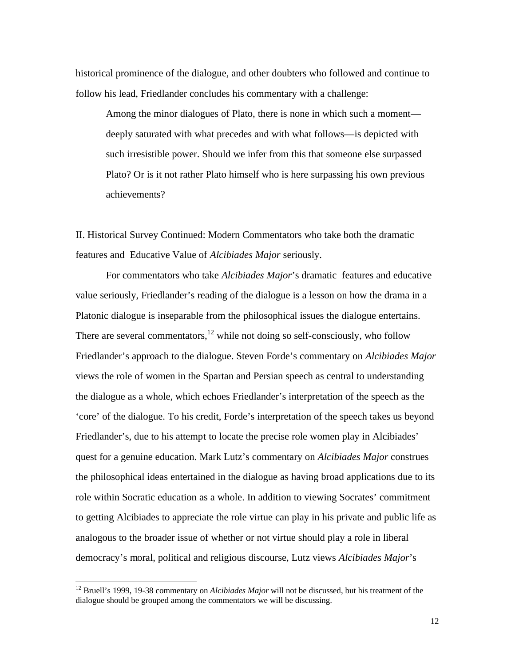historical prominence of the dialogue, and other doubters who followed and continue to follow his lead, Friedlander concludes his commentary with a challenge:

Among the minor dialogues of Plato, there is none in which such a moment deeply saturated with what precedes and with what follows—is depicted with such irresistible power. Should we infer from this that someone else surpassed Plato? Or is it not rather Plato himself who is here surpassing his own previous achievements?

II. Historical Survey Continued: Modern Commentators who take both the dramatic features and Educative Value of *Alcibiades Major* seriously.

For commentators who take *Alcibiades Major*'s dramatic features and educative value seriously, Friedlander's reading of the dialogue is a lesson on how the drama in a Platonic dialogue is inseparable from the philosophical issues the dialogue entertains. There are several commentators, $12$  while not doing so self-consciously, who follow Friedlander's approach to the dialogue. Steven Forde's commentary on *Alcibiades Major* views the role of women in the Spartan and Persian speech as central to understanding the dialogue as a whole, which echoes Friedlander's interpretation of the speech as the 'core' of the dialogue. To his credit, Forde's interpretation of the speech takes us beyond Friedlander's, due to his attempt to locate the precise role women play in Alcibiades' quest for a genuine education. Mark Lutz's commentary on *Alcibiades Major* construes the philosophical ideas entertained in the dialogue as having broad applications due to its role within Socratic education as a whole. In addition to viewing Socrates' commitment to getting Alcibiades to appreciate the role virtue can play in his private and public life as analogous to the broader issue of whether or not virtue should play a role in liberal democracy's moral, political and religious discourse, Lutz views *Alcibiades Major*'s

<sup>12</sup> Bruell's 1999, 19-38 commentary on *Alcibiades Major* will not be discussed, but his treatment of the dialogue should be grouped among the commentators we will be discussing.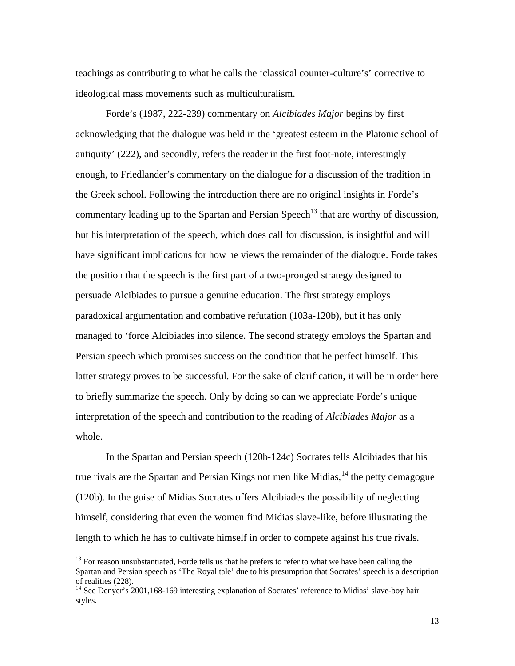teachings as contributing to what he calls the 'classical counter-culture's' corrective to ideological mass movements such as multiculturalism.

Forde's (1987, 222-239) commentary on *Alcibiades Major* begins by first acknowledging that the dialogue was held in the 'greatest esteem in the Platonic school of antiquity' (222), and secondly, refers the reader in the first foot-note, interestingly enough, to Friedlander's commentary on the dialogue for a discussion of the tradition in the Greek school. Following the introduction there are no original insights in Forde's commentary leading up to the Spartan and Persian Speech<sup>13</sup> that are worthy of discussion, but his interpretation of the speech, which does call for discussion, is insightful and will have significant implications for how he views the remainder of the dialogue. Forde takes the position that the speech is the first part of a two-pronged strategy designed to persuade Alcibiades to pursue a genuine education. The first strategy employs paradoxical argumentation and combative refutation (103a-120b), but it has only managed to 'force Alcibiades into silence. The second strategy employs the Spartan and Persian speech which promises success on the condition that he perfect himself. This latter strategy proves to be successful. For the sake of clarification, it will be in order here to briefly summarize the speech. Only by doing so can we appreciate Forde's unique interpretation of the speech and contribution to the reading of *Alcibiades Major* as a whole.

In the Spartan and Persian speech (120b-124c) Socrates tells Alcibiades that his true rivals are the Spartan and Persian Kings not men like Midias, $14$  the petty demagogue (120b). In the guise of Midias Socrates offers Alcibiades the possibility of neglecting himself, considering that even the women find Midias slave-like, before illustrating the length to which he has to cultivate himself in order to compete against his true rivals.

<sup>&</sup>lt;sup>13</sup> For reason unsubstantiated, Forde tells us that he prefers to refer to what we have been calling the Spartan and Persian speech as 'The Royal tale' due to his presumption that Socrates' speech is a description of realities (228).

<sup>&</sup>lt;sup>14</sup> See Denyer's 2001,168-169 interesting explanation of Socrates' reference to Midias' slave-boy hair styles.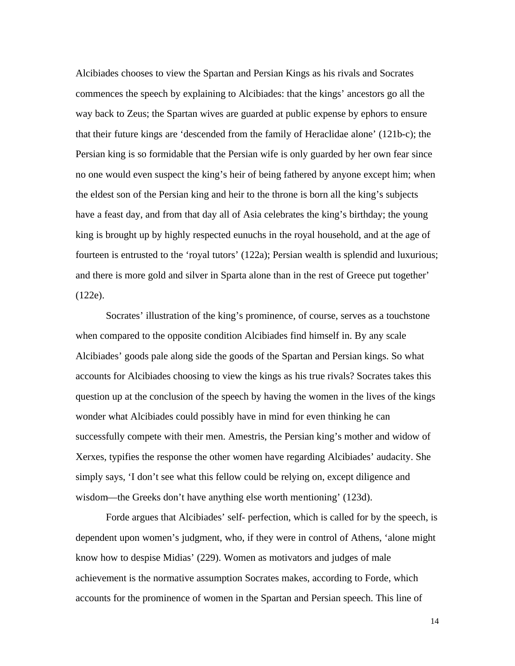Alcibiades chooses to view the Spartan and Persian Kings as his rivals and Socrates commences the speech by explaining to Alcibiades: that the kings' ancestors go all the way back to Zeus; the Spartan wives are guarded at public expense by ephors to ensure that their future kings are 'descended from the family of Heraclidae alone' (121b-c); the Persian king is so formidable that the Persian wife is only guarded by her own fear since no one would even suspect the king's heir of being fathered by anyone except him; when the eldest son of the Persian king and heir to the throne is born all the king's subjects have a feast day, and from that day all of Asia celebrates the king's birthday; the young king is brought up by highly respected eunuchs in the royal household, and at the age of fourteen is entrusted to the 'royal tutors' (122a); Persian wealth is splendid and luxurious; and there is more gold and silver in Sparta alone than in the rest of Greece put together' (122e).

Socrates' illustration of the king's prominence, of course, serves as a touchstone when compared to the opposite condition Alcibiades find himself in. By any scale Alcibiades' goods pale along side the goods of the Spartan and Persian kings. So what accounts for Alcibiades choosing to view the kings as his true rivals? Socrates takes this question up at the conclusion of the speech by having the women in the lives of the kings wonder what Alcibiades could possibly have in mind for even thinking he can successfully compete with their men. Amestris, the Persian king's mother and widow of Xerxes, typifies the response the other women have regarding Alcibiades' audacity. She simply says, 'I don't see what this fellow could be relying on, except diligence and wisdom—the Greeks don't have anything else worth mentioning' (123d).

Forde argues that Alcibiades' self- perfection, which is called for by the speech, is dependent upon women's judgment, who, if they were in control of Athens, 'alone might know how to despise Midias' (229). Women as motivators and judges of male achievement is the normative assumption Socrates makes, according to Forde, which accounts for the prominence of women in the Spartan and Persian speech. This line of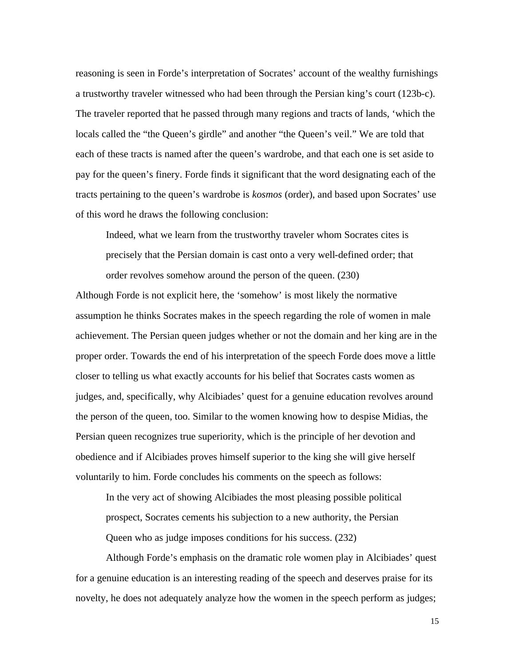reasoning is seen in Forde's interpretation of Socrates' account of the wealthy furnishings a trustworthy traveler witnessed who had been through the Persian king's court (123b-c). The traveler reported that he passed through many regions and tracts of lands, 'which the locals called the "the Queen's girdle" and another "the Queen's veil." We are told that each of these tracts is named after the queen's wardrobe, and that each one is set aside to pay for the queen's finery. Forde finds it significant that the word designating each of the tracts pertaining to the queen's wardrobe is *kosmos* (order), and based upon Socrates' use of this word he draws the following conclusion:

Indeed, what we learn from the trustworthy traveler whom Socrates cites is precisely that the Persian domain is cast onto a very well-defined order; that order revolves somehow around the person of the queen. (230)

Although Forde is not explicit here, the 'somehow' is most likely the normative assumption he thinks Socrates makes in the speech regarding the role of women in male achievement. The Persian queen judges whether or not the domain and her king are in the proper order. Towards the end of his interpretation of the speech Forde does move a little closer to telling us what exactly accounts for his belief that Socrates casts women as judges, and, specifically, why Alcibiades' quest for a genuine education revolves around the person of the queen, too. Similar to the women knowing how to despise Midias, the Persian queen recognizes true superiority, which is the principle of her devotion and obedience and if Alcibiades proves himself superior to the king she will give herself voluntarily to him. Forde concludes his comments on the speech as follows:

In the very act of showing Alcibiades the most pleasing possible political prospect, Socrates cements his subjection to a new authority, the Persian Queen who as judge imposes conditions for his success. (232)

Although Forde's emphasis on the dramatic role women play in Alcibiades' quest for a genuine education is an interesting reading of the speech and deserves praise for its novelty, he does not adequately analyze how the women in the speech perform as judges;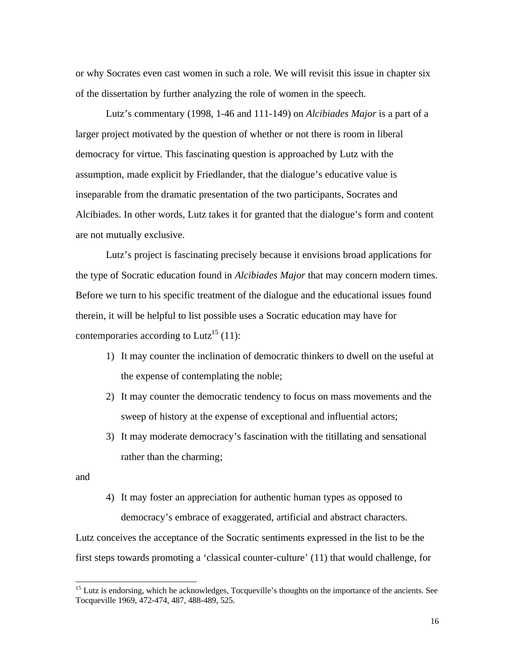or why Socrates even cast women in such a role. We will revisit this issue in chapter six of the dissertation by further analyzing the role of women in the speech.

Lutz's commentary (1998, 1-46 and 111-149) on *Alcibiades Major* is a part of a larger project motivated by the question of whether or not there is room in liberal democracy for virtue. This fascinating question is approached by Lutz with the assumption, made explicit by Friedlander, that the dialogue's educative value is inseparable from the dramatic presentation of the two participants, Socrates and Alcibiades. In other words, Lutz takes it for granted that the dialogue's form and content are not mutually exclusive.

Lutz's project is fascinating precisely because it envisions broad applications for the type of Socratic education found in *Alcibiades Major* that may concern modern times. Before we turn to his specific treatment of the dialogue and the educational issues found therein, it will be helpful to list possible uses a Socratic education may have for contemporaries according to Lutz<sup>15</sup> (11):

- 1) It may counter the inclination of democratic thinkers to dwell on the useful at the expense of contemplating the noble;
- 2) It may counter the democratic tendency to focus on mass movements and the sweep of history at the expense of exceptional and influential actors;
- 3) It may moderate democracy's fascination with the titillating and sensational rather than the charming;

and

-

4) It may foster an appreciation for authentic human types as opposed to democracy's embrace of exaggerated, artificial and abstract characters. Lutz conceives the acceptance of the Socratic sentiments expressed in the list to be the

first steps towards promoting a 'classical counter-culture' (11) that would challenge, for

<sup>&</sup>lt;sup>15</sup> Lutz is endorsing, which he acknowledges, Tocqueville's thoughts on the importance of the ancients. See Tocqueville 1969, 472-474, 487, 488-489, 525.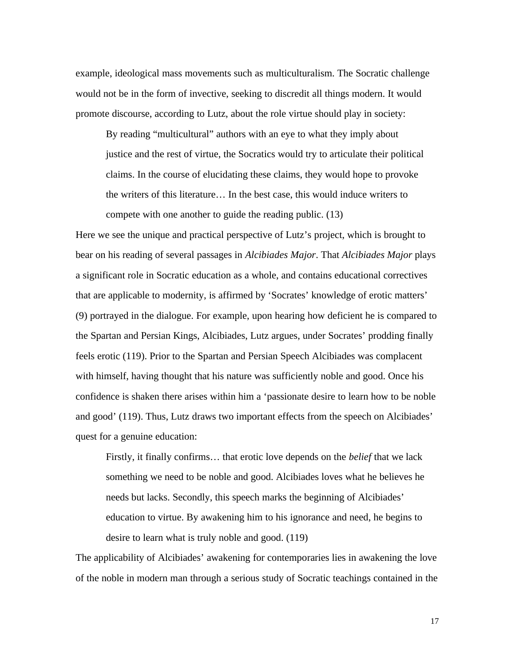example, ideological mass movements such as multiculturalism. The Socratic challenge would not be in the form of invective, seeking to discredit all things modern. It would promote discourse, according to Lutz, about the role virtue should play in society:

By reading "multicultural" authors with an eye to what they imply about justice and the rest of virtue, the Socratics would try to articulate their political claims. In the course of elucidating these claims, they would hope to provoke the writers of this literature… In the best case, this would induce writers to compete with one another to guide the reading public. (13)

Here we see the unique and practical perspective of Lutz's project, which is brought to bear on his reading of several passages in *Alcibiades Major*. That *Alcibiades Major* plays a significant role in Socratic education as a whole, and contains educational correctives that are applicable to modernity, is affirmed by 'Socrates' knowledge of erotic matters' (9) portrayed in the dialogue. For example, upon hearing how deficient he is compared to the Spartan and Persian Kings, Alcibiades, Lutz argues, under Socrates' prodding finally feels erotic (119). Prior to the Spartan and Persian Speech Alcibiades was complacent with himself, having thought that his nature was sufficiently noble and good. Once his confidence is shaken there arises within him a 'passionate desire to learn how to be noble and good' (119). Thus, Lutz draws two important effects from the speech on Alcibiades' quest for a genuine education:

Firstly, it finally confirms… that erotic love depends on the *belief* that we lack something we need to be noble and good. Alcibiades loves what he believes he needs but lacks. Secondly, this speech marks the beginning of Alcibiades' education to virtue. By awakening him to his ignorance and need, he begins to desire to learn what is truly noble and good. (119)

The applicability of Alcibiades' awakening for contemporaries lies in awakening the love of the noble in modern man through a serious study of Socratic teachings contained in the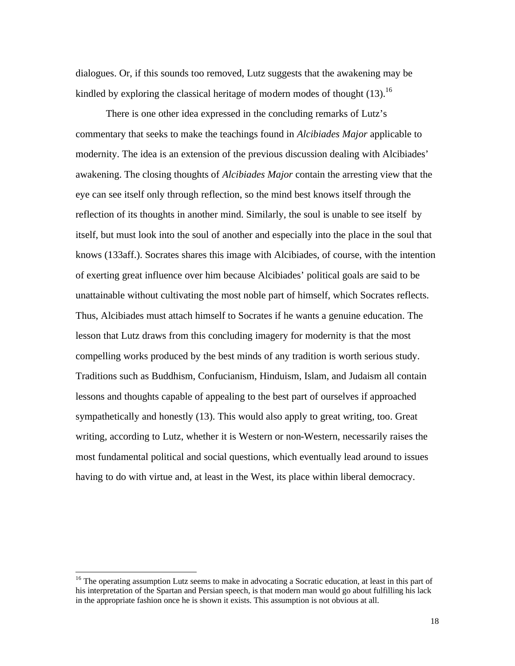dialogues. Or, if this sounds too removed, Lutz suggests that the awakening may be kindled by exploring the classical heritage of modern modes of thought  $(13)$ .<sup>16</sup>

There is one other idea expressed in the concluding remarks of Lutz's commentary that seeks to make the teachings found in *Alcibiades Major* applicable to modernity. The idea is an extension of the previous discussion dealing with Alcibiades' awakening. The closing thoughts of *Alcibiades Major* contain the arresting view that the eye can see itself only through reflection, so the mind best knows itself through the reflection of its thoughts in another mind. Similarly, the soul is unable to see itself by itself, but must look into the soul of another and especially into the place in the soul that knows (133aff.). Socrates shares this image with Alcibiades, of course, with the intention of exerting great influence over him because Alcibiades' political goals are said to be unattainable without cultivating the most noble part of himself, which Socrates reflects. Thus, Alcibiades must attach himself to Socrates if he wants a genuine education. The lesson that Lutz draws from this concluding imagery for modernity is that the most compelling works produced by the best minds of any tradition is worth serious study. Traditions such as Buddhism, Confucianism, Hinduism, Islam, and Judaism all contain lessons and thoughts capable of appealing to the best part of ourselves if approached sympathetically and honestly (13). This would also apply to great writing, too. Great writing, according to Lutz, whether it is Western or non-Western, necessarily raises the most fundamental political and social questions, which eventually lead around to issues having to do with virtue and, at least in the West, its place within liberal democracy.

<sup>&</sup>lt;sup>16</sup> The operating assumption Lutz seems to make in advocating a Socratic education, at least in this part of his interpretation of the Spartan and Persian speech, is that modern man would go about fulfilling his lack in the appropriate fashion once he is shown it exists. This assumption is not obvious at all.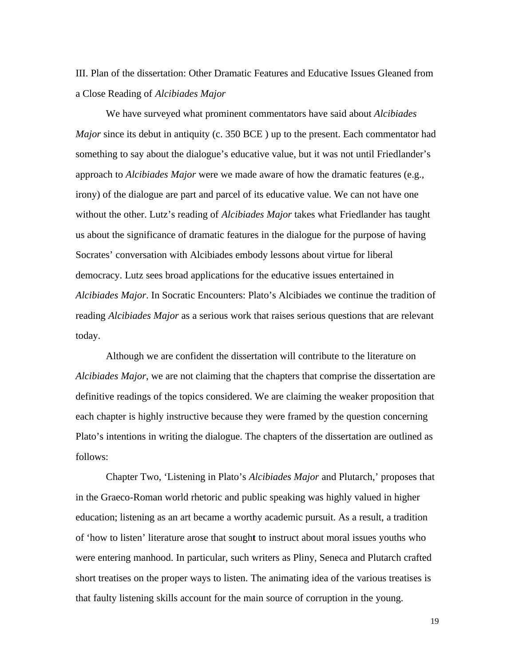# III. Plan of the dissertation: Other Dramatic Features and Educative Issues Gleaned from a Close Reading of *Alcibiades Major*

We have surveyed what prominent commentators have said about *Alcibiades Major* since its debut in antiquity (c. 350 BCE) up to the present. Each commentator had something to say about the dialogue's educative value, but it was not until Friedlander's approach to *Alcibiades Major* were we made aware of how the dramatic features (e.g., irony) of the dialogue are part and parcel of its educative value. We can not have one without the other. Lutz's reading of *Alcibiades Major* takes what Friedlander has taught us about the significance of dramatic features in the dialogue for the purpose of having Socrates' conversation with Alcibiades embody lessons about virtue for liberal democracy. Lutz sees broad applications for the educative issues entertained in *Alcibiades Major*. In Socratic Encounters: Plato's Alcibiades we continue the tradition of reading *Alcibiades Major* as a serious work that raises serious questions that are relevant today.

Although we are confident the dissertation will contribute to the literature on *Alcibiades Major*, we are not claiming that the chapters that comprise the dissertation are definitive readings of the topics considered. We are claiming the weaker proposition that each chapter is highly instructive because they were framed by the question concerning Plato's intentions in writing the dialogue. The chapters of the dissertation are outlined as follows:

Chapter Two, 'Listening in Plato's *Alcibiades Major* and Plutarch,' proposes that in the Graeco-Roman world rhetoric and public speaking was highly valued in higher education; listening as an art became a worthy academic pursuit. As a result, a tradition of 'how to listen' literature arose that sough**t** to instruct about moral issues youths who were entering manhood. In particular, such writers as Pliny, Seneca and Plutarch crafted short treatises on the proper ways to listen. The animating idea of the various treatises is that faulty listening skills account for the main source of corruption in the young.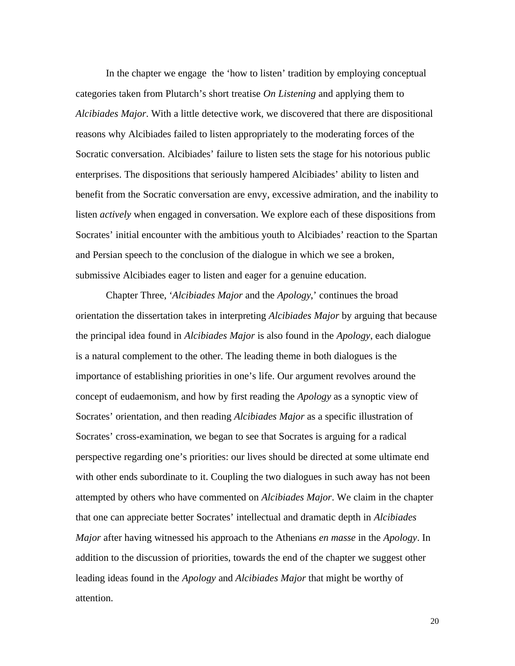In the chapter we engage the 'how to listen' tradition by employing conceptual categories taken from Plutarch's short treatise *On Listening* and applying them to *Alcibiades Major*. With a little detective work, we discovered that there are dispositional reasons why Alcibiades failed to listen appropriately to the moderating forces of the Socratic conversation. Alcibiades' failure to listen sets the stage for his notorious public enterprises. The dispositions that seriously hampered Alcibiades' ability to listen and benefit from the Socratic conversation are envy, excessive admiration, and the inability to listen *actively* when engaged in conversation. We explore each of these dispositions from Socrates' initial encounter with the ambitious youth to Alcibiades' reaction to the Spartan and Persian speech to the conclusion of the dialogue in which we see a broken, submissive Alcibiades eager to listen and eager for a genuine education.

Chapter Three, '*Alcibiades Major* and the *Apology*,' continues the broad orientation the dissertation takes in interpreting *Alcibiades Major* by arguing that because the principal idea found in *Alcibiades Major* is also found in the *Apology*, each dialogue is a natural complement to the other. The leading theme in both dialogues is the importance of establishing priorities in one's life. Our argument revolves around the concept of eudaemonism, and how by first reading the *Apology* as a synoptic view of Socrates' orientation, and then reading *Alcibiades Major* as a specific illustration of Socrates' cross-examination, we began to see that Socrates is arguing for a radical perspective regarding one's priorities: our lives should be directed at some ultimate end with other ends subordinate to it. Coupling the two dialogues in such away has not been attempted by others who have commented on *Alcibiades Major*. We claim in the chapter that one can appreciate better Socrates' intellectual and dramatic depth in *Alcibiades Major* after having witnessed his approach to the Athenians *en masse* in the *Apology*. In addition to the discussion of priorities, towards the end of the chapter we suggest other leading ideas found in the *Apology* and *Alcibiades Major* that might be worthy of attention.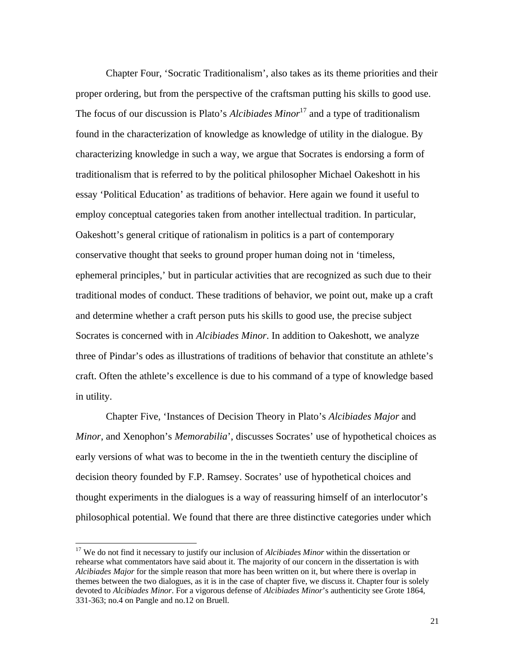Chapter Four, 'Socratic Traditionalism', also takes as its theme priorities and their proper ordering, but from the perspective of the craftsman putting his skills to good use. The focus of our discussion is Plato's *Alcibiades Minor*<sup>17</sup> and a type of traditionalism found in the characterization of knowledge as knowledge of utility in the dialogue. By characterizing knowledge in such a way, we argue that Socrates is endorsing a form of traditionalism that is referred to by the political philosopher Michael Oakeshott in his essay 'Political Education' as traditions of behavior. Here again we found it useful to employ conceptual categories taken from another intellectual tradition. In particular, Oakeshott's general critique of rationalism in politics is a part of contemporary conservative thought that seeks to ground proper human doing not in 'timeless, ephemeral principles,' but in particular activities that are recognized as such due to their traditional modes of conduct. These traditions of behavior, we point out, make up a craft and determine whether a craft person puts his skills to good use, the precise subject Socrates is concerned with in *Alcibiades Minor*. In addition to Oakeshott, we analyze three of Pindar's odes as illustrations of traditions of behavior that constitute an athlete's craft. Often the athlete's excellence is due to his command of a type of knowledge based in utility.

Chapter Five, 'Instances of Decision Theory in Plato's *Alcibiades Major* and *Minor*, and Xenophon's *Memorabilia*', discusses Socrates' use of hypothetical choices as early versions of what was to become in the in the twentieth century the discipline of decision theory founded by F.P. Ramsey. Socrates' use of hypothetical choices and thought experiments in the dialogues is a way of reassuring himself of an interlocutor's philosophical potential. We found that there are three distinctive categories under which

 $\overline{a}$ 

<sup>&</sup>lt;sup>17</sup> We do not find it necessary to justify our inclusion of *Alcibiades Minor* within the dissertation or rehearse what commentators have said about it. The majority of our concern in the dissertation is with *Alcibiades Major* for the simple reason that more has been written on it, but where there is overlap in themes between the two dialogues, as it is in the case of chapter five, we discuss it. Chapter four is solely devoted to *Alcibiades Minor*. For a vigorous defense of *Alcibiades Minor*'s authenticity see Grote 1864, 331-363; no.4 on Pangle and no.12 on Bruell.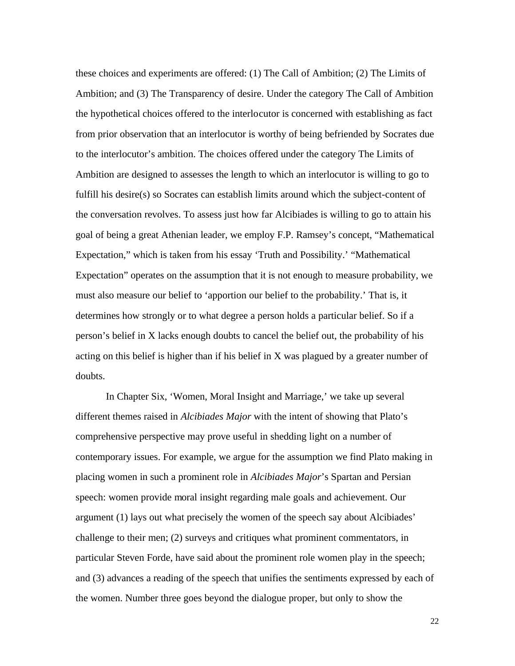these choices and experiments are offered: (1) The Call of Ambition; (2) The Limits of Ambition; and (3) The Transparency of desire. Under the category The Call of Ambition the hypothetical choices offered to the interlocutor is concerned with establishing as fact from prior observation that an interlocutor is worthy of being befriended by Socrates due to the interlocutor's ambition. The choices offered under the category The Limits of Ambition are designed to assesses the length to which an interlocutor is willing to go to fulfill his desire(s) so Socrates can establish limits around which the subject-content of the conversation revolves. To assess just how far Alcibiades is willing to go to attain his goal of being a great Athenian leader, we employ F.P. Ramsey's concept, "Mathematical Expectation," which is taken from his essay 'Truth and Possibility.' "Mathematical Expectation" operates on the assumption that it is not enough to measure probability, we must also measure our belief to 'apportion our belief to the probability.' That is, it determines how strongly or to what degree a person holds a particular belief. So if a person's belief in X lacks enough doubts to cancel the belief out, the probability of his acting on this belief is higher than if his belief in X was plagued by a greater number of doubts.

In Chapter Six, 'Women, Moral Insight and Marriage,' we take up several different themes raised in *Alcibiades Major* with the intent of showing that Plato's comprehensive perspective may prove useful in shedding light on a number of contemporary issues. For example, we argue for the assumption we find Plato making in placing women in such a prominent role in *Alcibiades Major*'s Spartan and Persian speech: women provide moral insight regarding male goals and achievement. Our argument (1) lays out what precisely the women of the speech say about Alcibiades' challenge to their men; (2) surveys and critiques what prominent commentators, in particular Steven Forde, have said about the prominent role women play in the speech; and (3) advances a reading of the speech that unifies the sentiments expressed by each of the women. Number three goes beyond the dialogue proper, but only to show the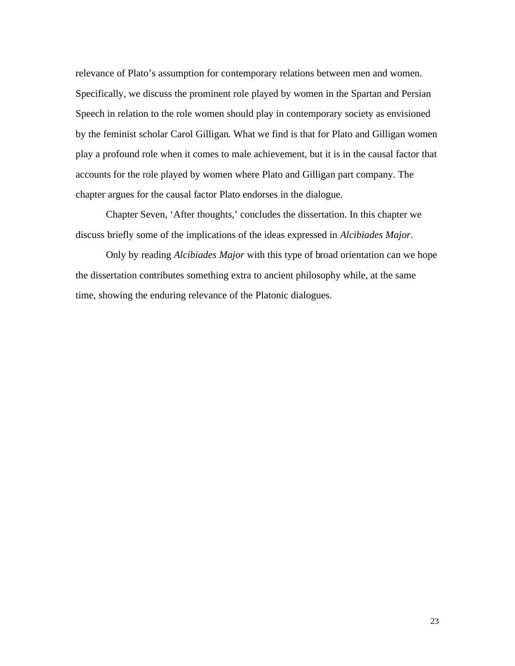relevance of Plato's assumption for contemporary relations between men and women. Specifically, we discuss the prominent role played by women in the Spartan and Persian Speech in relation to the role women should play in contemporary society as envisioned by the feminist scholar Carol Gilligan. What we find is that for Plato and Gilligan women play a profound role when it comes to male achievement, but it is in the causal factor that accounts for the role played by women where Plato and Gilligan part company. The chapter argues for the causal factor Plato endorses in the dialogue.

Chapter Seven, 'After thoughts,' concludes the dissertation. In this chapter we discuss briefly some of the implications of the ideas expressed in *Alcibiades Major*.

Only by reading *Alcibiades Major* with this type of broad orientation can we hope the dissertation contributes something extra to ancient philosophy while, at the same time, showing the enduring relevance of the Platonic dialogues.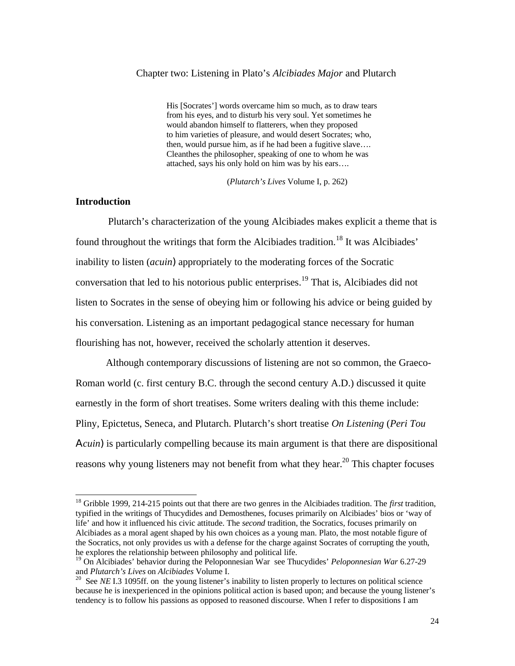#### Chapter two: Listening in Plato's *Alcibiades Major* and Plutarch

His [Socrates'] words overcame him so much, as to draw tears from his eyes, and to disturb his very soul. Yet sometimes he would abandon himself to flatterers, when they proposed to him varieties of pleasure, and would desert Socrates; who, then, would pursue him, as if he had been a fugitive slave…. Cleanthes the philosopher, speaking of one to whom he was attached, says his only hold on him was by his ears….

(*Plutarch's Lives* Volume I, p. 262)

#### **Introduction**

 $\overline{a}$ 

Plutarch's characterization of the young Alcibiades makes explicit a theme that is found throughout the writings that form the Alcibiades tradition.<sup>18</sup> It was Alcibiades' inability to listen (*acuin*) appropriately to the moderating forces of the Socratic conversation that led to his notorious public enterprises.<sup>19</sup> That is, Alcibiades did not listen to Socrates in the sense of obeying him or following his advice or being guided by his conversation. Listening as an important pedagogical stance necessary for human flourishing has not, however, received the scholarly attention it deserves.

Although contemporary discussions of listening are not so common, the Graeco-Roman world (c. first century B.C. through the second century A.D.) discussed it quite earnestly in the form of short treatises. Some writers dealing with this theme include: Pliny, Epictetus, Seneca, and Plutarch. Plutarch's short treatise *On Listening* (*Peri Tou Acuin*) is particularly compelling because its main argument is that there are dispositional reasons why young listeners may not benefit from what they hear.<sup>20</sup> This chapter focuses

<sup>18</sup> Gribble 1999, 214-215 points out that there are two genres in the Alcibiades tradition. The *first* tradition, typified in the writings of Thucydides and Demosthenes, focuses primarily on Alcibiades' bios or 'way of life' and how it influenced his civic attitude. The *second* tradition, the Socratics, focuses primarily on Alcibiades as a moral agent shaped by his own choices as a young man. Plato, the most notable figure of the Socratics, not only provides us with a defense for the charge against Socrates of corrupting the youth, he explores the relationship between philosophy and political life.

<sup>19</sup> On Alcibiades' behavior during the Peloponnesian War see Thucydides' *Peloponnesian War* 6.27-29 and *Plutarch's Lives* on *Alcibiades* Volume I.

<sup>&</sup>lt;sup>20</sup> See *NE* I.3 1095ff. on the young listener's inability to listen properly to lectures on political science because he is inexperienced in the opinions political action is based upon; and because the young listener's tendency is to follow his passions as opposed to reasoned discourse. When I refer to dispositions I am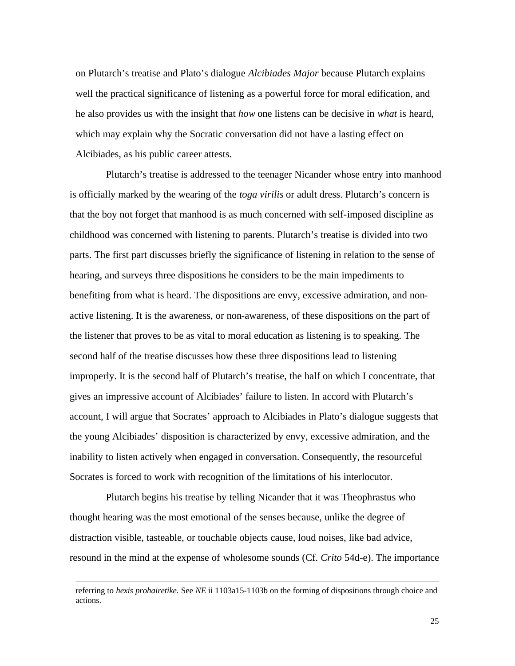on Plutarch's treatise and Plato's dialogue *Alcibiades Major* because Plutarch explains well the practical significance of listening as a powerful force for moral edification, and he also provides us with the insight that *how* one listens can be decisive in *what* is heard, which may explain why the Socratic conversation did not have a lasting effect on Alcibiades, as his public career attests.

Plutarch's treatise is addressed to the teenager Nicander whose entry into manhood is officially marked by the wearing of the *toga virilis* or adult dress. Plutarch's concern is that the boy not forget that manhood is as much concerned with self-imposed discipline as childhood was concerned with listening to parents. Plutarch's treatise is divided into two parts. The first part discusses briefly the significance of listening in relation to the sense of hearing, and surveys three dispositions he considers to be the main impediments to benefiting from what is heard. The dispositions are envy, excessive admiration, and nonactive listening. It is the awareness, or non-awareness, of these dispositions on the part of the listener that proves to be as vital to moral education as listening is to speaking. The second half of the treatise discusses how these three dispositions lead to listening improperly. It is the second half of Plutarch's treatise, the half on which I concentrate, that gives an impressive account of Alcibiades' failure to listen. In accord with Plutarch's account, I will argue that Socrates' approach to Alcibiades in Plato's dialogue suggests that the young Alcibiades' disposition is characterized by envy, excessive admiration, and the inability to listen actively when engaged in conversation. Consequently, the resourceful Socrates is forced to work with recognition of the limitations of his interlocutor.

Plutarch begins his treatise by telling Nicander that it was Theophrastus who thought hearing was the most emotional of the senses because, unlike the degree of distraction visible, tasteable, or touchable objects cause, loud noises, like bad advice, resound in the mind at the expense of wholesome sounds (Cf. *Crito* 54d-e). The importance

referring to *hexis prohairetike.* See *NE* ii 1103a15-1103b on the forming of dispositions through choice and actions.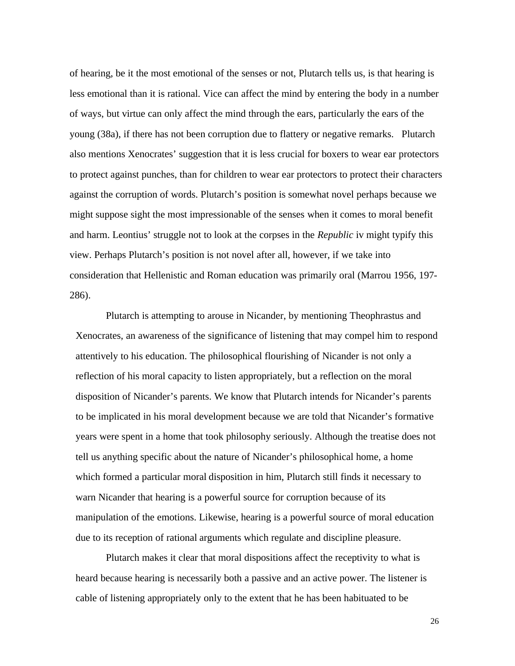of hearing, be it the most emotional of the senses or not, Plutarch tells us, is that hearing is less emotional than it is rational. Vice can affect the mind by entering the body in a number of ways, but virtue can only affect the mind through the ears, particularly the ears of the young (38a), if there has not been corruption due to flattery or negative remarks. Plutarch also mentions Xenocrates' suggestion that it is less crucial for boxers to wear ear protectors to protect against punches, than for children to wear ear protectors to protect their characters against the corruption of words. Plutarch's position is somewhat novel perhaps because we might suppose sight the most impressionable of the senses when it comes to moral benefit and harm. Leontius' struggle not to look at the corpses in the *Republic* iv might typify this view. Perhaps Plutarch's position is not novel after all, however, if we take into consideration that Hellenistic and Roman education was primarily oral (Marrou 1956, 197- 286).

Plutarch is attempting to arouse in Nicander, by mentioning Theophrastus and Xenocrates, an awareness of the significance of listening that may compel him to respond attentively to his education. The philosophical flourishing of Nicander is not only a reflection of his moral capacity to listen appropriately, but a reflection on the moral disposition of Nicander's parents. We know that Plutarch intends for Nicander's parents to be implicated in his moral development because we are told that Nicander's formative years were spent in a home that took philosophy seriously. Although the treatise does not tell us anything specific about the nature of Nicander's philosophical home, a home which formed a particular moral disposition in him, Plutarch still finds it necessary to warn Nicander that hearing is a powerful source for corruption because of its manipulation of the emotions. Likewise, hearing is a powerful source of moral education due to its reception of rational arguments which regulate and discipline pleasure.

Plutarch makes it clear that moral dispositions affect the receptivity to what is heard because hearing is necessarily both a passive and an active power. The listener is cable of listening appropriately only to the extent that he has been habituated to be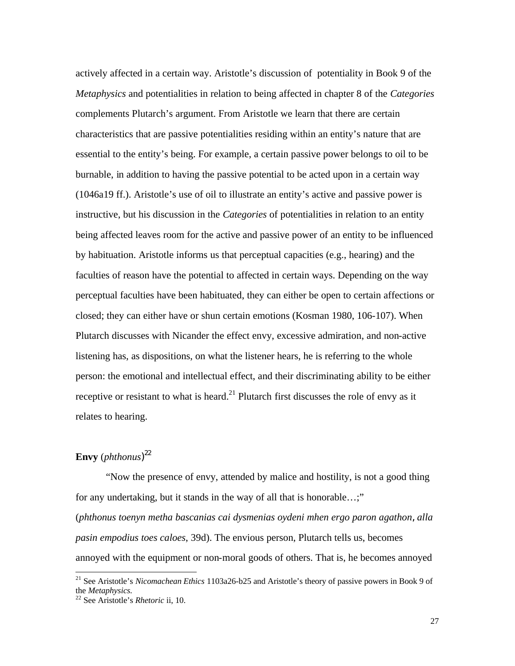actively affected in a certain way. Aristotle's discussion of potentiality in Book 9 of the *Metaphysics* and potentialities in relation to being affected in chapter 8 of the *Categories* complements Plutarch's argument. From Aristotle we learn that there are certain characteristics that are passive potentialities residing within an entity's nature that are essential to the entity's being. For example, a certain passive power belongs to oil to be burnable, in addition to having the passive potential to be acted upon in a certain way (1046a19 ff.). Aristotle's use of oil to illustrate an entity's active and passive power is instructive, but his discussion in the *Categories* of potentialities in relation to an entity being affected leaves room for the active and passive power of an entity to be influenced by habituation. Aristotle informs us that perceptual capacities (e.g., hearing) and the faculties of reason have the potential to affected in certain ways. Depending on the way perceptual faculties have been habituated, they can either be open to certain affections or closed; they can either have or shun certain emotions (Kosman 1980, 106-107). When Plutarch discusses with Nicander the effect envy, excessive admiration, and non-active listening has, as dispositions, on what the listener hears, he is referring to the whole person: the emotional and intellectual effect, and their discriminating ability to be either receptive or resistant to what is heard.<sup>21</sup> Plutarch first discusses the role of envy as it relates to hearing.

## **Envy** (*phthonus*) 22

 $\overline{a}$ 

"Now the presence of envy, attended by malice and hostility, is not a good thing for any undertaking, but it stands in the way of all that is honorable…;" (*phthonus toenyn metha bascanias cai dysmenias oydeni mhen ergo paron agathon, alla pasin empodius toes caloes*, 39d). The envious person, Plutarch tells us, becomes annoyed with the equipment or non-moral goods of others. That is, he becomes annoyed

<sup>21</sup> See Aristotle's *Nicomachean Ethics* 1103a26-b25 and Aristotle's theory of passive powers in Book 9 of the *Metaphysics*.

<sup>22</sup> See Aristotle's *Rhetoric* ii, 10.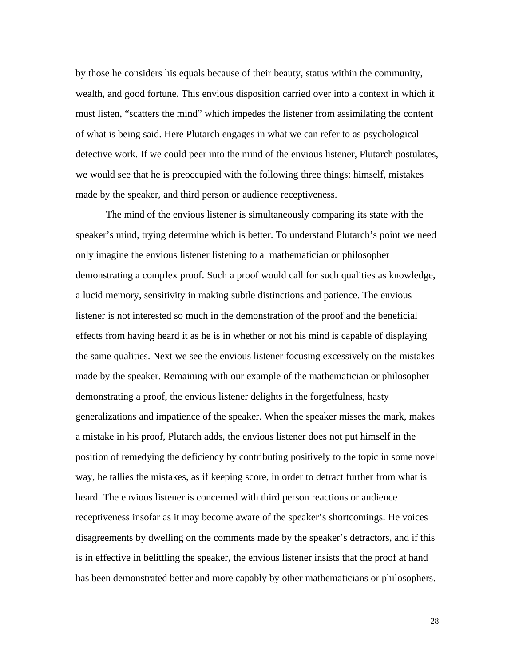by those he considers his equals because of their beauty, status within the community, wealth, and good fortune. This envious disposition carried over into a context in which it must listen, "scatters the mind" which impedes the listener from assimilating the content of what is being said. Here Plutarch engages in what we can refer to as psychological detective work. If we could peer into the mind of the envious listener, Plutarch postulates, we would see that he is preoccupied with the following three things: himself, mistakes made by the speaker, and third person or audience receptiveness.

The mind of the envious listener is simultaneously comparing its state with the speaker's mind, trying determine which is better. To understand Plutarch's point we need only imagine the envious listener listening to a mathematician or philosopher demonstrating a complex proof. Such a proof would call for such qualities as knowledge, a lucid memory, sensitivity in making subtle distinctions and patience. The envious listener is not interested so much in the demonstration of the proof and the beneficial effects from having heard it as he is in whether or not his mind is capable of displaying the same qualities. Next we see the envious listener focusing excessively on the mistakes made by the speaker. Remaining with our example of the mathematician or philosopher demonstrating a proof, the envious listener delights in the forgetfulness, hasty generalizations and impatience of the speaker. When the speaker misses the mark, makes a mistake in his proof, Plutarch adds, the envious listener does not put himself in the position of remedying the deficiency by contributing positively to the topic in some novel way, he tallies the mistakes, as if keeping score, in order to detract further from what is heard. The envious listener is concerned with third person reactions or audience receptiveness insofar as it may become aware of the speaker's shortcomings. He voices disagreements by dwelling on the comments made by the speaker's detractors, and if this is in effective in belittling the speaker, the envious listener insists that the proof at hand has been demonstrated better and more capably by other mathematicians or philosophers.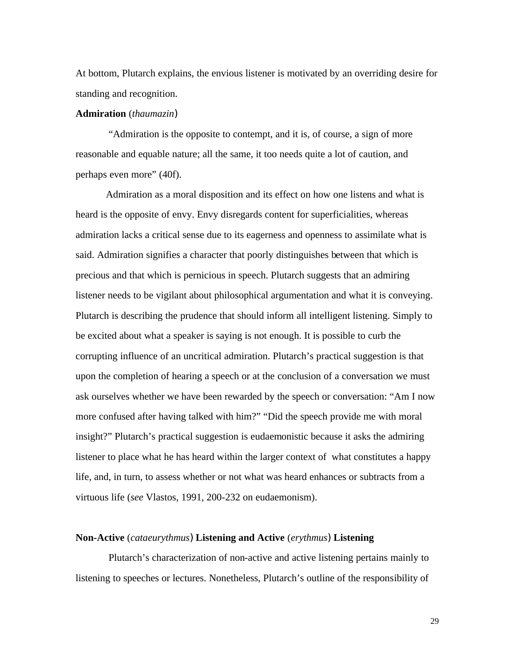At bottom, Plutarch explains, the envious listener is motivated by an overriding desire for standing and recognition.

#### **Admiration** (*thaumazin*)

"Admiration is the opposite to contempt, and it is, of course, a sign of more reasonable and equable nature; all the same, it too needs quite a lot of caution, and perhaps even more" (40f).

Admiration as a moral disposition and its effect on how one listens and what is heard is the opposite of envy. Envy disregards content for superficialities, whereas admiration lacks a critical sense due to its eagerness and openness to assimilate what is said. Admiration signifies a character that poorly distinguishes between that which is precious and that which is pernicious in speech. Plutarch suggests that an admiring listener needs to be vigilant about philosophical argumentation and what it is conveying. Plutarch is describing the prudence that should inform all intelligent listening. Simply to be excited about what a speaker is saying is not enough. It is possible to curb the corrupting influence of an uncritical admiration. Plutarch's practical suggestion is that upon the completion of hearing a speech or at the conclusion of a conversation we must ask ourselves whether we have been rewarded by the speech or conversation: "Am I now more confused after having talked with him?" "Did the speech provide me with moral insight?" Plutarch's practical suggestion is eudaemonistic because it asks the admiring listener to place what he has heard within the larger context of what constitutes a happy life, and, in turn, to assess whether or not what was heard enhances or subtracts from a virtuous life (*see* Vlastos, 1991, 200-232 on eudaemonism).

#### **Non-Active** (*cataeurythmus*) **Listening and Active** (*erythmus*) **Listening**

 Plutarch's characterization of non-active and active listening pertains mainly to listening to speeches or lectures. Nonetheless, Plutarch's outline of the responsibility of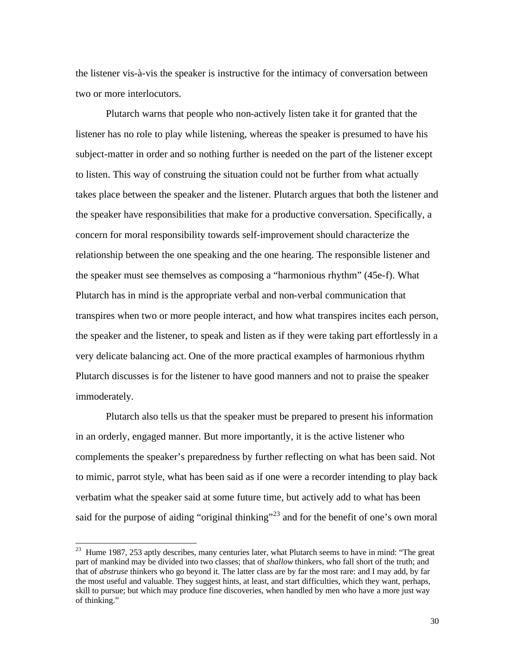the listener vis-à-vis the speaker is instructive for the intimacy of conversation between two or more interlocutors.

Plutarch warns that people who non-actively listen take it for granted that the listener has no role to play while listening, whereas the speaker is presumed to have his subject-matter in order and so nothing further is needed on the part of the listener except to listen. This way of construing the situation could not be further from what actually takes place between the speaker and the listener. Plutarch argues that both the listener and the speaker have responsibilities that make for a productive conversation. Specifically, a concern for moral responsibility towards self-improvement should characterize the relationship between the one speaking and the one hearing. The responsible listener and the speaker must see themselves as composing a "harmonious rhythm" (45e-f). What Plutarch has in mind is the appropriate verbal and non-verbal communication that transpires when two or more people interact, and how what transpires incites each person, the speaker and the listener, to speak and listen as if they were taking part effortlessly in a very delicate balancing act. One of the more practical examples of harmonious rhythm Plutarch discusses is for the listener to have good manners and not to praise the speaker immoderately.

Plutarch also tells us that the speaker must be prepared to present his information in an orderly, engaged manner. But more importantly, it is the active listener who complements the speaker's preparedness by further reflecting on what has been said. Not to mimic, parrot style, what has been said as if one were a recorder intending to play back verbatim what the speaker said at some future time, but actively add to what has been said for the purpose of aiding "original thinking"<sup>23</sup> and for the benefit of one's own moral

 $23$  Hume 1987, 253 aptly describes, many centuries later, what Plutarch seems to have in mind: "The great part of mankind may be divided into two classes; that of *shallow* thinkers, who fall short of the truth; and that of *abstruse* thinkers who go beyond it. The latter class are by far the most rare: and I may add, by far the most useful and valuable. They suggest hints, at least, and start difficulties, which they want, perhaps, skill to pursue; but which may produce fine discoveries, when handled by men who have a more just way of thinking."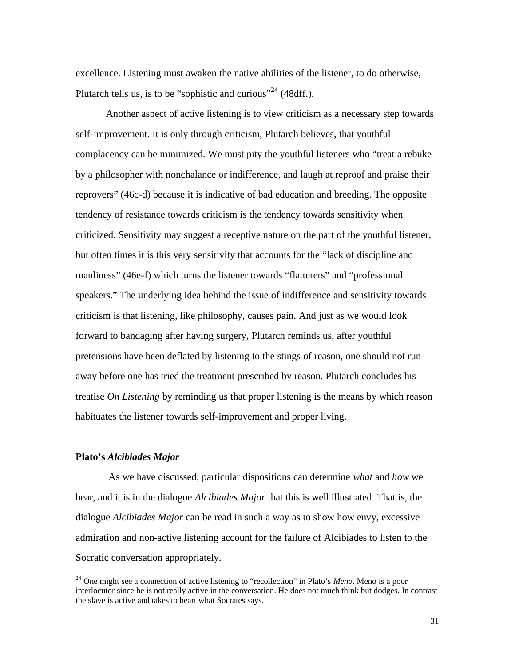excellence. Listening must awaken the native abilities of the listener, to do otherwise, Plutarch tells us, is to be "sophistic and curious"<sup>24</sup> (48dff.).

Another aspect of active listening is to view criticism as a necessary step towards self-improvement. It is only through criticism, Plutarch believes, that youthful complacency can be minimized. We must pity the youthful listeners who "treat a rebuke by a philosopher with nonchalance or indifference, and laugh at reproof and praise their reprovers" (46c-d) because it is indicative of bad education and breeding. The opposite tendency of resistance towards criticism is the tendency towards sensitivity when criticized. Sensitivity may suggest a receptive nature on the part of the youthful listener, but often times it is this very sensitivity that accounts for the "lack of discipline and manliness" (46e-f) which turns the listener towards "flatterers" and "professional speakers." The underlying idea behind the issue of indifference and sensitivity towards criticism is that listening, like philosophy, causes pain. And just as we would look forward to bandaging after having surgery, Plutarch reminds us, after youthful pretensions have been deflated by listening to the stings of reason, one should not run away before one has tried the treatment prescribed by reason. Plutarch concludes his treatise *On Listening* by reminding us that proper listening is the means by which reason habituates the listener towards self-improvement and proper living.

#### **Plato's** *Alcibiades Major*

-

 As we have discussed, particular dispositions can determine *what* and *how* we hear, and it is in the dialogue *Alcibiades Major* that this is well illustrated. That is, the dialogue *Alcibiades Major* can be read in such a way as to show how envy, excessive admiration and non-active listening account for the failure of Alcibiades to listen to the Socratic conversation appropriately.

<sup>24</sup> One might see a connection of active listening to "recollection" in Plato's *Meno*. Meno is a poor interlocutor since he is not really active in the conversation. He does not much think but dodges. In contrast the slave is active and takes to heart what Socrates says.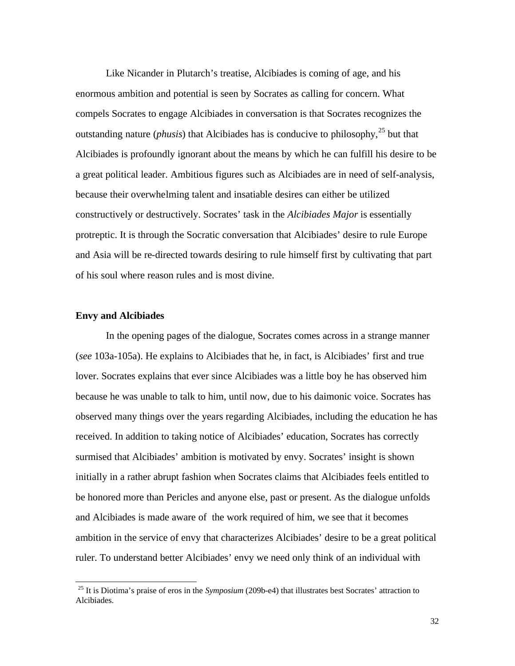Like Nicander in Plutarch's treatise, Alcibiades is coming of age, and his enormous ambition and potential is seen by Socrates as calling for concern. What compels Socrates to engage Alcibiades in conversation is that Socrates recognizes the outstanding nature (*phusis*) that Alcibiades has is conducive to philosophy,<sup>25</sup> but that Alcibiades is profoundly ignorant about the means by which he can fulfill his desire to be a great political leader. Ambitious figures such as Alcibiades are in need of self-analysis, because their overwhelming talent and insatiable desires can either be utilized constructively or destructively. Socrates' task in the *Alcibiades Major* is essentially protreptic. It is through the Socratic conversation that Alcibiades' desire to rule Europe and Asia will be re-directed towards desiring to rule himself first by cultivating that part of his soul where reason rules and is most divine.

#### **Envy and Alcibiades**

-

In the opening pages of the dialogue, Socrates comes across in a strange manner (*see* 103a-105a). He explains to Alcibiades that he, in fact, is Alcibiades' first and true lover. Socrates explains that ever since Alcibiades was a little boy he has observed him because he was unable to talk to him, until now, due to his daimonic voice. Socrates has observed many things over the years regarding Alcibiades, including the education he has received. In addition to taking notice of Alcibiades' education, Socrates has correctly surmised that Alcibiades' ambition is motivated by envy. Socrates' insight is shown initially in a rather abrupt fashion when Socrates claims that Alcibiades feels entitled to be honored more than Pericles and anyone else, past or present. As the dialogue unfolds and Alcibiades is made aware of the work required of him, we see that it becomes ambition in the service of envy that characterizes Alcibiades' desire to be a great political ruler. To understand better Alcibiades' envy we need only think of an individual with

<sup>25</sup> It is Diotima's praise of eros in the *Symposium* (209b-e4) that illustrates best Socrates' attraction to Alcibiades.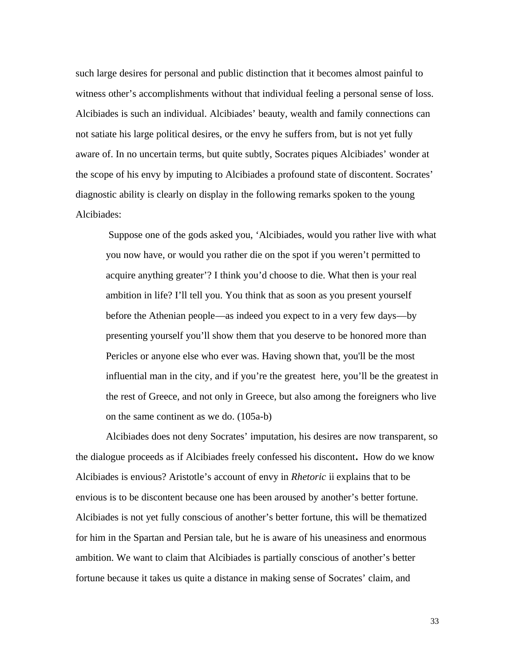such large desires for personal and public distinction that it becomes almost painful to witness other's accomplishments without that individual feeling a personal sense of loss. Alcibiades is such an individual. Alcibiades' beauty, wealth and family connections can not satiate his large political desires, or the envy he suffers from, but is not yet fully aware of. In no uncertain terms, but quite subtly, Socrates piques Alcibiades' wonder at the scope of his envy by imputing to Alcibiades a profound state of discontent. Socrates' diagnostic ability is clearly on display in the following remarks spoken to the young Alcibiades:

Suppose one of the gods asked you, 'Alcibiades, would you rather live with what you now have, or would you rather die on the spot if you weren't permitted to acquire anything greater'? I think you'd choose to die. What then is your real ambition in life? I'll tell you. You think that as soon as you present yourself before the Athenian people—as indeed you expect to in a very few days—by presenting yourself you'll show them that you deserve to be honored more than Pericles or anyone else who ever was. Having shown that, you'll be the most influential man in the city, and if you're the greatest here, you'll be the greatest in the rest of Greece, and not only in Greece, but also among the foreigners who live on the same continent as we do. (105a-b)

Alcibiades does not deny Socrates' imputation, his desires are now transparent, so the dialogue proceeds as if Alcibiades freely confessed his discontent**.** How do we know Alcibiades is envious? Aristotle's account of envy in *Rhetoric* ii explains that to be envious is to be discontent because one has been aroused by another's better fortune. Alcibiades is not yet fully conscious of another's better fortune, this will be thematized for him in the Spartan and Persian tale, but he is aware of his uneasiness and enormous ambition. We want to claim that Alcibiades is partially conscious of another's better fortune because it takes us quite a distance in making sense of Socrates' claim, and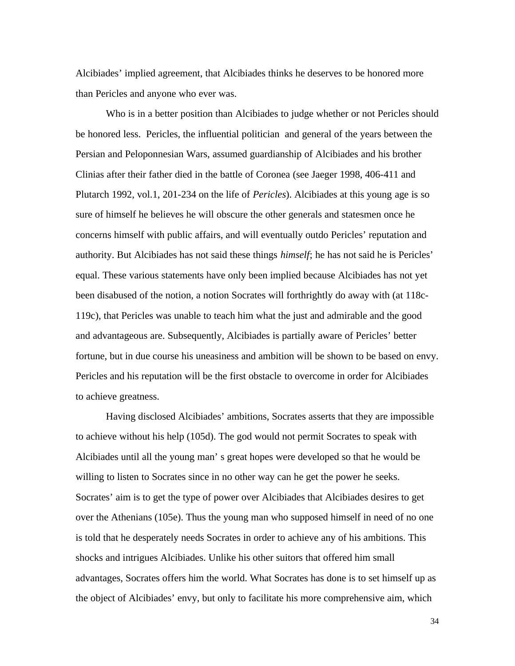Alcibiades' implied agreement, that Alcibiades thinks he deserves to be honored more than Pericles and anyone who ever was.

Who is in a better position than Alcibiades to judge whether or not Pericles should be honored less. Pericles, the influential politician and general of the years between the Persian and Peloponnesian Wars, assumed guardianship of Alcibiades and his brother Clinias after their father died in the battle of Coronea (see Jaeger 1998, 406-411 and Plutarch 1992, vol.1, 201-234 on the life of *Pericles*). Alcibiades at this young age is so sure of himself he believes he will obscure the other generals and statesmen once he concerns himself with public affairs, and will eventually outdo Pericles' reputation and authority. But Alcibiades has not said these things *himself*; he has not said he is Pericles' equal. These various statements have only been implied because Alcibiades has not yet been disabused of the notion, a notion Socrates will forthrightly do away with (at 118c-119c), that Pericles was unable to teach him what the just and admirable and the good and advantageous are. Subsequently, Alcibiades is partially aware of Pericles' better fortune, but in due course his uneasiness and ambition will be shown to be based on envy. Pericles and his reputation will be the first obstacle to overcome in order for Alcibiades to achieve greatness.

Having disclosed Alcibiades' ambitions, Socrates asserts that they are impossible to achieve without his help (105d). The god would not permit Socrates to speak with Alcibiades until all the young man' s great hopes were developed so that he would be willing to listen to Socrates since in no other way can he get the power he seeks. Socrates' aim is to get the type of power over Alcibiades that Alcibiades desires to get over the Athenians (105e). Thus the young man who supposed himself in need of no one is told that he desperately needs Socrates in order to achieve any of his ambitions. This shocks and intrigues Alcibiades. Unlike his other suitors that offered him small advantages, Socrates offers him the world. What Socrates has done is to set himself up as the object of Alcibiades' envy, but only to facilitate his more comprehensive aim, which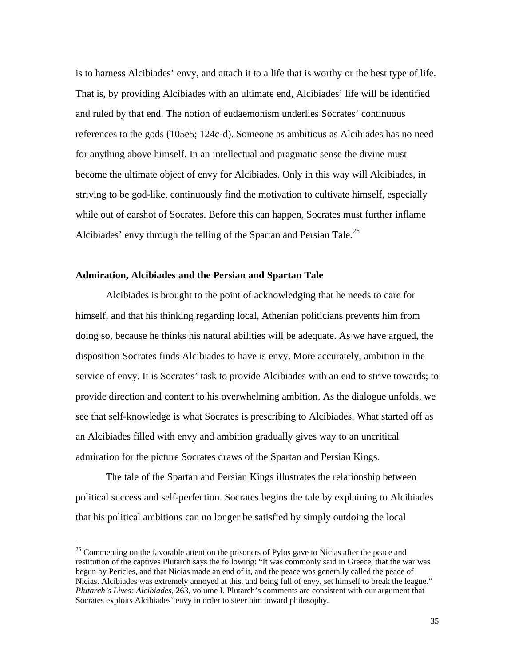is to harness Alcibiades' envy, and attach it to a life that is worthy or the best type of life. That is, by providing Alcibiades with an ultimate end, Alcibiades' life will be identified and ruled by that end. The notion of eudaemonism underlies Socrates' continuous references to the gods (105e5; 124c-d). Someone as ambitious as Alcibiades has no need for anything above himself. In an intellectual and pragmatic sense the divine must become the ultimate object of envy for Alcibiades. Only in this way will Alcibiades, in striving to be god-like, continuously find the motivation to cultivate himself, especially while out of earshot of Socrates. Before this can happen, Socrates must further inflame Alcibiades' envy through the telling of the Spartan and Persian Tale.<sup>26</sup>

#### **Admiration, Alcibiades and the Persian and Spartan Tale**

 $\overline{a}$ 

Alcibiades is brought to the point of acknowledging that he needs to care for himself, and that his thinking regarding local, Athenian politicians prevents him from doing so, because he thinks his natural abilities will be adequate. As we have argued, the disposition Socrates finds Alcibiades to have is envy. More accurately, ambition in the service of envy. It is Socrates' task to provide Alcibiades with an end to strive towards; to provide direction and content to his overwhelming ambition. As the dialogue unfolds, we see that self-knowledge is what Socrates is prescribing to Alcibiades. What started off as an Alcibiades filled with envy and ambition gradually gives way to an uncritical admiration for the picture Socrates draws of the Spartan and Persian Kings.

The tale of the Spartan and Persian Kings illustrates the relationship between political success and self-perfection. Socrates begins the tale by explaining to Alcibiades that his political ambitions can no longer be satisfied by simply outdoing the local

<sup>&</sup>lt;sup>26</sup> Commenting on the favorable attention the prisoners of Pylos gave to Nicias after the peace and restitution of the captives Plutarch says the following: "It was commonly said in Greece, that the war was begun by Pericles, and that Nicias made an end of it, and the peace was generally called the peace of Nicias. Alcibiades was extremely annoyed at this, and being full of envy, set himself to break the league." *Plutarch's Lives: Alcibiades*, 263, volume I. Plutarch's comments are consistent with our argument that Socrates exploits Alcibiades' envy in order to steer him toward philosophy.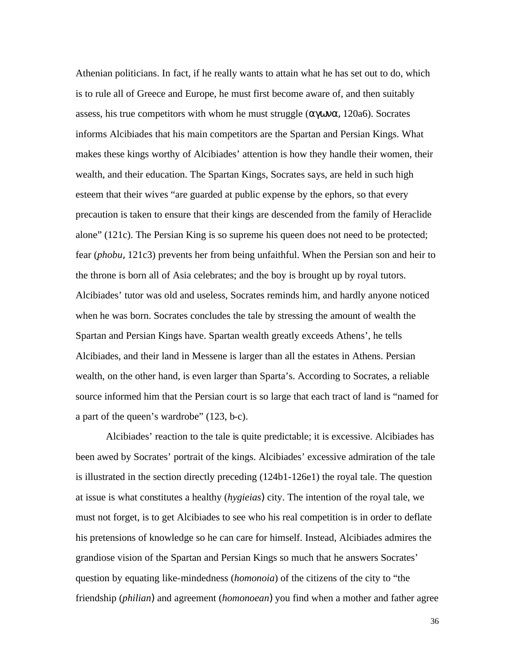Athenian politicians. In fact, if he really wants to attain what he has set out to do, which is to rule all of Greece and Europe, he must first become aware of, and then suitably assess, his true competitors with whom he must struggle ( $\alpha \gamma \omega v \alpha$ , 120a6). Socrates informs Alcibiades that his main competitors are the Spartan and Persian Kings. What makes these kings worthy of Alcibiades' attention is how they handle their women, their wealth, and their education. The Spartan Kings, Socrates says, are held in such high esteem that their wives "are guarded at public expense by the ephors, so that every precaution is taken to ensure that their kings are descended from the family of Heraclide alone" (121c). The Persian King is so supreme his queen does not need to be protected; fear (*phobu*, 121c3) prevents her from being unfaithful. When the Persian son and heir to the throne is born all of Asia celebrates; and the boy is brought up by royal tutors. Alcibiades' tutor was old and useless, Socrates reminds him, and hardly anyone noticed when he was born. Socrates concludes the tale by stressing the amount of wealth the Spartan and Persian Kings have. Spartan wealth greatly exceeds Athens', he tells Alcibiades, and their land in Messene is larger than all the estates in Athens. Persian wealth, on the other hand, is even larger than Sparta's. According to Socrates, a reliable source informed him that the Persian court is so large that each tract of land is "named for a part of the queen's wardrobe" (123, b-c).

Alcibiades' reaction to the tale is quite predictable; it is excessive. Alcibiades has been awed by Socrates' portrait of the kings. Alcibiades' excessive admiration of the tale is illustrated in the section directly preceding (124b1-126e1) the royal tale. The question at issue is what constitutes a healthy (*hygieias*) city. The intention of the royal tale, we must not forget, is to get Alcibiades to see who his real competition is in order to deflate his pretensions of knowledge so he can care for himself. Instead, Alcibiades admires the grandiose vision of the Spartan and Persian Kings so much that he answers Socrates' question by equating like-mindedness (*homonoia*) of the citizens of the city to "the friendship (*philian*) and agreement (*homonoean*) you find when a mother and father agree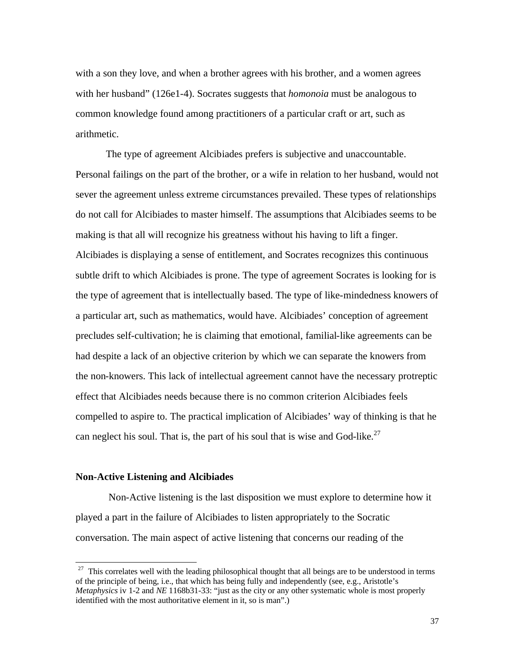with a son they love, and when a brother agrees with his brother, and a women agrees with her husband" (126e1-4). Socrates suggests that *homonoia* must be analogous to common knowledge found among practitioners of a particular craft or art, such as arithmetic.

The type of agreement Alcibiades prefers is subjective and unaccountable. Personal failings on the part of the brother, or a wife in relation to her husband, would not sever the agreement unless extreme circumstances prevailed. These types of relationships do not call for Alcibiades to master himself. The assumptions that Alcibiades seems to be making is that all will recognize his greatness without his having to lift a finger. Alcibiades is displaying a sense of entitlement, and Socrates recognizes this continuous subtle drift to which Alcibiades is prone. The type of agreement Socrates is looking for is the type of agreement that is intellectually based. The type of like-mindedness knowers of a particular art, such as mathematics, would have. Alcibiades' conception of agreement precludes self-cultivation; he is claiming that emotional, familial-like agreements can be had despite a lack of an objective criterion by which we can separate the knowers from the non-knowers. This lack of intellectual agreement cannot have the necessary protreptic effect that Alcibiades needs because there is no common criterion Alcibiades feels compelled to aspire to. The practical implication of Alcibiades' way of thinking is that he can neglect his soul. That is, the part of his soul that is wise and God-like.<sup>27</sup>

#### **Non-Active Listening and Alcibiades**

 $\overline{a}$ 

 Non-Active listening is the last disposition we must explore to determine how it played a part in the failure of Alcibiades to listen appropriately to the Socratic conversation. The main aspect of active listening that concerns our reading of the

 $27$  This correlates well with the leading philosophical thought that all beings are to be understood in terms of the principle of being, i.e., that which has being fully and independently (see, e.g., Aristotle's *Metaphysics* iv 1-2 and *NE* 1168b31-33: "just as the city or any other systematic whole is most properly identified with the most authoritative element in it, so is man".)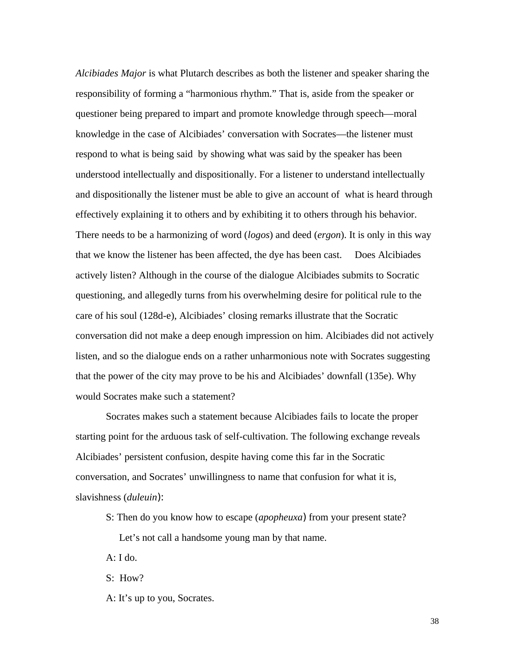*Alcibiades Major* is what Plutarch describes as both the listener and speaker sharing the responsibility of forming a "harmonious rhythm." That is, aside from the speaker or questioner being prepared to impart and promote knowledge through speech—moral knowledge in the case of Alcibiades' conversation with Socrates—the listener must respond to what is being said by showing what was said by the speaker has been understood intellectually and dispositionally. For a listener to understand intellectually and dispositionally the listener must be able to give an account of what is heard through effectively explaining it to others and by exhibiting it to others through his behavior. There needs to be a harmonizing of word (*logos*) and deed (*ergon*). It is only in this way that we know the listener has been affected, the dye has been cast. Does Alcibiades actively listen? Although in the course of the dialogue Alcibiades submits to Socratic questioning, and allegedly turns from his overwhelming desire for political rule to the care of his soul (128d-e), Alcibiades' closing remarks illustrate that the Socratic conversation did not make a deep enough impression on him. Alcibiades did not actively listen, and so the dialogue ends on a rather unharmonious note with Socrates suggesting that the power of the city may prove to be his and Alcibiades' downfall (135e). Why would Socrates make such a statement?

Socrates makes such a statement because Alcibiades fails to locate the proper starting point for the arduous task of self-cultivation. The following exchange reveals Alcibiades' persistent confusion, despite having come this far in the Socratic conversation, and Socrates' unwillingness to name that confusion for what it is, slavishness (*duleuin*):

S: Then do you know how to escape (*apopheuxa*) from your present state?

Let's not call a handsome young man by that name.

 $A: I$  do.

S: How?

A: It's up to you, Socrates.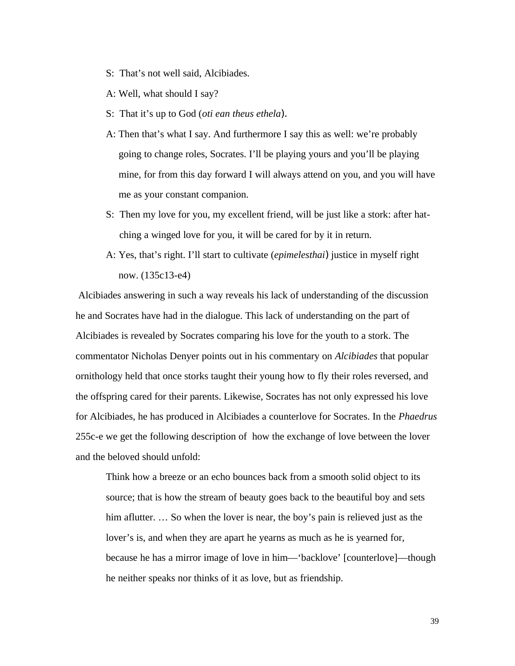- S: That's not well said, Alcibiades.
- A: Well, what should I say?
- S: That it's up to God (*oti ean theus ethela*).
- A: Then that's what I say. And furthermore I say this as well: we're probably going to change roles, Socrates. I'll be playing yours and you'll be playing mine, for from this day forward I will always attend on you, and you will have me as your constant companion.
- S: Then my love for you, my excellent friend, will be just like a stork: after hat ching a winged love for you, it will be cared for by it in return.
- A: Yes, that's right. I'll start to cultivate (*epimelesthai*) justice in myself right now. (135c13-e4)

 Alcibiades answering in such a way reveals his lack of understanding of the discussion he and Socrates have had in the dialogue. This lack of understanding on the part of Alcibiades is revealed by Socrates comparing his love for the youth to a stork. The commentator Nicholas Denyer points out in his commentary on *Alcibiades* that popular ornithology held that once storks taught their young how to fly their roles reversed, and the offspring cared for their parents. Likewise, Socrates has not only expressed his love for Alcibiades, he has produced in Alcibiades a counterlove for Socrates. In the *Phaedrus*  255c-e we get the following description of how the exchange of love between the lover and the beloved should unfold:

Think how a breeze or an echo bounces back from a smooth solid object to its source; that is how the stream of beauty goes back to the beautiful boy and sets him aflutter. ... So when the lover is near, the boy's pain is relieved just as the lover's is, and when they are apart he yearns as much as he is yearned for, because he has a mirror image of love in him—'backlove' [counterlove]—though he neither speaks nor thinks of it as love, but as friendship.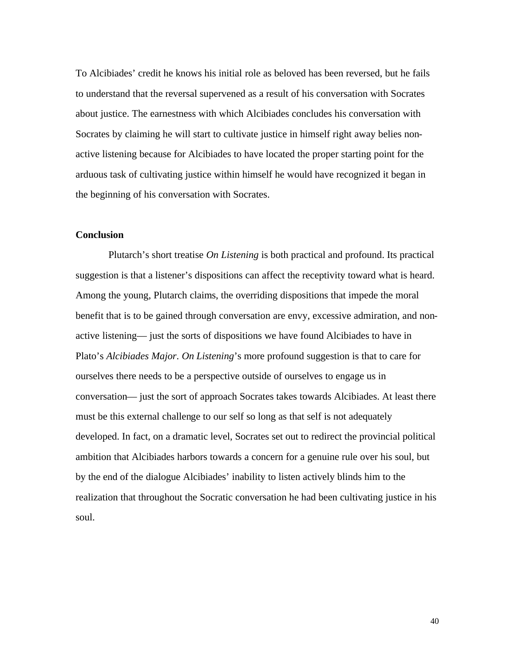To Alcibiades' credit he knows his initial role as beloved has been reversed, but he fails to understand that the reversal supervened as a result of his conversation with Socrates about justice. The earnestness with which Alcibiades concludes his conversation with Socrates by claiming he will start to cultivate justice in himself right away belies nonactive listening because for Alcibiades to have located the proper starting point for the arduous task of cultivating justice within himself he would have recognized it began in the beginning of his conversation with Socrates.

# **Conclusion**

 Plutarch's short treatise *On Listening* is both practical and profound. Its practical suggestion is that a listener's dispositions can affect the receptivity toward what is heard. Among the young, Plutarch claims, the overriding dispositions that impede the moral benefit that is to be gained through conversation are envy, excessive admiration, and nonactive listening— just the sorts of dispositions we have found Alcibiades to have in Plato's *Alcibiades Major*. *On Listening*'s more profound suggestion is that to care for ourselves there needs to be a perspective outside of ourselves to engage us in conversation— just the sort of approach Socrates takes towards Alcibiades. At least there must be this external challenge to our self so long as that self is not adequately developed. In fact, on a dramatic level, Socrates set out to redirect the provincial political ambition that Alcibiades harbors towards a concern for a genuine rule over his soul, but by the end of the dialogue Alcibiades' inability to listen actively blinds him to the realization that throughout the Socratic conversation he had been cultivating justice in his soul.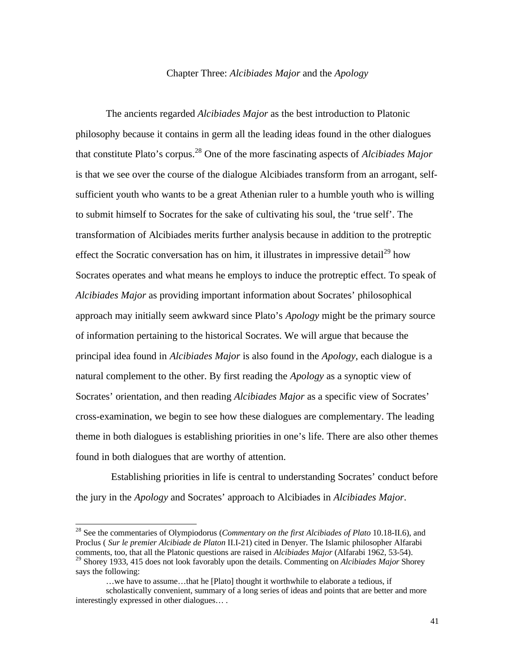# Chapter Three: *Alcibiades Major* and the *Apology*

The ancients regarded *Alcibiades Major* as the best introduction to Platonic philosophy because it contains in germ all the leading ideas found in the other dialogues that constitute Plato's corpus.<sup>28</sup> One of the more fascinating aspects of *Alcibiades Major* is that we see over the course of the dialogue Alcibiades transform from an arrogant, selfsufficient youth who wants to be a great Athenian ruler to a humble youth who is willing to submit himself to Socrates for the sake of cultivating his soul, the 'true self'. The transformation of Alcibiades merits further analysis because in addition to the protreptic effect the Socratic conversation has on him, it illustrates in impressive detail<sup>29</sup> how Socrates operates and what means he employs to induce the protreptic effect. To speak of *Alcibiades Major* as providing important information about Socrates' philosophical approach may initially seem awkward since Plato's *Apology* might be the primary source of information pertaining to the historical Socrates. We will argue that because the principal idea found in *Alcibiades Major* is also found in the *Apology*, each dialogue is a natural complement to the other. By first reading the *Apology* as a synoptic view of Socrates' orientation, and then reading *Alcibiades Major* as a specific view of Socrates' cross-examination, we begin to see how these dialogues are complementary. The leading theme in both dialogues is establishing priorities in one's life. There are also other themes found in both dialogues that are worthy of attention.

 Establishing priorities in life is central to understanding Socrates' conduct before the jury in the *Apology* and Socrates' approach to Alcibiades in *Alcibiades Major*.

 $\overline{a}$ 

<sup>28</sup> See the commentaries of Olympiodorus (*Commentary on the first Alcibiades of Plato* 10.18-II.6), and Proclus ( *Sur le premier Alcibiade de Platon* II.I-21) cited in Denyer. The Islamic philosopher Alfarabi comments, too, that all the Platonic questions are raised in *Alcibiades Major* (Alfarabi 1962, 53-54). <sup>29</sup> Shorey 1933, 415 does not look favorably upon the details. Commenting on *Alcibiades Major* Shorey says the following:

<sup>…</sup>we have to assume…that he [Plato] thought it worthwhile to elaborate a tedious, if

scholastically convenient, summary of a long series of ideas and points that are better and more interestingly expressed in other dialogues… .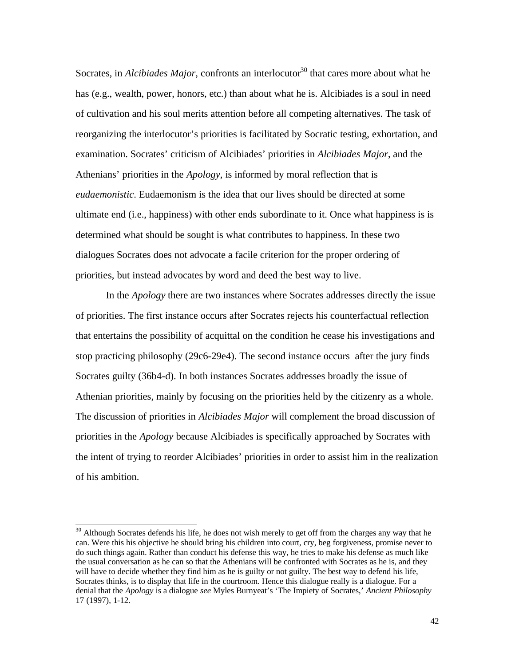Socrates, in *Alcibiades Major*, confronts an interlocutor<sup>30</sup> that cares more about what he has (e.g., wealth, power, honors, etc.) than about what he is. Alcibiades is a soul in need of cultivation and his soul merits attention before all competing alternatives. The task of reorganizing the interlocutor's priorities is facilitated by Socratic testing, exhortation, and examination. Socrates' criticism of Alcibiades' priorities in *Alcibiades Major*, and the Athenians' priorities in the *Apology*, is informed by moral reflection that is *eudaemonistic*. Eudaemonism is the idea that our lives should be directed at some ultimate end (i.e., happiness) with other ends subordinate to it. Once what happiness is is determined what should be sought is what contributes to happiness. In these two dialogues Socrates does not advocate a facile criterion for the proper ordering of priorities, but instead advocates by word and deed the best way to live.

In the *Apology* there are two instances where Socrates addresses directly the issue of priorities. The first instance occurs after Socrates rejects his counterfactual reflection that entertains the possibility of acquittal on the condition he cease his investigations and stop practicing philosophy (29c6-29e4). The second instance occurs after the jury finds Socrates guilty (36b4-d). In both instances Socrates addresses broadly the issue of Athenian priorities, mainly by focusing on the priorities held by the citizenry as a whole. The discussion of priorities in *Alcibiades Major* will complement the broad discussion of priorities in the *Apology* because Alcibiades is specifically approached by Socrates with the intent of trying to reorder Alcibiades' priorities in order to assist him in the realization of his ambition.

-

 $30$  Although Socrates defends his life, he does not wish merely to get off from the charges any way that he can. Were this his objective he should bring his children into court, cry, beg forgiveness, promise never to do such things again. Rather than conduct his defense this way, he tries to make his defense as much like the usual conversation as he can so that the Athenians will be confronted with Socrates as he is, and they will have to decide whether they find him as he is guilty or not guilty. The best way to defend his life, Socrates thinks, is to display that life in the courtroom. Hence this dialogue really is a dialogue. For a denial that the *Apology* is a dialogue *see* Myles Burnyeat's 'The Impiety of Socrates,' *Ancient Philosophy* 17 (1997), 1-12.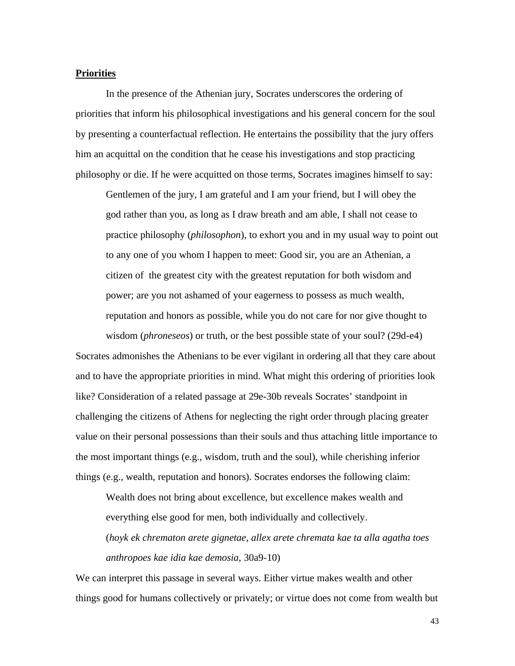## **Priorities**

In the presence of the Athenian jury, Socrates underscores the ordering of priorities that inform his philosophical investigations and his general concern for the soul by presenting a counterfactual reflection. He entertains the possibility that the jury offers him an acquittal on the condition that he cease his investigations and stop practicing philosophy or die. If he were acquitted on those terms, Socrates imagines himself to say:

Gentlemen of the jury, I am grateful and I am your friend, but I will obey the god rather than you, as long as I draw breath and am able, I shall not cease to practice philosophy (*philosophon*), to exhort you and in my usual way to point out to any one of you whom I happen to meet: Good sir, you are an Athenian, a citizen of the greatest city with the greatest reputation for both wisdom and power; are you not ashamed of your eagerness to possess as much wealth, reputation and honors as possible, while you do not care for nor give thought to

wisdom (*phroneseos*) or truth, or the best possible state of your soul? (29d-e4) Socrates admonishes the Athenians to be ever vigilant in ordering all that they care about and to have the appropriate priorities in mind. What might this ordering of priorities look like? Consideration of a related passage at 29e-30b reveals Socrates' standpoint in challenging the citizens of Athens for neglecting the right order through placing greater value on their personal possessions than their souls and thus attaching little importance to the most important things (e.g., wisdom, truth and the soul), while cherishing inferior things (e.g., wealth, reputation and honors). Socrates endorses the following claim:

Wealth does not bring about excellence, but excellence makes wealth and everything else good for men, both individually and collectively. (*hoyk ek chrematon arete gignetae, allex arete chremata kae ta alla agatha toes anthropoes kae idia kae demosia*, 30a9-10)

We can interpret this passage in several ways. Either virtue makes wealth and other things good for humans collectively or privately; or virtue does not come from wealth but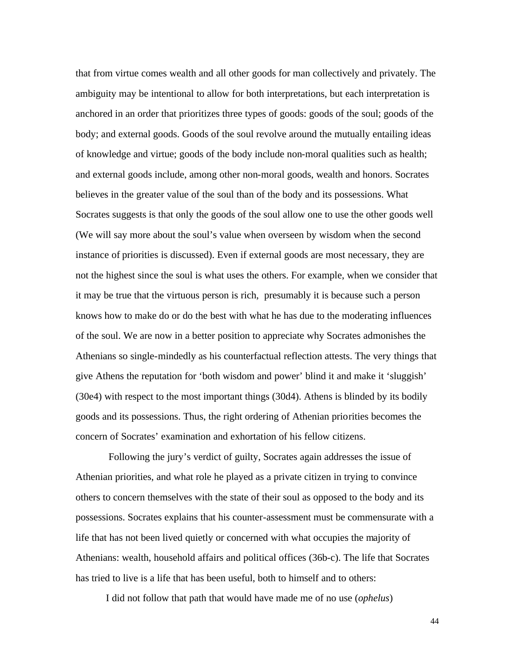that from virtue comes wealth and all other goods for man collectively and privately. The ambiguity may be intentional to allow for both interpretations, but each interpretation is anchored in an order that prioritizes three types of goods: goods of the soul; goods of the body; and external goods. Goods of the soul revolve around the mutually entailing ideas of knowledge and virtue; goods of the body include non-moral qualities such as health; and external goods include, among other non-moral goods, wealth and honors. Socrates believes in the greater value of the soul than of the body and its possessions. What Socrates suggests is that only the goods of the soul allow one to use the other goods well (We will say more about the soul's value when overseen by wisdom when the second instance of priorities is discussed). Even if external goods are most necessary, they are not the highest since the soul is what uses the others. For example, when we consider that it may be true that the virtuous person is rich, presumably it is because such a person knows how to make do or do the best with what he has due to the moderating influences of the soul. We are now in a better position to appreciate why Socrates admonishes the Athenians so single-mindedly as his counterfactual reflection attests. The very things that give Athens the reputation for 'both wisdom and power' blind it and make it 'sluggish' (30e4) with respect to the most important things (30d4). Athens is blinded by its bodily goods and its possessions. Thus, the right ordering of Athenian priorities becomes the concern of Socrates' examination and exhortation of his fellow citizens.

 Following the jury's verdict of guilty, Socrates again addresses the issue of Athenian priorities, and what role he played as a private citizen in trying to convince others to concern themselves with the state of their soul as opposed to the body and its possessions. Socrates explains that his counter-assessment must be commensurate with a life that has not been lived quietly or concerned with what occupies the majority of Athenians: wealth, household affairs and political offices (36b-c). The life that Socrates has tried to live is a life that has been useful, both to himself and to others:

I did not follow that path that would have made me of no use (*ophelus*)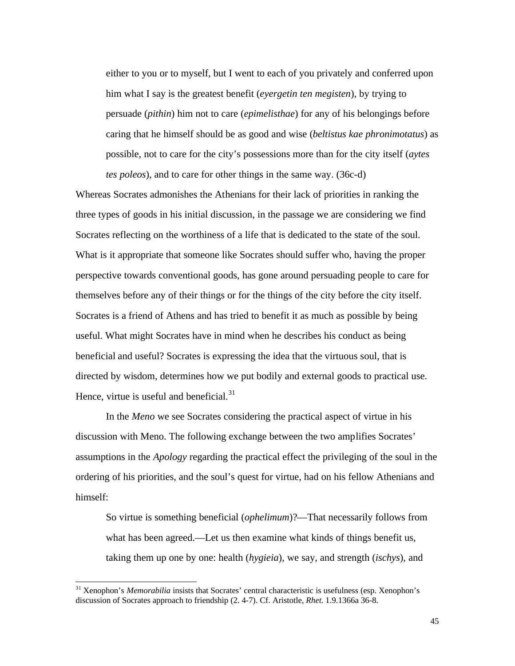either to you or to myself, but I went to each of you privately and conferred upon him what I say is the greatest benefit (*eyergetin ten megisten*), by trying to persuade (*pithin*) him not to care (*epimelisthae*) for any of his belongings before caring that he himself should be as good and wise (*beltistus kae phronimotatus*) as possible, not to care for the city's possessions more than for the city itself (*aytes tes poleos*), and to care for other things in the same way. (36c-d)

Whereas Socrates admonishes the Athenians for their lack of priorities in ranking the three types of goods in his initial discussion, in the passage we are considering we find Socrates reflecting on the worthiness of a life that is dedicated to the state of the soul. What is it appropriate that someone like Socrates should suffer who, having the proper perspective towards conventional goods, has gone around persuading people to care for themselves before any of their things or for the things of the city before the city itself. Socrates is a friend of Athens and has tried to benefit it as much as possible by being useful. What might Socrates have in mind when he describes his conduct as being beneficial and useful? Socrates is expressing the idea that the virtuous soul, that is directed by wisdom, determines how we put bodily and external goods to practical use. Hence, virtue is useful and beneficial. $31$ 

In the *Meno* we see Socrates considering the practical aspect of virtue in his discussion with Meno. The following exchange between the two amplifies Socrates' assumptions in the *Apology* regarding the practical effect the privileging of the soul in the ordering of his priorities, and the soul's quest for virtue, had on his fellow Athenians and himself:

So virtue is something beneficial (*ophelimum*)?—That necessarily follows from what has been agreed.—Let us then examine what kinds of things benefit us, taking them up one by one: health (*hygieia*), we say, and strength (*ischys*), and

 $\overline{a}$ 

<sup>31</sup> Xenophon's *Memorabilia* insists that Socrates' central characteristic is usefulness (esp. Xenophon's discussion of Socrates approach to friendship (2. 4-7). Cf. Aristotle, *Rhet*. 1.9.1366a 36-8.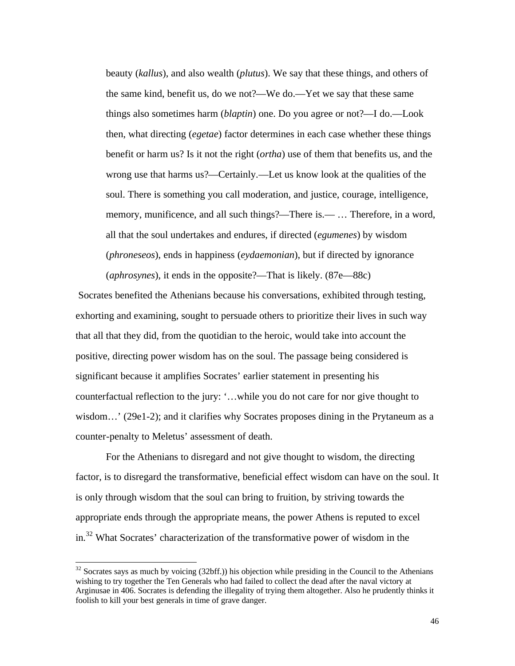beauty (*kallus*), and also wealth (*plutus*). We say that these things, and others of the same kind, benefit us, do we not?—We do.—Yet we say that these same things also sometimes harm (*blaptin*) one. Do you agree or not?—I do.—Look then, what directing (*egetae*) factor determines in each case whether these things benefit or harm us? Is it not the right (*ortha*) use of them that benefits us, and the wrong use that harms us?—Certainly.—Let us know look at the qualities of the soul. There is something you call moderation, and justice, courage, intelligence, memory, munificence, and all such things?—There is.— … Therefore, in a word, all that the soul undertakes and endures, if directed (*egumenes*) by wisdom (*phroneseos*), ends in happiness (*eydaemonian*), but if directed by ignorance (*aphrosynes*), it ends in the opposite?—That is likely. (87e—88c)

 Socrates benefited the Athenians because his conversations, exhibited through testing, exhorting and examining, sought to persuade others to prioritize their lives in such way that all that they did, from the quotidian to the heroic, would take into account the positive, directing power wisdom has on the soul. The passage being considered is significant because it amplifies Socrates' earlier statement in presenting his counterfactual reflection to the jury: '…while you do not care for nor give thought to wisdom...' (29e1-2); and it clarifies why Socrates proposes dining in the Prytaneum as a counter-penalty to Meletus' assessment of death.

For the Athenians to disregard and not give thought to wisdom, the directing factor, is to disregard the transformative, beneficial effect wisdom can have on the soul. It is only through wisdom that the soul can bring to fruition, by striving towards the appropriate ends through the appropriate means, the power Athens is reputed to excel in.<sup>32</sup> What Socrates' characterization of the transformative power of wisdom in the

 $\overline{a}$ 

 $32$  Socrates says as much by voicing (32bff.)) his objection while presiding in the Council to the Athenians wishing to try together the Ten Generals who had failed to collect the dead after the naval victory at Arginusae in 406. Socrates is defending the illegality of trying them altogether. Also he prudently thinks it foolish to kill your best generals in time of grave danger.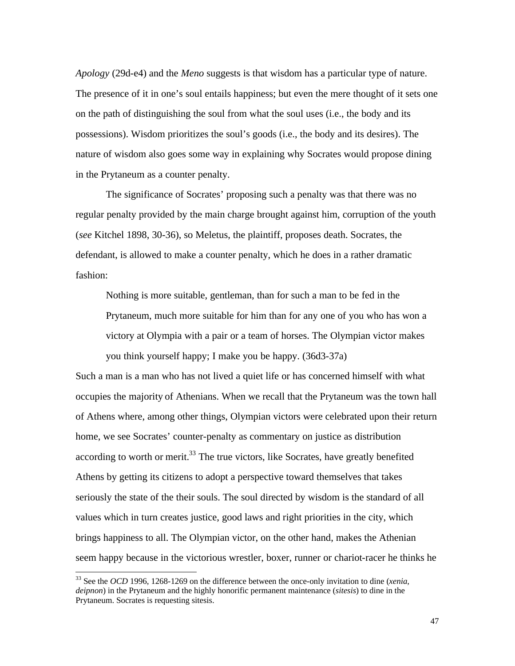*Apology* (29d-e4) and the *Meno* suggests is that wisdom has a particular type of nature. The presence of it in one's soul entails happiness; but even the mere thought of it sets one on the path of distinguishing the soul from what the soul uses (i.e., the body and its possessions). Wisdom prioritizes the soul's goods (i.e., the body and its desires). The nature of wisdom also goes some way in explaining why Socrates would propose dining in the Prytaneum as a counter penalty.

The significance of Socrates' proposing such a penalty was that there was no regular penalty provided by the main charge brought against him, corruption of the youth (*see* Kitchel 1898, 30-36), so Meletus, the plaintiff, proposes death. Socrates, the defendant, is allowed to make a counter penalty, which he does in a rather dramatic fashion:

Nothing is more suitable, gentleman, than for such a man to be fed in the Prytaneum, much more suitable for him than for any one of you who has won a victory at Olympia with a pair or a team of horses. The Olympian victor makes you think yourself happy; I make you be happy. (36d3-37a)

Such a man is a man who has not lived a quiet life or has concerned himself with what occupies the majority of Athenians. When we recall that the Prytaneum was the town hall of Athens where, among other things, Olympian victors were celebrated upon their return home, we see Socrates' counter-penalty as commentary on justice as distribution according to worth or merit. $33$  The true victors, like Socrates, have greatly benefited Athens by getting its citizens to adopt a perspective toward themselves that takes seriously the state of the their souls. The soul directed by wisdom is the standard of all values which in turn creates justice, good laws and right priorities in the city, which brings happiness to all. The Olympian victor, on the other hand, makes the Athenian seem happy because in the victorious wrestler, boxer, runner or chariot-racer he thinks he

-

<sup>33</sup> See the *OCD* 1996, 1268-1269 on the difference between the once-only invitation to dine (*xenia*, *deipnon*) in the Prytaneum and the highly honorific permanent maintenance (*sitesis*) to dine in the Prytaneum. Socrates is requesting sitesis.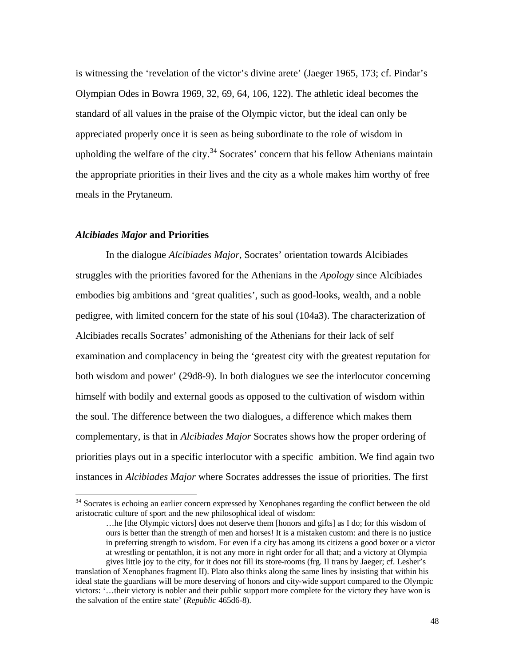is witnessing the 'revelation of the victor's divine arete' (Jaeger 1965, 173; cf. Pindar's Olympian Odes in Bowra 1969, 32, 69, 64, 106, 122). The athletic ideal becomes the standard of all values in the praise of the Olympic victor, but the ideal can only be appreciated properly once it is seen as being subordinate to the role of wisdom in upholding the welfare of the city.<sup>34</sup> Socrates' concern that his fellow Athenians maintain the appropriate priorities in their lives and the city as a whole makes him worthy of free meals in the Prytaneum.

# *Alcibiades Major* **and Priorities**

 $\overline{a}$ 

In the dialogue *Alcibiades Major*, Socrates' orientation towards Alcibiades struggles with the priorities favored for the Athenians in the *Apology* since Alcibiades embodies big ambitions and 'great qualities', such as good-looks, wealth, and a noble pedigree, with limited concern for the state of his soul (104a3). The characterization of Alcibiades recalls Socrates' admonishing of the Athenians for their lack of self examination and complacency in being the 'greatest city with the greatest reputation for both wisdom and power' (29d8-9). In both dialogues we see the interlocutor concerning himself with bodily and external goods as opposed to the cultivation of wisdom within the soul. The difference between the two dialogues, a difference which makes them complementary, is that in *Alcibiades Major* Socrates shows how the proper ordering of priorities plays out in a specific interlocutor with a specific ambition. We find again two instances in *Alcibiades Major* where Socrates addresses the issue of priorities. The first

<sup>&</sup>lt;sup>34</sup> Socrates is echoing an earlier concern expressed by Xenophanes regarding the conflict between the old aristocratic culture of sport and the new philosophical ideal of wisdom:

<sup>…</sup>he [the Olympic victors] does not deserve them [honors and gifts] as I do; for this wisdom of ours is better than the strength of men and horses! It is a mistaken custom: and there is no justice in preferring strength to wisdom. For even if a city has among its citizens a good boxer or a victor at wrestling or pentathlon, it is not any more in right order for all that; and a victory at Olympia gives little joy to the city, for it does not fill its store-rooms (frg. II trans by Jaeger; cf. Lesher's

translation of Xenophanes fragment II). Plato also thinks along the same lines by insisting that within his ideal state the guardians will be more deserving of honors and city-wide support compared to the Olympic victors: '…their victory is nobler and their public support more complete for the victory they have won is the salvation of the entire state' (*Republic* 465d6-8).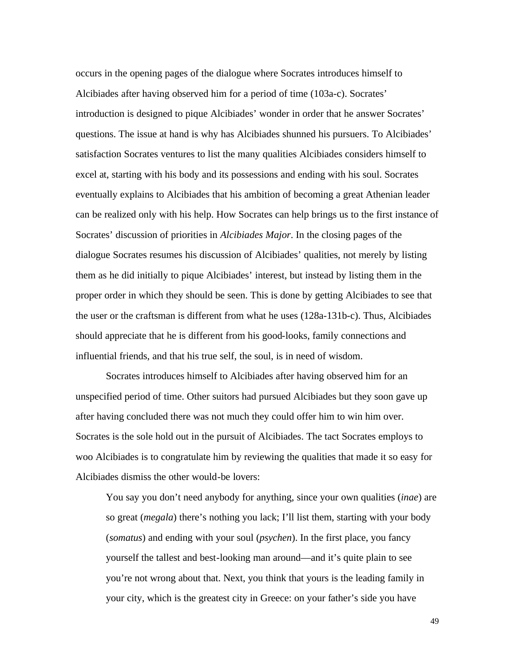occurs in the opening pages of the dialogue where Socrates introduces himself to Alcibiades after having observed him for a period of time (103a-c). Socrates' introduction is designed to pique Alcibiades' wonder in order that he answer Socrates' questions. The issue at hand is why has Alcibiades shunned his pursuers. To Alcibiades' satisfaction Socrates ventures to list the many qualities Alcibiades considers himself to excel at, starting with his body and its possessions and ending with his soul. Socrates eventually explains to Alcibiades that his ambition of becoming a great Athenian leader can be realized only with his help. How Socrates can help brings us to the first instance of Socrates' discussion of priorities in *Alcibiades Major*. In the closing pages of the dialogue Socrates resumes his discussion of Alcibiades' qualities, not merely by listing them as he did initially to pique Alcibiades' interest, but instead by listing them in the proper order in which they should be seen. This is done by getting Alcibiades to see that the user or the craftsman is different from what he uses (128a-131b-c). Thus, Alcibiades should appreciate that he is different from his good-looks, family connections and influential friends, and that his true self, the soul, is in need of wisdom.

Socrates introduces himself to Alcibiades after having observed him for an unspecified period of time. Other suitors had pursued Alcibiades but they soon gave up after having concluded there was not much they could offer him to win him over. Socrates is the sole hold out in the pursuit of Alcibiades. The tact Socrates employs to woo Alcibiades is to congratulate him by reviewing the qualities that made it so easy for Alcibiades dismiss the other would-be lovers:

You say you don't need anybody for anything, since your own qualities (*inae*) are so great (*megala*) there's nothing you lack; I'll list them, starting with your body (*somatus*) and ending with your soul (*psychen*). In the first place, you fancy yourself the tallest and best-looking man around—and it's quite plain to see you're not wrong about that. Next, you think that yours is the leading family in your city, which is the greatest city in Greece: on your father's side you have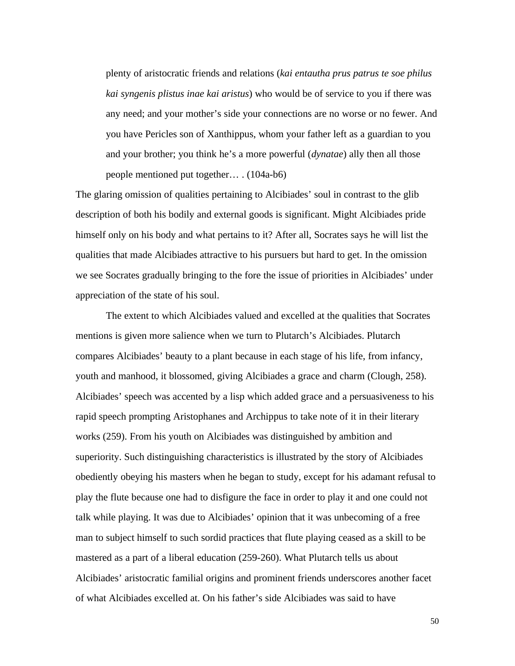plenty of aristocratic friends and relations (*kai entautha prus patrus te soe philus kai syngenis plistus inae kai aristus*) who would be of service to you if there was any need; and your mother's side your connections are no worse or no fewer. And you have Pericles son of Xanthippus, whom your father left as a guardian to you and your brother; you think he's a more powerful (*dynatae*) ally then all those people mentioned put together… . (104a-b6)

The glaring omission of qualities pertaining to Alcibiades' soul in contrast to the glib description of both his bodily and external goods is significant. Might Alcibiades pride himself only on his body and what pertains to it? After all, Socrates says he will list the qualities that made Alcibiades attractive to his pursuers but hard to get. In the omission we see Socrates gradually bringing to the fore the issue of priorities in Alcibiades' under appreciation of the state of his soul.

The extent to which Alcibiades valued and excelled at the qualities that Socrates mentions is given more salience when we turn to Plutarch's Alcibiades. Plutarch compares Alcibiades' beauty to a plant because in each stage of his life, from infancy, youth and manhood, it blossomed, giving Alcibiades a grace and charm (Clough, 258). Alcibiades' speech was accented by a lisp which added grace and a persuasiveness to his rapid speech prompting Aristophanes and Archippus to take note of it in their literary works (259). From his youth on Alcibiades was distinguished by ambition and superiority. Such distinguishing characteristics is illustrated by the story of Alcibiades obediently obeying his masters when he began to study, except for his adamant refusal to play the flute because one had to disfigure the face in order to play it and one could not talk while playing. It was due to Alcibiades' opinion that it was unbecoming of a free man to subject himself to such sordid practices that flute playing ceased as a skill to be mastered as a part of a liberal education (259-260). What Plutarch tells us about Alcibiades' aristocratic familial origins and prominent friends underscores another facet of what Alcibiades excelled at. On his father's side Alcibiades was said to have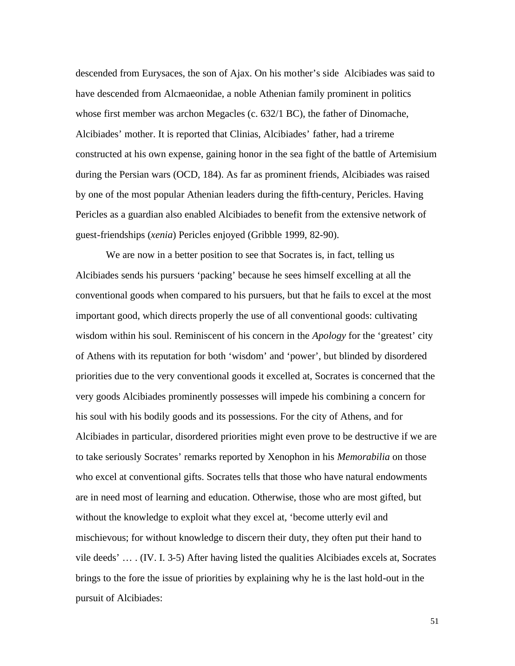descended from Eurysaces, the son of Ajax. On his mother's side Alcibiades was said to have descended from Alcmaeonidae, a noble Athenian family prominent in politics whose first member was archon Megacles (c. 632/1 BC), the father of Dinomache, Alcibiades' mother. It is reported that Clinias, Alcibiades' father, had a trireme constructed at his own expense, gaining honor in the sea fight of the battle of Artemisium during the Persian wars (OCD, 184). As far as prominent friends, Alcibiades was raised by one of the most popular Athenian leaders during the fifth-century, Pericles. Having Pericles as a guardian also enabled Alcibiades to benefit from the extensive network of guest-friendships (*xenia*) Pericles enjoyed (Gribble 1999, 82-90).

We are now in a better position to see that Socrates is, in fact, telling us Alcibiades sends his pursuers 'packing' because he sees himself excelling at all the conventional goods when compared to his pursuers, but that he fails to excel at the most important good, which directs properly the use of all conventional goods: cultivating wisdom within his soul. Reminiscent of his concern in the *Apology* for the 'greatest' city of Athens with its reputation for both 'wisdom' and 'power', but blinded by disordered priorities due to the very conventional goods it excelled at, Socrates is concerned that the very goods Alcibiades prominently possesses will impede his combining a concern for his soul with his bodily goods and its possessions. For the city of Athens, and for Alcibiades in particular, disordered priorities might even prove to be destructive if we are to take seriously Socrates' remarks reported by Xenophon in his *Memorabilia* on those who excel at conventional gifts. Socrates tells that those who have natural endowments are in need most of learning and education. Otherwise, those who are most gifted, but without the knowledge to exploit what they excel at, 'become utterly evil and mischievous; for without knowledge to discern their duty, they often put their hand to vile deeds' … . (IV. I. 3-5) After having listed the qualities Alcibiades excels at, Socrates brings to the fore the issue of priorities by explaining why he is the last hold-out in the pursuit of Alcibiades: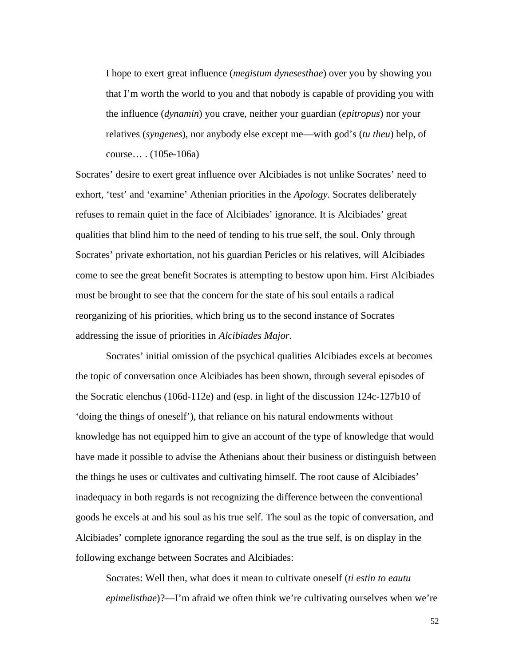I hope to exert great influence (*megistum dynesesthae*) over you by showing you that I'm worth the world to you and that nobody is capable of providing you with the influence (*dynamin*) you crave, neither your guardian (*epitropus*) nor your relatives (*syngenes*), nor anybody else except me—with god's (*tu theu*) help, of course… . (105e-106a)

Socrates' desire to exert great influence over Alcibiades is not unlike Socrates' need to exhort, 'test' and 'examine' Athenian priorities in the *Apology*. Socrates deliberately refuses to remain quiet in the face of Alcibiades' ignorance. It is Alcibiades' great qualities that blind him to the need of tending to his true self, the soul. Only through Socrates' private exhortation, not his guardian Pericles or his relatives, will Alcibiades come to see the great benefit Socrates is attempting to bestow upon him. First Alcibiades must be brought to see that the concern for the state of his soul entails a radical reorganizing of his priorities, which bring us to the second instance of Socrates addressing the issue of priorities in *Alcibiades Major*.

Socrates' initial omission of the psychical qualities Alcibiades excels at becomes the topic of conversation once Alcibiades has been shown, through several episodes of the Socratic elenchus (106d-112e) and (esp. in light of the discussion 124c-127b10 of 'doing the things of oneself'), that reliance on his natural endowments without knowledge has not equipped him to give an account of the type of knowledge that would have made it possible to advise the Athenians about their business or distinguish between the things he uses or cultivates and cultivating himself. The root cause of Alcibiades' inadequacy in both regards is not recognizing the difference between the conventional goods he excels at and his soul as his true self. The soul as the topic of conversation, and Alcibiades' complete ignorance regarding the soul as the true self, is on display in the following exchange between Socrates and Alcibiades:

Socrates: Well then, what does it mean to cultivate oneself (*ti estin to eautu epimelisthae*)?—I'm afraid we often think we're cultivating ourselves when we're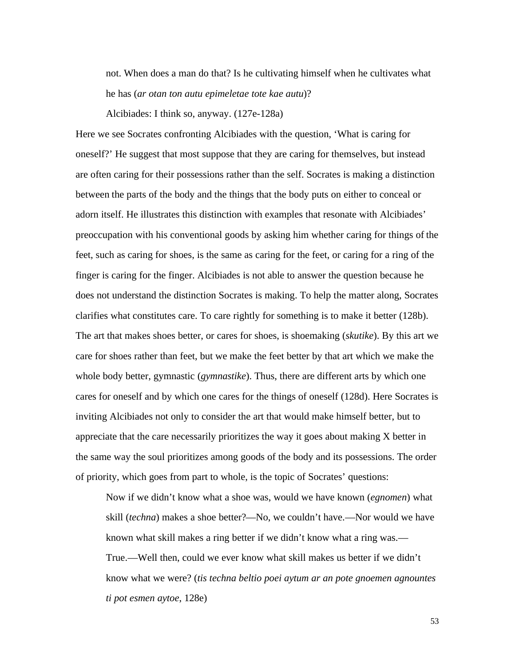not. When does a man do that? Is he cultivating himself when he cultivates what he has (*ar otan ton autu epimeletae tote kae autu*)?

Alcibiades: I think so, anyway. (127e-128a)

Here we see Socrates confronting Alcibiades with the question, 'What is caring for oneself?' He suggest that most suppose that they are caring for themselves, but instead are often caring for their possessions rather than the self. Socrates is making a distinction between the parts of the body and the things that the body puts on either to conceal or adorn itself. He illustrates this distinction with examples that resonate with Alcibiades' preoccupation with his conventional goods by asking him whether caring for things of the feet, such as caring for shoes, is the same as caring for the feet, or caring for a ring of the finger is caring for the finger. Alcibiades is not able to answer the question because he does not understand the distinction Socrates is making. To help the matter along, Socrates clarifies what constitutes care. To care rightly for something is to make it better (128b). The art that makes shoes better, or cares for shoes, is shoemaking (*skutike*). By this art we care for shoes rather than feet, but we make the feet better by that art which we make the whole body better, gymnastic (*gymnastike*). Thus, there are different arts by which one cares for oneself and by which one cares for the things of oneself (128d). Here Socrates is inviting Alcibiades not only to consider the art that would make himself better, but to appreciate that the care necessarily prioritizes the way it goes about making X better in the same way the soul prioritizes among goods of the body and its possessions. The order of priority, which goes from part to whole, is the topic of Socrates' questions:

Now if we didn't know what a shoe was, would we have known (*egnomen*) what skill (*techna*) makes a shoe better?—No, we couldn't have.—Nor would we have known what skill makes a ring better if we didn't know what a ring was.— True.—Well then, could we ever know what skill makes us better if we didn't know what we were? (*tis techna beltio poei aytum ar an pote gnoemen agnountes ti pot esmen aytoe*, 128e)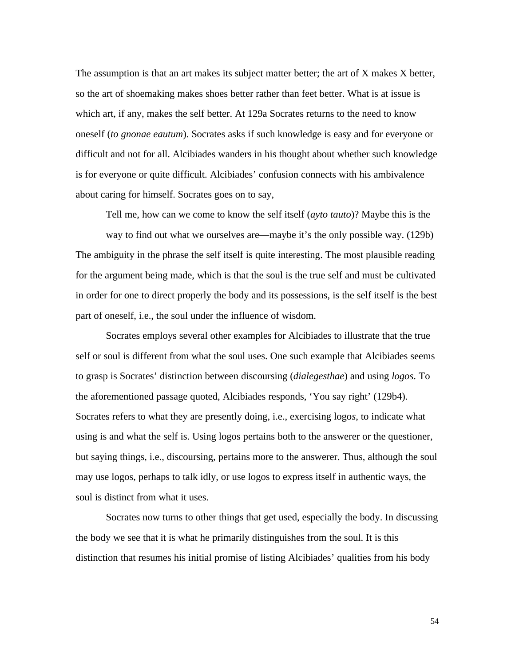The assumption is that an art makes its subject matter better; the art of X makes X better, so the art of shoemaking makes shoes better rather than feet better. What is at issue is which art, if any, makes the self better. At 129a Socrates returns to the need to know oneself (*to gnonae eautum*). Socrates asks if such knowledge is easy and for everyone or difficult and not for all. Alcibiades wanders in his thought about whether such knowledge is for everyone or quite difficult. Alcibiades' confusion connects with his ambivalence about caring for himself. Socrates goes on to say,

Tell me, how can we come to know the self itself (*ayto tauto*)? Maybe this is the way to find out what we ourselves are—maybe it's the only possible way. (129b) The ambiguity in the phrase the self itself is quite interesting. The most plausible reading for the argument being made, which is that the soul is the true self and must be cultivated in order for one to direct properly the body and its possessions, is the self itself is the best part of oneself, i.e., the soul under the influence of wisdom.

Socrates employs several other examples for Alcibiades to illustrate that the true self or soul is different from what the soul uses. One such example that Alcibiades seems to grasp is Socrates' distinction between discoursing (*dialegesthae*) and using *logos*. To the aforementioned passage quoted, Alcibiades responds, 'You say right' (129b4). Socrates refers to what they are presently doing, i.e., exercising logo*s*, to indicate what using is and what the self is. Using logos pertains both to the answerer or the questioner, but saying things, i.e., discoursing, pertains more to the answerer. Thus, although the soul may use logos, perhaps to talk idly, or use logos to express itself in authentic ways, the soul is distinct from what it uses.

Socrates now turns to other things that get used, especially the body. In discussing the body we see that it is what he primarily distinguishes from the soul. It is this distinction that resumes his initial promise of listing Alcibiades' qualities from his body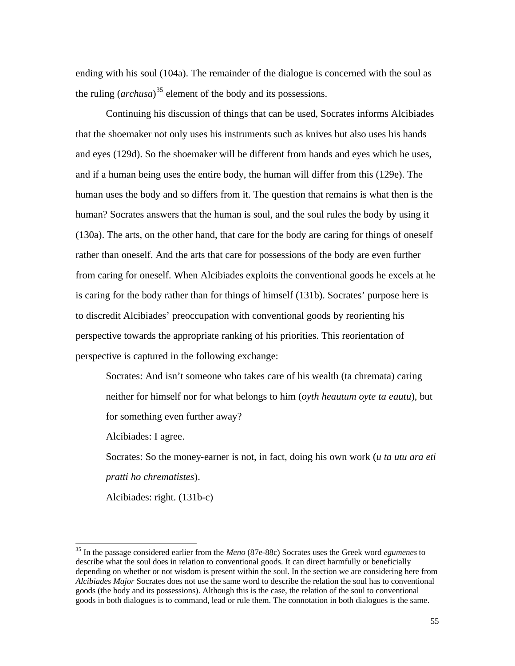ending with his soul (104a). The remainder of the dialogue is concerned with the soul as the ruling (*archusa*) <sup>35</sup> element of the body and its possessions.

Continuing his discussion of things that can be used, Socrates informs Alcibiades that the shoemaker not only uses his instruments such as knives but also uses his hands and eyes (129d). So the shoemaker will be different from hands and eyes which he uses, and if a human being uses the entire body, the human will differ from this (129e). The human uses the body and so differs from it. The question that remains is what then is the human? Socrates answers that the human is soul, and the soul rules the body by using it (130a). The arts, on the other hand, that care for the body are caring for things of oneself rather than oneself. And the arts that care for possessions of the body are even further from caring for oneself. When Alcibiades exploits the conventional goods he excels at he is caring for the body rather than for things of himself (131b). Socrates' purpose here is to discredit Alcibiades' preoccupation with conventional goods by reorienting his perspective towards the appropriate ranking of his priorities. This reorientation of perspective is captured in the following exchange:

Socrates: And isn't someone who takes care of his wealth (ta chremata) caring neither for himself nor for what belongs to him (*oyth heautum oyte ta eautu*), but for something even further away?

Alcibiades: I agree.

 $\overline{a}$ 

Socrates: So the money-earner is not, in fact, doing his own work (*u ta utu ara eti pratti ho chrematistes*).

Alcibiades: right. (131b-c)

<sup>35</sup> In the passage considered earlier from the *Meno* (87e-88c) Socrates uses the Greek word *egumenes* to describe what the soul does in relation to conventional goods. It can direct harmfully or beneficially depending on whether or not wisdom is present within the soul. In the section we are considering here from *Alcibiades Major* Socrates does not use the same word to describe the relation the soul has to conventional goods (the body and its possessions). Although this is the case, the relation of the soul to conventional goods in both dialogues is to command, lead or rule them. The connotation in both dialogues is the same.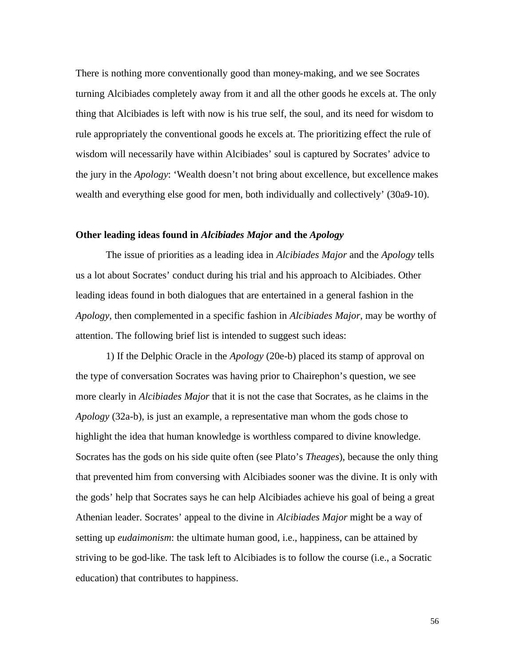There is nothing more conventionally good than money-making, and we see Socrates turning Alcibiades completely away from it and all the other goods he excels at. The only thing that Alcibiades is left with now is his true self, the soul, and its need for wisdom to rule appropriately the conventional goods he excels at. The prioritizing effect the rule of wisdom will necessarily have within Alcibiades' soul is captured by Socrates' advice to the jury in the *Apology*: 'Wealth doesn't not bring about excellence, but excellence makes wealth and everything else good for men, both individually and collectively' (30a9-10).

# **Other leading ideas found in** *Alcibiades Major* **and the** *Apology*

The issue of priorities as a leading idea in *Alcibiades Major* and the *Apology* tells us a lot about Socrates' conduct during his trial and his approach to Alcibiades. Other leading ideas found in both dialogues that are entertained in a general fashion in the *Apology*, then complemented in a specific fashion in *Alcibiades Major*, may be worthy of attention. The following brief list is intended to suggest such ideas:

1) If the Delphic Oracle in the *Apology* (20e-b) placed its stamp of approval on the type of conversation Socrates was having prior to Chairephon's question, we see more clearly in *Alcibiades Major* that it is not the case that Socrates, as he claims in the *Apology* (32a-b), is just an example, a representative man whom the gods chose to highlight the idea that human knowledge is worthless compared to divine knowledge. Socrates has the gods on his side quite often (see Plato's *Theages*), because the only thing that prevented him from conversing with Alcibiades sooner was the divine. It is only with the gods' help that Socrates says he can help Alcibiades achieve his goal of being a great Athenian leader. Socrates' appeal to the divine in *Alcibiades Major* might be a way of setting up *eudaimonism*: the ultimate human good, i.e., happiness, can be attained by striving to be god-like. The task left to Alcibiades is to follow the course (i.e., a Socratic education) that contributes to happiness.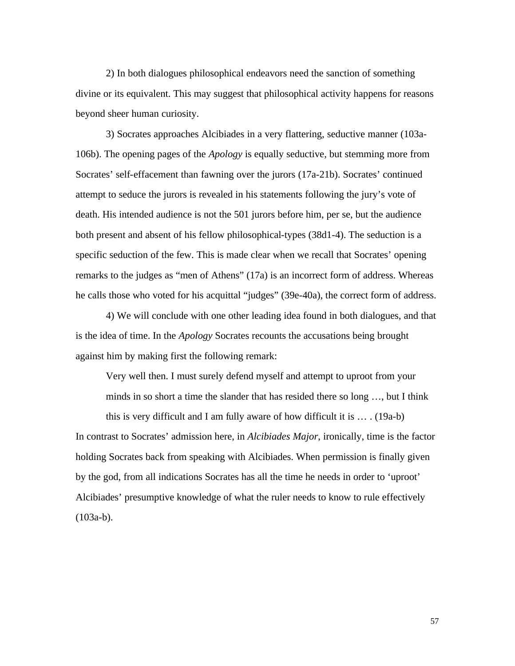2) In both dialogues philosophical endeavors need the sanction of something divine or its equivalent. This may suggest that philosophical activity happens for reasons beyond sheer human curiosity.

3) Socrates approaches Alcibiades in a very flattering, seductive manner (103a-106b). The opening pages of the *Apology* is equally seductive, but stemming more from Socrates' self-effacement than fawning over the jurors (17a-21b). Socrates' continued attempt to seduce the jurors is revealed in his statements following the jury's vote of death. His intended audience is not the 501 jurors before him, per se, but the audience both present and absent of his fellow philosophical-types (38d1-4). The seduction is a specific seduction of the few. This is made clear when we recall that Socrates' opening remarks to the judges as "men of Athens" (17a) is an incorrect form of address. Whereas he calls those who voted for his acquittal "judges" (39e-40a), the correct form of address.

4) We will conclude with one other leading idea found in both dialogues, and that is the idea of time. In the *Apology* Socrates recounts the accusations being brought against him by making first the following remark:

Very well then. I must surely defend myself and attempt to uproot from your minds in so short a time the slander that has resided there so long …, but I think

this is very difficult and I am fully aware of how difficult it is … . (19a-b) In contrast to Socrates' admission here, in *Alcibiades Major*, ironically, time is the factor holding Socrates back from speaking with Alcibiades. When permission is finally given by the god, from all indications Socrates has all the time he needs in order to 'uproot' Alcibiades' presumptive knowledge of what the ruler needs to know to rule effectively (103a-b).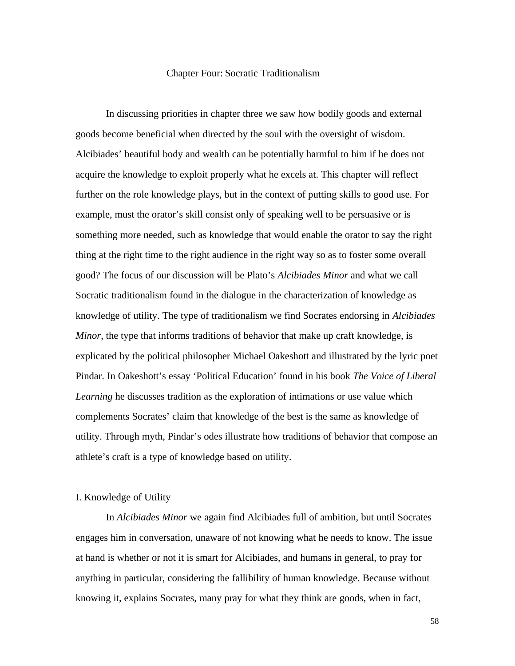# Chapter Four: Socratic Traditionalism

In discussing priorities in chapter three we saw how bodily goods and external goods become beneficial when directed by the soul with the oversight of wisdom. Alcibiades' beautiful body and wealth can be potentially harmful to him if he does not acquire the knowledge to exploit properly what he excels at. This chapter will reflect further on the role knowledge plays, but in the context of putting skills to good use. For example, must the orator's skill consist only of speaking well to be persuasive or is something more needed, such as knowledge that would enable the orator to say the right thing at the right time to the right audience in the right way so as to foster some overall good? The focus of our discussion will be Plato's *Alcibiades Minor* and what we call Socratic traditionalism found in the dialogue in the characterization of knowledge as knowledge of utility. The type of traditionalism we find Socrates endorsing in *Alcibiades Minor*, the type that informs traditions of behavior that make up craft knowledge, is explicated by the political philosopher Michael Oakeshott and illustrated by the lyric poet Pindar. In Oakeshott's essay 'Political Education' found in his book *The Voice of Liberal Learning* he discusses tradition as the exploration of intimations or use value which complements Socrates' claim that knowledge of the best is the same as knowledge of utility. Through myth, Pindar's odes illustrate how traditions of behavior that compose an athlete's craft is a type of knowledge based on utility.

### I. Knowledge of Utility

In *Alcibiades Minor* we again find Alcibiades full of ambition, but until Socrates engages him in conversation, unaware of not knowing what he needs to know. The issue at hand is whether or not it is smart for Alcibiades, and humans in general, to pray for anything in particular, considering the fallibility of human knowledge. Because without knowing it, explains Socrates, many pray for what they think are goods, when in fact,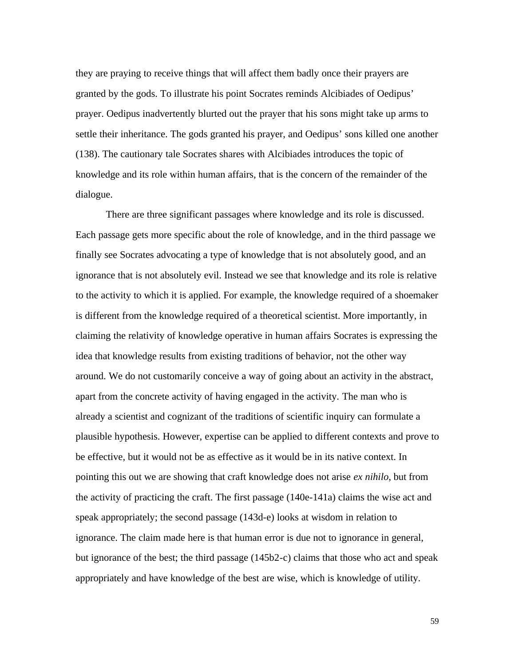they are praying to receive things that will affect them badly once their prayers are granted by the gods. To illustrate his point Socrates reminds Alcibiades of Oedipus' prayer. Oedipus inadvertently blurted out the prayer that his sons might take up arms to settle their inheritance. The gods granted his prayer, and Oedipus' sons killed one another (138). The cautionary tale Socrates shares with Alcibiades introduces the topic of knowledge and its role within human affairs, that is the concern of the remainder of the dialogue.

There are three significant passages where knowledge and its role is discussed. Each passage gets more specific about the role of knowledge, and in the third passage we finally see Socrates advocating a type of knowledge that is not absolutely good, and an ignorance that is not absolutely evil. Instead we see that knowledge and its role is relative to the activity to which it is applied. For example, the knowledge required of a shoemaker is different from the knowledge required of a theoretical scientist. More importantly, in claiming the relativity of knowledge operative in human affairs Socrates is expressing the idea that knowledge results from existing traditions of behavior, not the other way around. We do not customarily conceive a way of going about an activity in the abstract, apart from the concrete activity of having engaged in the activity. The man who is already a scientist and cognizant of the traditions of scientific inquiry can formulate a plausible hypothesis. However, expertise can be applied to different contexts and prove to be effective, but it would not be as effective as it would be in its native context. In pointing this out we are showing that craft knowledge does not arise *ex nihilo*, but from the activity of practicing the craft. The first passage (140e-141a) claims the wise act and speak appropriately; the second passage (143d-e) looks at wisdom in relation to ignorance. The claim made here is that human error is due not to ignorance in general, but ignorance of the best; the third passage (145b2-c) claims that those who act and speak appropriately and have knowledge of the best are wise, which is knowledge of utility.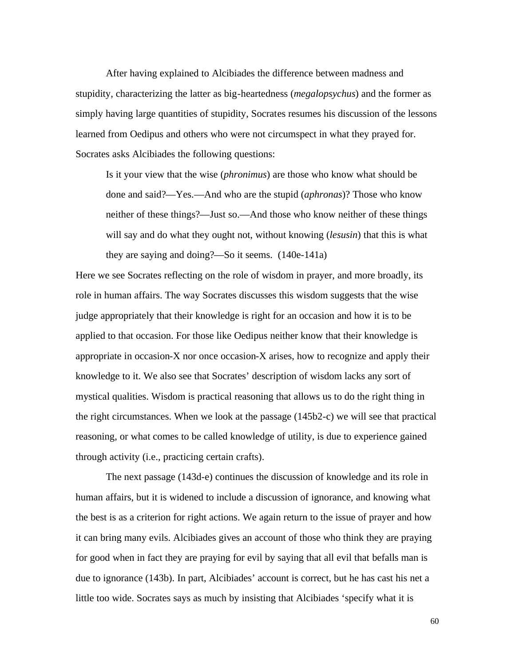After having explained to Alcibiades the difference between madness and stupidity, characterizing the latter as big-heartedness (*megalopsychus*) and the former as simply having large quantities of stupidity, Socrates resumes his discussion of the lessons learned from Oedipus and others who were not circumspect in what they prayed for. Socrates asks Alcibiades the following questions:

Is it your view that the wise (*phronimus*) are those who know what should be done and said?—Yes.—And who are the stupid (*aphronas*)? Those who know neither of these things?—Just so.—And those who know neither of these things will say and do what they ought not, without knowing (*lesusin*) that this is what they are saying and doing?—So it seems. (140e-141a)

Here we see Socrates reflecting on the role of wisdom in prayer, and more broadly, its role in human affairs. The way Socrates discusses this wisdom suggests that the wise judge appropriately that their knowledge is right for an occasion and how it is to be applied to that occasion. For those like Oedipus neither know that their knowledge is appropriate in occasion-X nor once occasion-X arises, how to recognize and apply their knowledge to it. We also see that Socrates' description of wisdom lacks any sort of mystical qualities. Wisdom is practical reasoning that allows us to do the right thing in the right circumstances. When we look at the passage (145b2-c) we will see that practical reasoning, or what comes to be called knowledge of utility, is due to experience gained through activity (i.e., practicing certain crafts).

The next passage (143d-e) continues the discussion of knowledge and its role in human affairs, but it is widened to include a discussion of ignorance, and knowing what the best is as a criterion for right actions. We again return to the issue of prayer and how it can bring many evils. Alcibiades gives an account of those who think they are praying for good when in fact they are praying for evil by saying that all evil that befalls man is due to ignorance (143b). In part, Alcibiades' account is correct, but he has cast his net a little too wide. Socrates says as much by insisting that Alcibiades 'specify what it is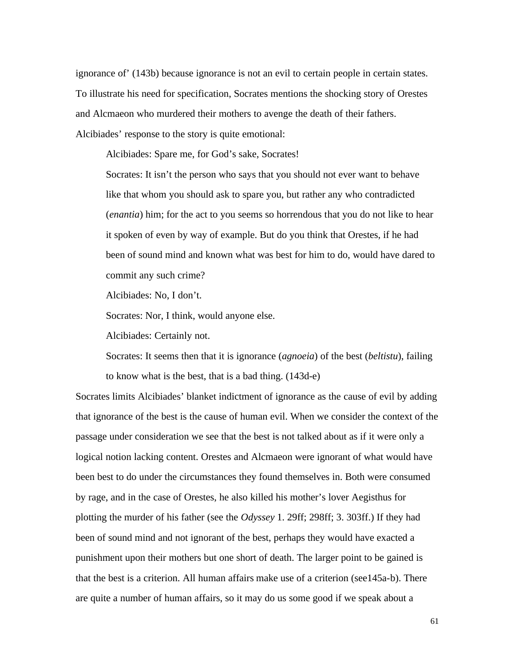ignorance of' (143b) because ignorance is not an evil to certain people in certain states. To illustrate his need for specification, Socrates mentions the shocking story of Orestes and Alcmaeon who murdered their mothers to avenge the death of their fathers. Alcibiades' response to the story is quite emotional:

Alcibiades: Spare me, for God's sake, Socrates!

Socrates: It isn't the person who says that you should not ever want to behave like that whom you should ask to spare you, but rather any who contradicted (*enantia*) him; for the act to you seems so horrendous that you do not like to hear it spoken of even by way of example. But do you think that Orestes, if he had been of sound mind and known what was best for him to do, would have dared to commit any such crime?

Alcibiades: No, I don't.

Socrates: Nor, I think, would anyone else.

Alcibiades: Certainly not.

Socrates: It seems then that it is ignorance (*agnoeia*) of the best (*beltistu*), failing to know what is the best, that is a bad thing. (143d-e)

Socrates limits Alcibiades' blanket indictment of ignorance as the cause of evil by adding that ignorance of the best is the cause of human evil. When we consider the context of the passage under consideration we see that the best is not talked about as if it were only a logical notion lacking content. Orestes and Alcmaeon were ignorant of what would have been best to do under the circumstances they found themselves in. Both were consumed by rage, and in the case of Orestes, he also killed his mother's lover Aegisthus for plotting the murder of his father (see the *Odyssey* 1. 29ff; 298ff; 3. 303ff.) If they had been of sound mind and not ignorant of the best, perhaps they would have exacted a punishment upon their mothers but one short of death. The larger point to be gained is that the best is a criterion. All human affairs make use of a criterion (see145a-b). There are quite a number of human affairs, so it may do us some good if we speak about a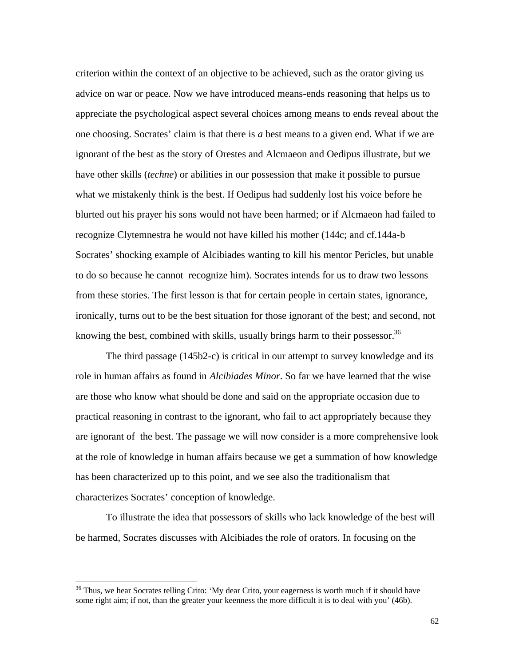criterion within the context of an objective to be achieved, such as the orator giving us advice on war or peace. Now we have introduced means-ends reasoning that helps us to appreciate the psychological aspect several choices among means to ends reveal about the one choosing. Socrates' claim is that there is *a* best means to a given end. What if we are ignorant of the best as the story of Orestes and Alcmaeon and Oedipus illustrate, but we have other skills (*techne*) or abilities in our possession that make it possible to pursue what we mistakenly think is the best. If Oedipus had suddenly lost his voice before he blurted out his prayer his sons would not have been harmed; or if Alcmaeon had failed to recognize Clytemnestra he would not have killed his mother (144c; and cf.144a-b Socrates' shocking example of Alcibiades wanting to kill his mentor Pericles, but unable to do so because he cannot recognize him). Socrates intends for us to draw two lessons from these stories. The first lesson is that for certain people in certain states, ignorance, ironically, turns out to be the best situation for those ignorant of the best; and second, not knowing the best, combined with skills, usually brings harm to their possessor.<sup>36</sup>

The third passage (145b2-c) is critical in our attempt to survey knowledge and its role in human affairs as found in *Alcibiades Minor*. So far we have learned that the wise are those who know what should be done and said on the appropriate occasion due to practical reasoning in contrast to the ignorant, who fail to act appropriately because they are ignorant of the best. The passage we will now consider is a more comprehensive look at the role of knowledge in human affairs because we get a summation of how knowledge has been characterized up to this point, and we see also the traditionalism that characterizes Socrates' conception of knowledge.

To illustrate the idea that possessors of skills who lack knowledge of the best will be harmed, Socrates discusses with Alcibiades the role of orators. In focusing on the

 $\overline{a}$ 

 $36$  Thus, we hear Socrates telling Crito: 'My dear Crito, your eagerness is worth much if it should have some right aim; if not, than the greater your keenness the more difficult it is to deal with you' (46b).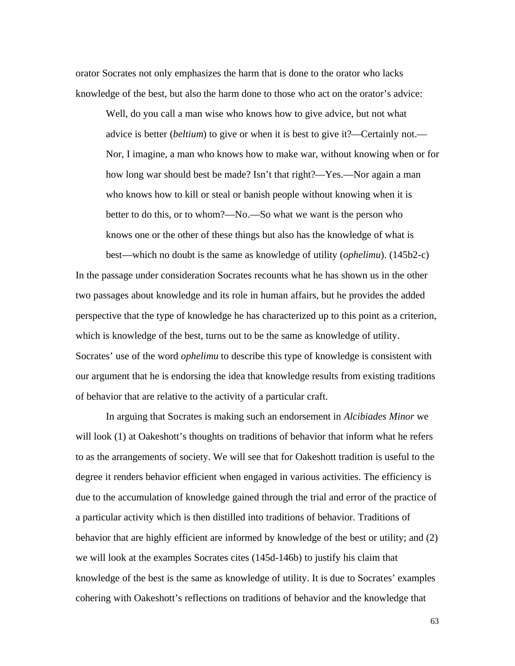orator Socrates not only emphasizes the harm that is done to the orator who lacks knowledge of the best, but also the harm done to those who act on the orator's advice:

Well, do you call a man wise who knows how to give advice, but not what advice is better (*beltium*) to give or when it is best to give it?—Certainly not.— Nor, I imagine, a man who knows how to make war, without knowing when or for how long war should best be made? Isn't that right?—Yes.—Nor again a man who knows how to kill or steal or banish people without knowing when it is better to do this, or to whom?—No.—So what we want is the person who knows one or the other of these things but also has the knowledge of what is

best—which no doubt is the same as knowledge of utility (*ophelimu*). (145b2-c) In the passage under consideration Socrates recounts what he has shown us in the other two passages about knowledge and its role in human affairs, but he provides the added perspective that the type of knowledge he has characterized up to this point as a criterion, which is knowledge of the best, turns out to be the same as knowledge of utility. Socrates' use of the word *ophelimu* to describe this type of knowledge is consistent with our argument that he is endorsing the idea that knowledge results from existing traditions of behavior that are relative to the activity of a particular craft.

In arguing that Socrates is making such an endorsement in *Alcibiades Minor* we will look (1) at Oakeshott's thoughts on traditions of behavior that inform what he refers to as the arrangements of society. We will see that for Oakeshott tradition is useful to the degree it renders behavior efficient when engaged in various activities. The efficiency is due to the accumulation of knowledge gained through the trial and error of the practice of a particular activity which is then distilled into traditions of behavior. Traditions of behavior that are highly efficient are informed by knowledge of the best or utility; and (2) we will look at the examples Socrates cites (145d-146b) to justify his claim that knowledge of the best is the same as knowledge of utility. It is due to Socrates' examples cohering with Oakeshott's reflections on traditions of behavior and the knowledge that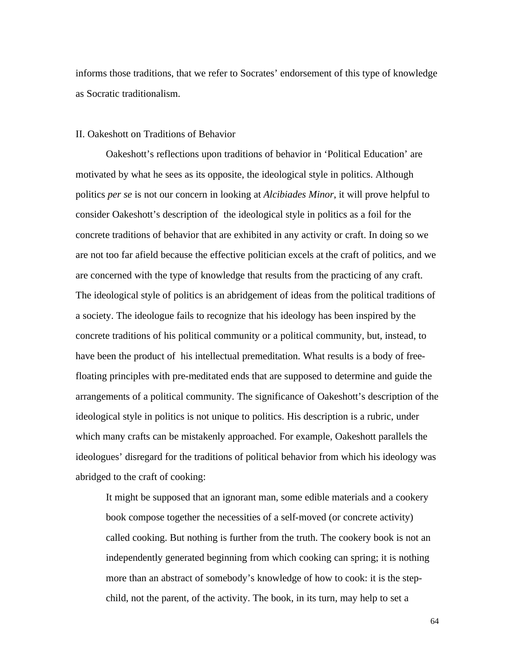informs those traditions, that we refer to Socrates' endorsement of this type of knowledge as Socratic traditionalism.

#### II. Oakeshott on Traditions of Behavior

Oakeshott's reflections upon traditions of behavior in 'Political Education' are motivated by what he sees as its opposite, the ideological style in politics. Although politics *per se* is not our concern in looking at *Alcibiades Minor*, it will prove helpful to consider Oakeshott's description of the ideological style in politics as a foil for the concrete traditions of behavior that are exhibited in any activity or craft. In doing so we are not too far afield because the effective politician excels at the craft of politics, and we are concerned with the type of knowledge that results from the practicing of any craft. The ideological style of politics is an abridgement of ideas from the political traditions of a society. The ideologue fails to recognize that his ideology has been inspired by the concrete traditions of his political community or a political community, but, instead, to have been the product of his intellectual premeditation. What results is a body of freefloating principles with pre-meditated ends that are supposed to determine and guide the arrangements of a political community. The significance of Oakeshott's description of the ideological style in politics is not unique to politics. His description is a rubric, under which many crafts can be mistakenly approached. For example, Oakeshott parallels the ideologues' disregard for the traditions of political behavior from which his ideology was abridged to the craft of cooking:

It might be supposed that an ignorant man, some edible materials and a cookery book compose together the necessities of a self-moved (or concrete activity) called cooking. But nothing is further from the truth. The cookery book is not an independently generated beginning from which cooking can spring; it is nothing more than an abstract of somebody's knowledge of how to cook: it is the stepchild, not the parent, of the activity. The book, in its turn, may help to set a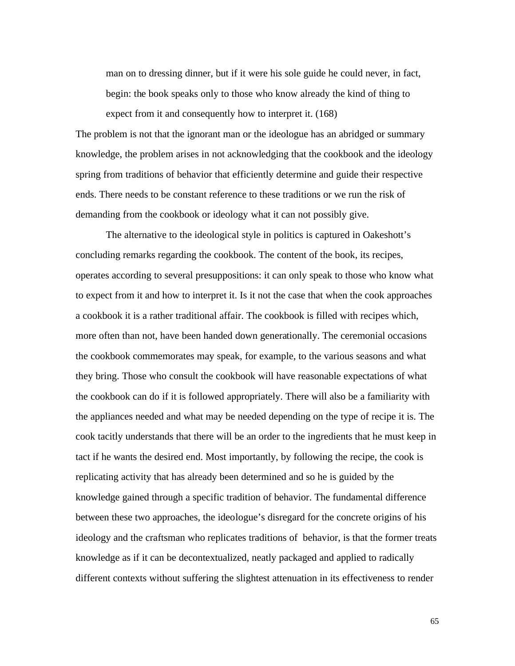man on to dressing dinner, but if it were his sole guide he could never, in fact, begin: the book speaks only to those who know already the kind of thing to expect from it and consequently how to interpret it. (168)

The problem is not that the ignorant man or the ideologue has an abridged or summary knowledge, the problem arises in not acknowledging that the cookbook and the ideology spring from traditions of behavior that efficiently determine and guide their respective ends. There needs to be constant reference to these traditions or we run the risk of demanding from the cookbook or ideology what it can not possibly give.

The alternative to the ideological style in politics is captured in Oakeshott's concluding remarks regarding the cookbook. The content of the book, its recipes, operates according to several presuppositions: it can only speak to those who know what to expect from it and how to interpret it. Is it not the case that when the cook approaches a cookbook it is a rather traditional affair. The cookbook is filled with recipes which, more often than not, have been handed down generationally. The ceremonial occasions the cookbook commemorates may speak, for example, to the various seasons and what they bring. Those who consult the cookbook will have reasonable expectations of what the cookbook can do if it is followed appropriately. There will also be a familiarity with the appliances needed and what may be needed depending on the type of recipe it is. The cook tacitly understands that there will be an order to the ingredients that he must keep in tact if he wants the desired end. Most importantly, by following the recipe, the cook is replicating activity that has already been determined and so he is guided by the knowledge gained through a specific tradition of behavior. The fundamental difference between these two approaches, the ideologue's disregard for the concrete origins of his ideology and the craftsman who replicates traditions of behavior, is that the former treats knowledge as if it can be decontextualized, neatly packaged and applied to radically different contexts without suffering the slightest attenuation in its effectiveness to render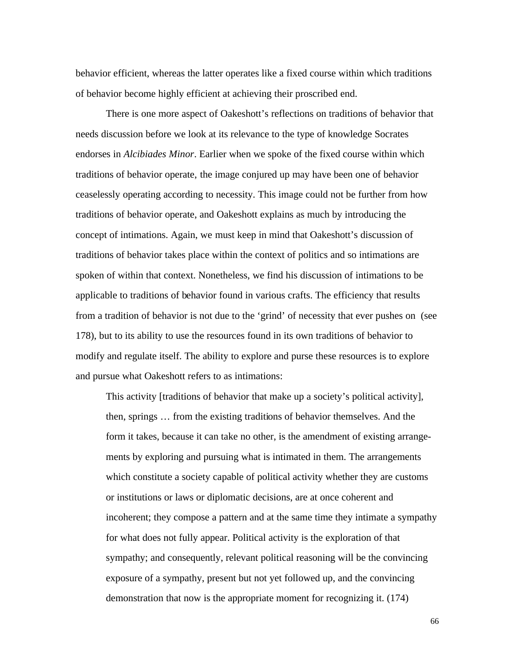behavior efficient, whereas the latter operates like a fixed course within which traditions of behavior become highly efficient at achieving their proscribed end.

There is one more aspect of Oakeshott's reflections on traditions of behavior that needs discussion before we look at its relevance to the type of knowledge Socrates endorses in *Alcibiades Minor*. Earlier when we spoke of the fixed course within which traditions of behavior operate, the image conjured up may have been one of behavior ceaselessly operating according to necessity. This image could not be further from how traditions of behavior operate, and Oakeshott explains as much by introducing the concept of intimations. Again, we must keep in mind that Oakeshott's discussion of traditions of behavior takes place within the context of politics and so intimations are spoken of within that context. Nonetheless, we find his discussion of intimations to be applicable to traditions of behavior found in various crafts. The efficiency that results from a tradition of behavior is not due to the 'grind' of necessity that ever pushes on (see 178), but to its ability to use the resources found in its own traditions of behavior to modify and regulate itself. The ability to explore and purse these resources is to explore and pursue what Oakeshott refers to as intimations:

This activity [traditions of behavior that make up a society's political activity], then, springs … from the existing traditions of behavior themselves. And the form it takes, because it can take no other, is the amendment of existing arrangements by exploring and pursuing what is intimated in them. The arrangements which constitute a society capable of political activity whether they are customs or institutions or laws or diplomatic decisions, are at once coherent and incoherent; they compose a pattern and at the same time they intimate a sympathy for what does not fully appear. Political activity is the exploration of that sympathy; and consequently, relevant political reasoning will be the convincing exposure of a sympathy, present but not yet followed up, and the convincing demonstration that now is the appropriate moment for recognizing it. (174)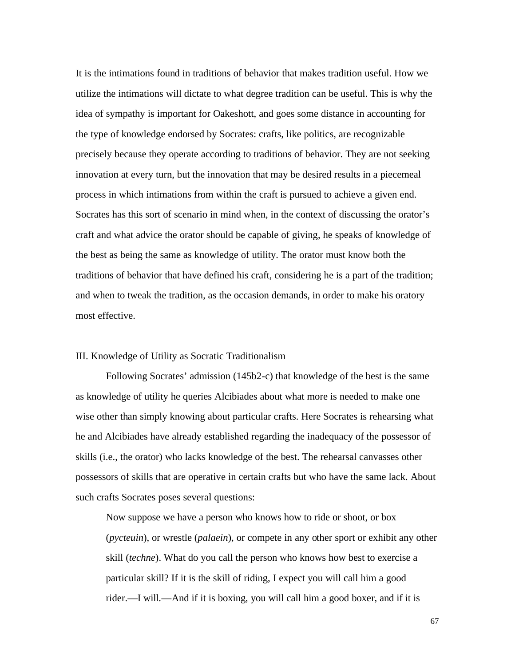It is the intimations found in traditions of behavior that makes tradition useful. How we utilize the intimations will dictate to what degree tradition can be useful. This is why the idea of sympathy is important for Oakeshott, and goes some distance in accounting for the type of knowledge endorsed by Socrates: crafts, like politics, are recognizable precisely because they operate according to traditions of behavior. They are not seeking innovation at every turn, but the innovation that may be desired results in a piecemeal process in which intimations from within the craft is pursued to achieve a given end. Socrates has this sort of scenario in mind when, in the context of discussing the orator's craft and what advice the orator should be capable of giving, he speaks of knowledge of the best as being the same as knowledge of utility. The orator must know both the traditions of behavior that have defined his craft, considering he is a part of the tradition; and when to tweak the tradition, as the occasion demands, in order to make his oratory most effective.

# III. Knowledge of Utility as Socratic Traditionalism

Following Socrates' admission (145b2-c) that knowledge of the best is the same as knowledge of utility he queries Alcibiades about what more is needed to make one wise other than simply knowing about particular crafts. Here Socrates is rehearsing what he and Alcibiades have already established regarding the inadequacy of the possessor of skills (i.e., the orator) who lacks knowledge of the best. The rehearsal canvasses other possessors of skills that are operative in certain crafts but who have the same lack. About such crafts Socrates poses several questions:

Now suppose we have a person who knows how to ride or shoot, or box (*pycteuin*), or wrestle (*palaein*), or compete in any other sport or exhibit any other skill (*techne*). What do you call the person who knows how best to exercise a particular skill? If it is the skill of riding, I expect you will call him a good rider.—I will.—And if it is boxing, you will call him a good boxer, and if it is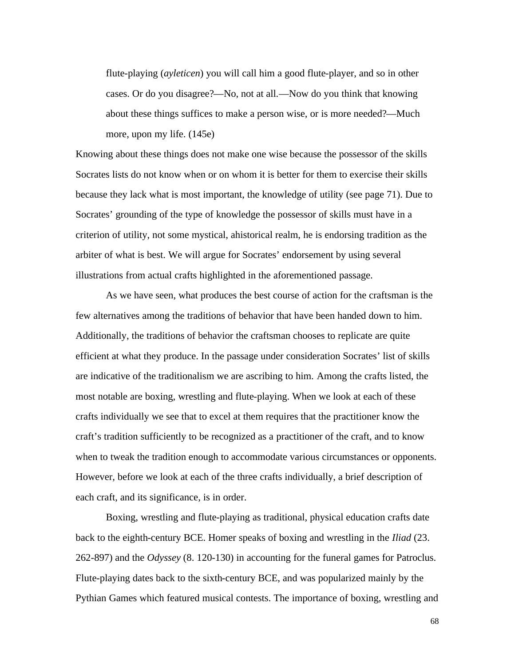flute-playing (*ayleticen*) you will call him a good flute-player, and so in other cases. Or do you disagree?—No, not at all.—Now do you think that knowing about these things suffices to make a person wise, or is more needed?—Much more, upon my life. (145e)

Knowing about these things does not make one wise because the possessor of the skills Socrates lists do not know when or on whom it is better for them to exercise their skills because they lack what is most important, the knowledge of utility (see page 71). Due to Socrates' grounding of the type of knowledge the possessor of skills must have in a criterion of utility, not some mystical, ahistorical realm, he is endorsing tradition as the arbiter of what is best. We will argue for Socrates' endorsement by using several illustrations from actual crafts highlighted in the aforementioned passage.

As we have seen, what produces the best course of action for the craftsman is the few alternatives among the traditions of behavior that have been handed down to him. Additionally, the traditions of behavior the craftsman chooses to replicate are quite efficient at what they produce. In the passage under consideration Socrates' list of skills are indicative of the traditionalism we are ascribing to him. Among the crafts listed, the most notable are boxing, wrestling and flute-playing. When we look at each of these crafts individually we see that to excel at them requires that the practitioner know the craft's tradition sufficiently to be recognized as a practitioner of the craft, and to know when to tweak the tradition enough to accommodate various circumstances or opponents. However, before we look at each of the three crafts individually, a brief description of each craft, and its significance, is in order.

Boxing, wrestling and flute-playing as traditional, physical education crafts date back to the eighth-century BCE. Homer speaks of boxing and wrestling in the *Iliad* (23. 262-897) and the *Odyssey* (8. 120-130) in accounting for the funeral games for Patroclus. Flute-playing dates back to the sixth-century BCE, and was popularized mainly by the Pythian Games which featured musical contests. The importance of boxing, wrestling and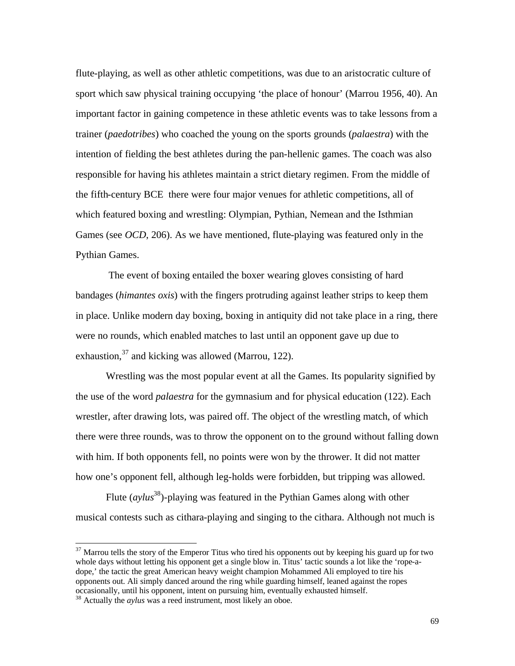flute-playing, as well as other athletic competitions, was due to an aristocratic culture of sport which saw physical training occupying 'the place of honour' (Marrou 1956, 40). An important factor in gaining competence in these athletic events was to take lessons from a trainer (*paedotribes*) who coached the young on the sports grounds (*palaestra*) with the intention of fielding the best athletes during the pan-hellenic games. The coach was also responsible for having his athletes maintain a strict dietary regimen. From the middle of the fifth-century BCE there were four major venues for athletic competitions, all of which featured boxing and wrestling: Olympian, Pythian, Nemean and the Isthmian Games (see *OCD*, 206). As we have mentioned, flute-playing was featured only in the Pythian Games.

 The event of boxing entailed the boxer wearing gloves consisting of hard bandages (*himantes oxis*) with the fingers protruding against leather strips to keep them in place. Unlike modern day boxing, boxing in antiquity did not take place in a ring, there were no rounds, which enabled matches to last until an opponent gave up due to exhaustion,  $37$  and kicking was allowed (Marrou, 122).

Wrestling was the most popular event at all the Games. Its popularity signified by the use of the word *palaestra* for the gymnasium and for physical education (122). Each wrestler, after drawing lots, was paired off. The object of the wrestling match, of which there were three rounds, was to throw the opponent on to the ground without falling down with him. If both opponents fell, no points were won by the thrower. It did not matter how one's opponent fell, although leg-holds were forbidden, but tripping was allowed.

Flute (*aylus*<sup>38</sup>)-playing was featured in the Pythian Games along with other musical contests such as cithara-playing and singing to the cithara. Although not much is

 $\overline{a}$ 

 $37$  Marrou tells the story of the Emperor Titus who tired his opponents out by keeping his guard up for two whole days without letting his opponent get a single blow in. Titus' tactic sounds a lot like the 'rope-adope,' the tactic the great American heavy weight champion Mohammed Ali employed to tire his opponents out. Ali simply danced around the ring while guarding himself, leaned against the ropes occasionally, until his opponent, intent on pursuing him, eventually exhausted himself.

<sup>&</sup>lt;sup>38</sup> Actually the *aylus* was a reed instrument, most likely an oboe.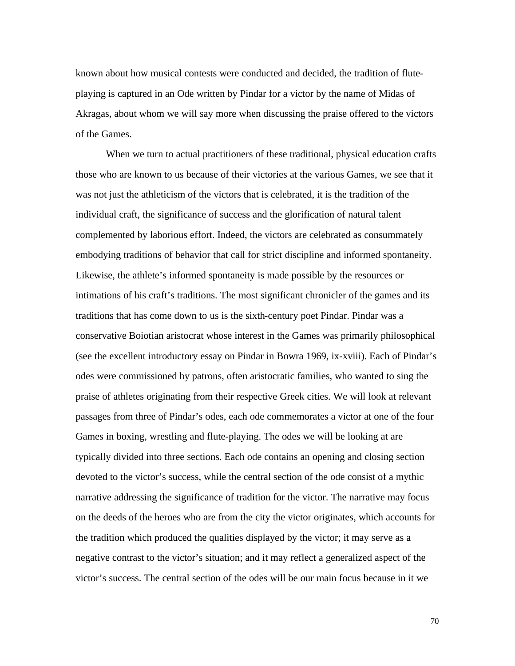known about how musical contests were conducted and decided, the tradition of fluteplaying is captured in an Ode written by Pindar for a victor by the name of Midas of Akragas, about whom we will say more when discussing the praise offered to the victors of the Games.

When we turn to actual practitioners of these traditional, physical education crafts those who are known to us because of their victories at the various Games, we see that it was not just the athleticism of the victors that is celebrated, it is the tradition of the individual craft, the significance of success and the glorification of natural talent complemented by laborious effort. Indeed, the victors are celebrated as consummately embodying traditions of behavior that call for strict discipline and informed spontaneity. Likewise, the athlete's informed spontaneity is made possible by the resources or intimations of his craft's traditions. The most significant chronicler of the games and its traditions that has come down to us is the sixth-century poet Pindar. Pindar was a conservative Boiotian aristocrat whose interest in the Games was primarily philosophical (see the excellent introductory essay on Pindar in Bowra 1969, ix-xviii). Each of Pindar's odes were commissioned by patrons, often aristocratic families, who wanted to sing the praise of athletes originating from their respective Greek cities. We will look at relevant passages from three of Pindar's odes, each ode commemorates a victor at one of the four Games in boxing, wrestling and flute-playing. The odes we will be looking at are typically divided into three sections. Each ode contains an opening and closing section devoted to the victor's success, while the central section of the ode consist of a mythic narrative addressing the significance of tradition for the victor. The narrative may focus on the deeds of the heroes who are from the city the victor originates, which accounts for the tradition which produced the qualities displayed by the victor; it may serve as a negative contrast to the victor's situation; and it may reflect a generalized aspect of the victor's success. The central section of the odes will be our main focus because in it we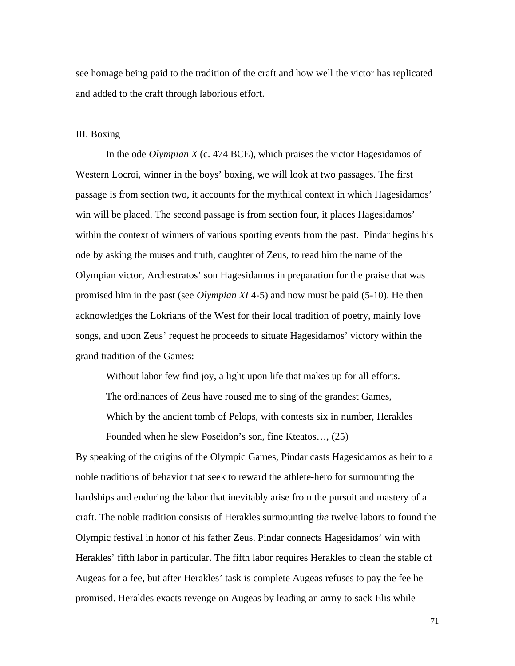see homage being paid to the tradition of the craft and how well the victor has replicated and added to the craft through laborious effort.

# III. Boxing

In the ode *Olympian X* (c. 474 BCE), which praises the victor Hagesidamos of Western Locroi, winner in the boys' boxing, we will look at two passages. The first passage is from section two, it accounts for the mythical context in which Hagesidamos' win will be placed. The second passage is from section four, it places Hagesidamos' within the context of winners of various sporting events from the past. Pindar begins his ode by asking the muses and truth, daughter of Zeus, to read him the name of the Olympian victor, Archestratos' son Hagesidamos in preparation for the praise that was promised him in the past (see *Olympian XI* 4-5) and now must be paid (5-10). He then acknowledges the Lokrians of the West for their local tradition of poetry, mainly love songs, and upon Zeus' request he proceeds to situate Hagesidamos' victory within the grand tradition of the Games:

Without labor few find joy, a light upon life that makes up for all efforts.

The ordinances of Zeus have roused me to sing of the grandest Games,

Which by the ancient tomb of Pelops, with contests six in number, Herakles

Founded when he slew Poseidon's son, fine Kteatos…, (25)

By speaking of the origins of the Olympic Games, Pindar casts Hagesidamos as heir to a noble traditions of behavior that seek to reward the athlete-hero for surmounting the hardships and enduring the labor that inevitably arise from the pursuit and mastery of a craft. The noble tradition consists of Herakles surmounting *the* twelve labors to found the Olympic festival in honor of his father Zeus. Pindar connects Hagesidamos' win with Herakles' fifth labor in particular. The fifth labor requires Herakles to clean the stable of Augeas for a fee, but after Herakles' task is complete Augeas refuses to pay the fee he promised. Herakles exacts revenge on Augeas by leading an army to sack Elis while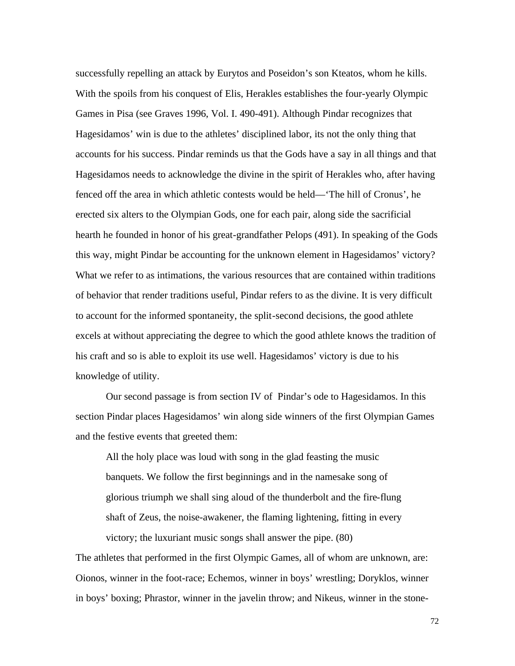successfully repelling an attack by Eurytos and Poseidon's son Kteatos, whom he kills. With the spoils from his conquest of Elis, Herakles establishes the four-yearly Olympic Games in Pisa (see Graves 1996, Vol. I. 490-491). Although Pindar recognizes that Hagesidamos' win is due to the athletes' disciplined labor, its not the only thing that accounts for his success. Pindar reminds us that the Gods have a say in all things and that Hagesidamos needs to acknowledge the divine in the spirit of Herakles who, after having fenced off the area in which athletic contests would be held—'The hill of Cronus', he erected six alters to the Olympian Gods, one for each pair, along side the sacrificial hearth he founded in honor of his great-grandfather Pelops (491). In speaking of the Gods this way, might Pindar be accounting for the unknown element in Hagesidamos' victory? What we refer to as intimations, the various resources that are contained within traditions of behavior that render traditions useful, Pindar refers to as the divine. It is very difficult to account for the informed spontaneity, the split-second decisions, the good athlete excels at without appreciating the degree to which the good athlete knows the tradition of his craft and so is able to exploit its use well. Hagesidamos' victory is due to his knowledge of utility.

Our second passage is from section IV of Pindar's ode to Hagesidamos. In this section Pindar places Hagesidamos' win along side winners of the first Olympian Games and the festive events that greeted them:

All the holy place was loud with song in the glad feasting the music banquets. We follow the first beginnings and in the namesake song of glorious triumph we shall sing aloud of the thunderbolt and the fire-flung shaft of Zeus, the noise-awakener, the flaming lightening, fitting in every victory; the luxuriant music songs shall answer the pipe. (80)

The athletes that performed in the first Olympic Games, all of whom are unknown, are: Oionos, winner in the foot-race; Echemos, winner in boys' wrestling; Doryklos, winner in boys' boxing; Phrastor, winner in the javelin throw; and Nikeus, winner in the stone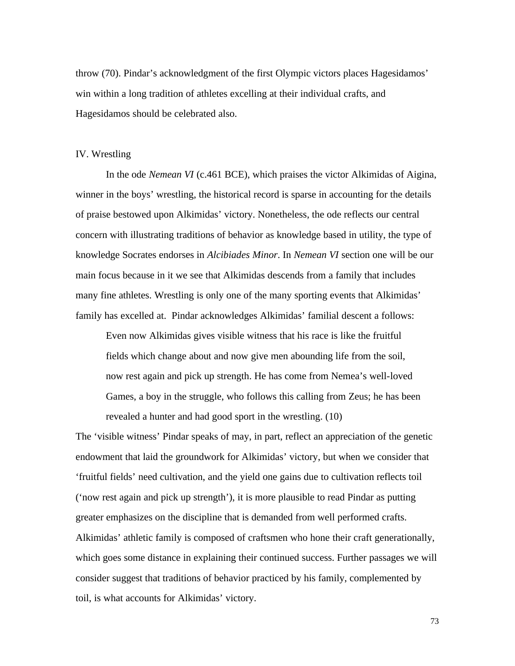throw (70). Pindar's acknowledgment of the first Olympic victors places Hagesidamos' win within a long tradition of athletes excelling at their individual crafts, and Hagesidamos should be celebrated also.

# IV. Wrestling

In the ode *Nemean VI* (c.461 BCE), which praises the victor Alkimidas of Aigina, winner in the boys' wrestling, the historical record is sparse in accounting for the details of praise bestowed upon Alkimidas' victory. Nonetheless, the ode reflects our central concern with illustrating traditions of behavior as knowledge based in utility, the type of knowledge Socrates endorses in *Alcibiades Minor*. In *Nemean VI* section one will be our main focus because in it we see that Alkimidas descends from a family that includes many fine athletes. Wrestling is only one of the many sporting events that Alkimidas' family has excelled at. Pindar acknowledges Alkimidas' familial descent a follows:

Even now Alkimidas gives visible witness that his race is like the fruitful fields which change about and now give men abounding life from the soil, now rest again and pick up strength. He has come from Nemea's well-loved Games, a boy in the struggle, who follows this calling from Zeus; he has been revealed a hunter and had good sport in the wrestling. (10)

The 'visible witness' Pindar speaks of may, in part, reflect an appreciation of the genetic endowment that laid the groundwork for Alkimidas' victory, but when we consider that 'fruitful fields' need cultivation, and the yield one gains due to cultivation reflects toil ('now rest again and pick up strength'), it is more plausible to read Pindar as putting greater emphasizes on the discipline that is demanded from well performed crafts. Alkimidas' athletic family is composed of craftsmen who hone their craft generationally, which goes some distance in explaining their continued success. Further passages we will consider suggest that traditions of behavior practiced by his family, complemented by toil, is what accounts for Alkimidas' victory.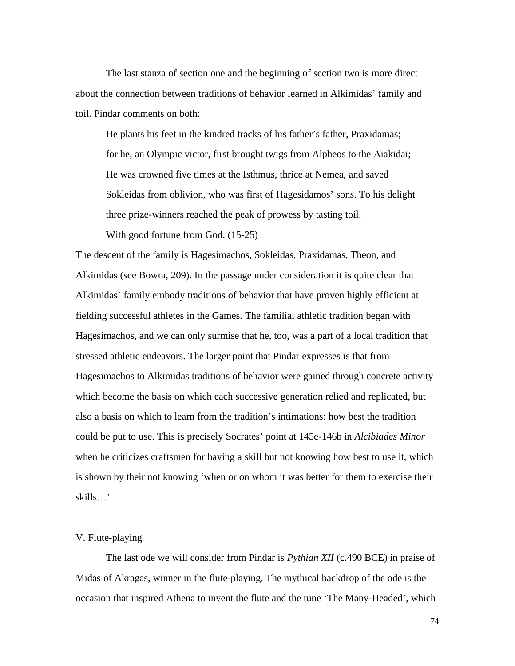The last stanza of section one and the beginning of section two is more direct about the connection between traditions of behavior learned in Alkimidas' family and toil. Pindar comments on both:

He plants his feet in the kindred tracks of his father's father, Praxidamas; for he, an Olympic victor, first brought twigs from Alpheos to the Aiakidai; He was crowned five times at the Isthmus, thrice at Nemea, and saved Sokleidas from oblivion, who was first of Hagesidamos' sons. To his delight three prize-winners reached the peak of prowess by tasting toil. With good fortune from God. (15-25)

The descent of the family is Hagesimachos, Sokleidas, Praxidamas, Theon, and Alkimidas (see Bowra, 209). In the passage under consideration it is quite clear that Alkimidas' family embody traditions of behavior that have proven highly efficient at fielding successful athletes in the Games. The familial athletic tradition began with Hagesimachos, and we can only surmise that he, too, was a part of a local tradition that stressed athletic endeavors. The larger point that Pindar expresses is that from Hagesimachos to Alkimidas traditions of behavior were gained through concrete activity which become the basis on which each successive generation relied and replicated, but also a basis on which to learn from the tradition's intimations: how best the tradition could be put to use. This is precisely Socrates' point at 145e-146b in *Alcibiades Minor* when he criticizes craftsmen for having a skill but not knowing how best to use it, which is shown by their not knowing 'when or on whom it was better for them to exercise their skills…'

# V. Flute-playing

The last ode we will consider from Pindar is *Pythian XII* (c.490 BCE) in praise of Midas of Akragas, winner in the flute-playing. The mythical backdrop of the ode is the occasion that inspired Athena to invent the flute and the tune 'The Many-Headed', which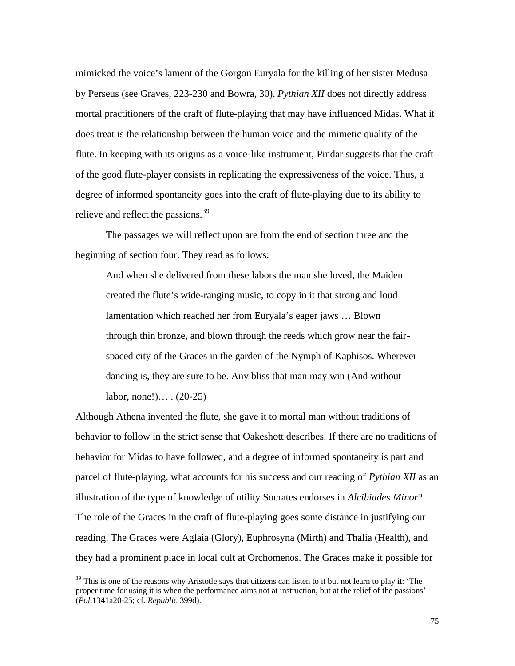mimicked the voice's lament of the Gorgon Euryala for the killing of her sister Medusa by Perseus (see Graves, 223-230 and Bowra, 30). *Pythian XII* does not directly address mortal practitioners of the craft of flute-playing that may have influenced Midas. What it does treat is the relationship between the human voice and the mimetic quality of the flute. In keeping with its origins as a voice-like instrument, Pindar suggests that the craft of the good flute-player consists in replicating the expressiveness of the voice. Thus, a degree of informed spontaneity goes into the craft of flute-playing due to its ability to relieve and reflect the passions.<sup>39</sup>

The passages we will reflect upon are from the end of section three and the beginning of section four. They read as follows:

And when she delivered from these labors the man she loved, the Maiden created the flute's wide-ranging music, to copy in it that strong and loud lamentation which reached her from Euryala's eager jaws … Blown through thin bronze, and blown through the reeds which grow near the fairspaced city of the Graces in the garden of the Nymph of Kaphisos. Wherever dancing is, they are sure to be. Any bliss that man may win (And without labor, none!)… . (20-25)

Although Athena invented the flute, she gave it to mortal man without traditions of behavior to follow in the strict sense that Oakeshott describes. If there are no traditions of behavior for Midas to have followed, and a degree of informed spontaneity is part and parcel of flute-playing, what accounts for his success and our reading of *Pythian XII* as an illustration of the type of knowledge of utility Socrates endorses in *Alcibiades Minor*? The role of the Graces in the craft of flute-playing goes some distance in justifying our reading. The Graces were Aglaia (Glory), Euphrosyna (Mirth) and Thalia (Health), and they had a prominent place in local cult at Orchomenos. The Graces make it possible for

 $\overline{a}$ 

<sup>&</sup>lt;sup>39</sup> This is one of the reasons why Aristotle says that citizens can listen to it but not learn to play it: 'The proper time for using it is when the performance aims not at instruction, but at the relief of the passions' (*Pol*.1341a20-25; cf. *Republic* 399d).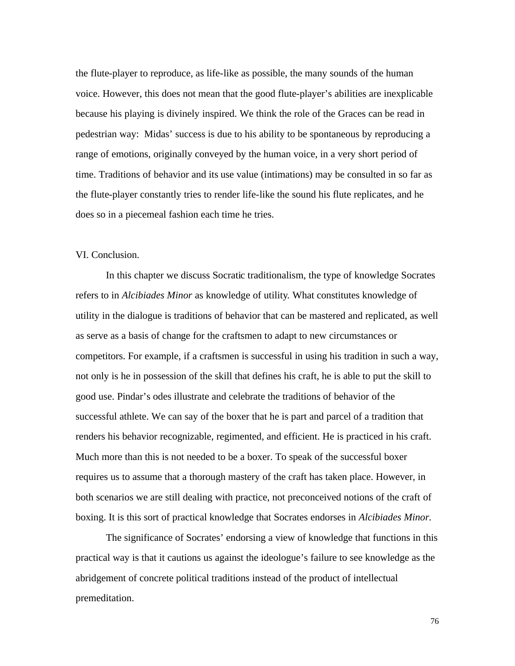the flute-player to reproduce, as life-like as possible, the many sounds of the human voice. However, this does not mean that the good flute-player's abilities are inexplicable because his playing is divinely inspired. We think the role of the Graces can be read in pedestrian way: Midas' success is due to his ability to be spontaneous by reproducing a range of emotions, originally conveyed by the human voice, in a very short period of time. Traditions of behavior and its use value (intimations) may be consulted in so far as the flute-player constantly tries to render life-like the sound his flute replicates, and he does so in a piecemeal fashion each time he tries.

# VI. Conclusion.

In this chapter we discuss Socratic traditionalism, the type of knowledge Socrates refers to in *Alcibiades Minor* as knowledge of utility*.* What constitutes knowledge of utility in the dialogue is traditions of behavior that can be mastered and replicated, as well as serve as a basis of change for the craftsmen to adapt to new circumstances or competitors. For example, if a craftsmen is successful in using his tradition in such a way, not only is he in possession of the skill that defines his craft, he is able to put the skill to good use. Pindar's odes illustrate and celebrate the traditions of behavior of the successful athlete. We can say of the boxer that he is part and parcel of a tradition that renders his behavior recognizable, regimented, and efficient. He is practiced in his craft. Much more than this is not needed to be a boxer. To speak of the successful boxer requires us to assume that a thorough mastery of the craft has taken place. However, in both scenarios we are still dealing with practice, not preconceived notions of the craft of boxing. It is this sort of practical knowledge that Socrates endorses in *Alcibiades Minor.*

The significance of Socrates' endorsing a view of knowledge that functions in this practical way is that it cautions us against the ideologue's failure to see knowledge as the abridgement of concrete political traditions instead of the product of intellectual premeditation.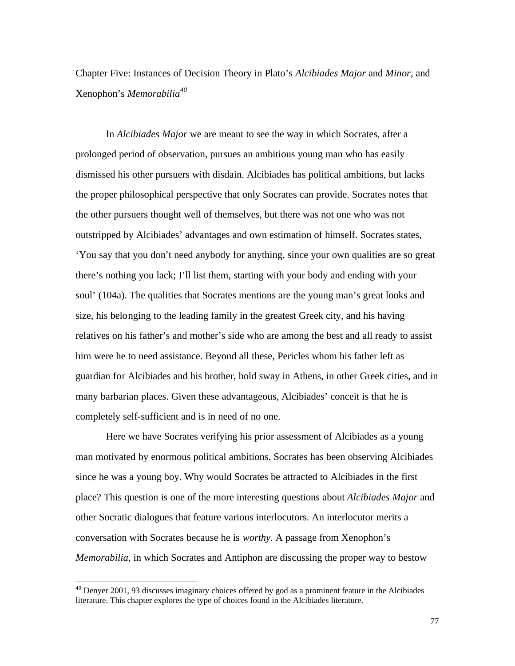Chapter Five: Instances of Decision Theory in Plato's *Alcibiades Major* and *Minor*, and Xenophon's *Memorabilia<sup>40</sup>*

In *Alcibiades Major* we are meant to see the way in which Socrates, after a prolonged period of observation, pursues an ambitious young man who has easily dismissed his other pursuers with disdain. Alcibiades has political ambitions, but lacks the proper philosophical perspective that only Socrates can provide. Socrates notes that the other pursuers thought well of themselves, but there was not one who was not outstripped by Alcibiades' advantages and own estimation of himself. Socrates states, 'You say that you don't need anybody for anything, since your own qualities are so great there's nothing you lack; I'll list them, starting with your body and ending with your soul' (104a). The qualities that Socrates mentions are the young man's great looks and size, his belonging to the leading family in the greatest Greek city, and his having relatives on his father's and mother's side who are among the best and all ready to assist him were he to need assistance. Beyond all these, Pericles whom his father left as guardian for Alcibiades and his brother, hold sway in Athens, in other Greek cities, and in many barbarian places. Given these advantageous, Alcibiades' conceit is that he is completely self-sufficient and is in need of no one.

Here we have Socrates verifying his prior assessment of Alcibiades as a young man motivated by enormous political ambitions. Socrates has been observing Alcibiades since he was a young boy. Why would Socrates be attracted to Alcibiades in the first place? This question is one of the more interesting questions about *Alcibiades Major* and other Socratic dialogues that feature various interlocutors. An interlocutor merits a conversation with Socrates because he is *worthy*. A passage from Xenophon's *Memorabilia*, in which Socrates and Antiphon are discussing the proper way to bestow

 $\overline{a}$ 

 $40$  Denyer 2001, 93 discusses imaginary choices offered by god as a prominent feature in the Alcibiades literature. This chapter explores the type of choices found in the Alcibiades literature.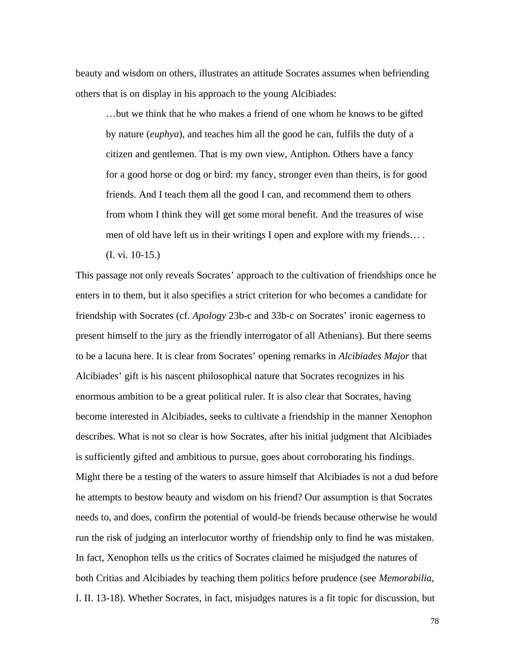beauty and wisdom on others, illustrates an attitude Socrates assumes when befriending others that is on display in his approach to the young Alcibiades:

…but we think that he who makes a friend of one whom he knows to be gifted by nature (*euphya*), and teaches him all the good he can, fulfils the duty of a citizen and gentlemen. That is my own view, Antiphon. Others have a fancy for a good horse or dog or bird: my fancy, stronger even than theirs, is for good friends. And I teach them all the good I can, and recommend them to others from whom I think they will get some moral benefit. And the treasures of wise men of old have left us in their writings I open and explore with my friends… . (I. vi. 10-15.)

This passage not only reveals Socrates' approach to the cultivation of friendships once he enters in to them, but it also specifies a strict criterion for who becomes a candidate for friendship with Socrates (cf. *Apology* 23b-c and 33b-c on Socrates' ironic eagerness to present himself to the jury as the friendly interrogator of all Athenians). But there seems to be a lacuna here. It is clear from Socrates' opening remarks in *Alcibiades Major* that Alcibiades' gift is his nascent philosophical nature that Socrates recognizes in his enormous ambition to be a great political ruler. It is also clear that Socrates, having become interested in Alcibiades, seeks to cultivate a friendship in the manner Xenophon describes. What is not so clear is how Socrates, after his initial judgment that Alcibiades is sufficiently gifted and ambitious to pursue, goes about corroborating his findings. Might there be a testing of the waters to assure himself that Alcibiades is not a dud before he attempts to bestow beauty and wisdom on his friend? Our assumption is that Socrates needs to, and does, confirm the potential of would-be friends because otherwise he would run the risk of judging an interlocutor worthy of friendship only to find he was mistaken. In fact, Xenophon tells us the critics of Socrates claimed he misjudged the natures of both Critias and Alcibiades by teaching them politics before prudence (see *Memorabilia*, I. II. 13-18). Whether Socrates, in fact, misjudges natures is a fit topic for discussion, but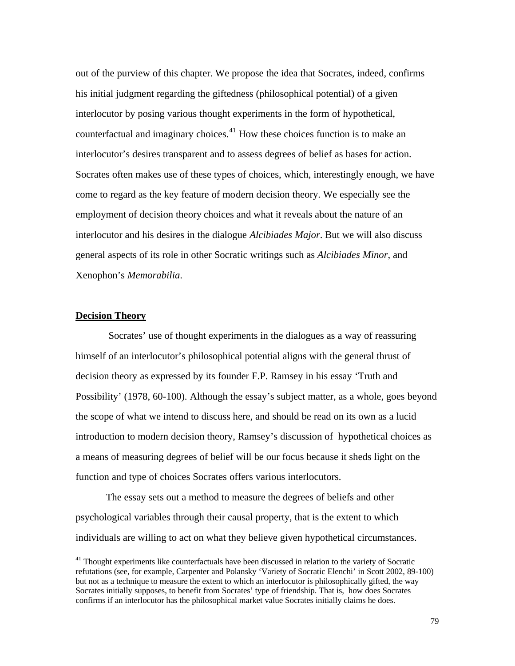out of the purview of this chapter. We propose the idea that Socrates, indeed, confirms his initial judgment regarding the giftedness (philosophical potential) of a given interlocutor by posing various thought experiments in the form of hypothetical, counterfactual and imaginary choices.<sup>41</sup> How these choices function is to make an interlocutor's desires transparent and to assess degrees of belief as bases for action. Socrates often makes use of these types of choices, which, interestingly enough, we have come to regard as the key feature of modern decision theory. We especially see the employment of decision theory choices and what it reveals about the nature of an interlocutor and his desires in the dialogue *Alcibiades Major*. But we will also discuss general aspects of its role in other Socratic writings such as *Alcibiades Minor*, and Xenophon's *Memorabilia*.

# **Decision Theory**

 $\overline{a}$ 

 Socrates' use of thought experiments in the dialogues as a way of reassuring himself of an interlocutor's philosophical potential aligns with the general thrust of decision theory as expressed by its founder F.P. Ramsey in his essay 'Truth and Possibility' (1978, 60-100). Although the essay's subject matter, as a whole, goes beyond the scope of what we intend to discuss here, and should be read on its own as a lucid introduction to modern decision theory, Ramsey's discussion of hypothetical choices as a means of measuring degrees of belief will be our focus because it sheds light on the function and type of choices Socrates offers various interlocutors.

The essay sets out a method to measure the degrees of beliefs and other psychological variables through their causal property, that is the extent to which individuals are willing to act on what they believe given hypothetical circumstances.

<sup>&</sup>lt;sup>41</sup> Thought experiments like counterfactuals have been discussed in relation to the variety of Socratic refutations (see, for example, Carpenter and Polansky 'Variety of Socratic Elenchi' in Scott 2002, 89-100) but not as a technique to measure the extent to which an interlocutor is philosophically gifted, the way Socrates initially supposes, to benefit from Socrates' type of friendship. That is, how does Socrates confirms if an interlocutor has the philosophical market value Socrates initially claims he does.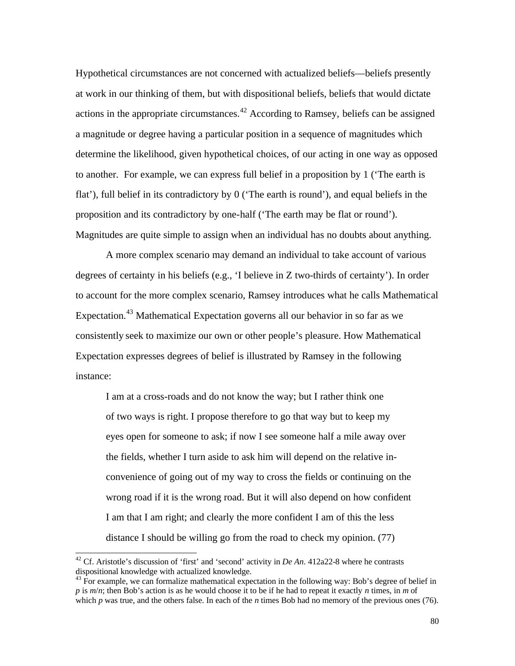Hypothetical circumstances are not concerned with actualized beliefs—beliefs presently at work in our thinking of them, but with dispositional beliefs, beliefs that would dictate actions in the appropriate circumstances.<sup>42</sup> According to Ramsey, beliefs can be assigned a magnitude or degree having a particular position in a sequence of magnitudes which determine the likelihood, given hypothetical choices, of our acting in one way as opposed to another. For example, we can express full belief in a proposition by 1 ('The earth is flat'), full belief in its contradictory by 0 ('The earth is round'), and equal beliefs in the proposition and its contradictory by one-half ('The earth may be flat or round'). Magnitudes are quite simple to assign when an individual has no doubts about anything.

A more complex scenario may demand an individual to take account of various degrees of certainty in his beliefs (e.g., 'I believe in Z two-thirds of certainty'). In order to account for the more complex scenario, Ramsey introduces what he calls Mathematical Expectation.<sup>43</sup> Mathematical Expectation governs all our behavior in so far as we consistently seek to maximize our own or other people's pleasure. How Mathematical Expectation expresses degrees of belief is illustrated by Ramsey in the following instance:

I am at a cross-roads and do not know the way; but I rather think one of two ways is right. I propose therefore to go that way but to keep my eyes open for someone to ask; if now I see someone half a mile away over the fields, whether I turn aside to ask him will depend on the relative inconvenience of going out of my way to cross the fields or continuing on the wrong road if it is the wrong road. But it will also depend on how confident I am that I am right; and clearly the more confident I am of this the less distance I should be willing go from the road to check my opinion. (77)

 $\overline{a}$ 

<sup>42</sup> Cf. Aristotle's discussion of 'first' and 'second' activity in *De An*. 412a22-8 where he contrasts dispositional knowledge with actualized knowledge.

 $43$  For example, we can formalize mathematical expectation in the following way: Bob's degree of belief in *p* is *m*/*n*; then Bob's action is as he would choose it to be if he had to repeat it exactly *n* times, in *m* of which *p* was true, and the others false. In each of the *n* times Bob had no memory of the previous ones (76).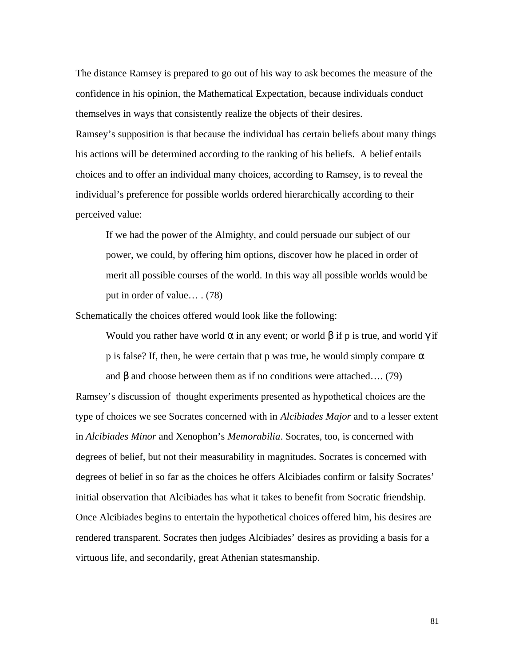The distance Ramsey is prepared to go out of his way to ask becomes the measure of the confidence in his opinion, the Mathematical Expectation, because individuals conduct themselves in ways that consistently realize the objects of their desires. Ramsey's supposition is that because the individual has certain beliefs about many things his actions will be determined according to the ranking of his beliefs. A belief entails choices and to offer an individual many choices, according to Ramsey, is to reveal the individual's preference for possible worlds ordered hierarchically according to their perceived value:

If we had the power of the Almighty, and could persuade our subject of our power, we could, by offering him options, discover how he placed in order of merit all possible courses of the world. In this way all possible worlds would be put in order of value… . (78)

Schematically the choices offered would look like the following:

Would you rather have world  $\alpha$  in any event; or world  $\beta$  if p is true, and world  $\gamma$  if p is false? If, then, he were certain that p was true, he would simply compare  $\alpha$ and  $\beta$  and choose between them as if no conditions were attached.... (79) Ramsey's discussion of thought experiments presented as hypothetical choices are the type of choices we see Socrates concerned with in *Alcibiades Major* and to a lesser extent

in *Alcibiades Minor* and Xenophon's *Memorabilia*. Socrates, too, is concerned with degrees of belief, but not their measurability in magnitudes. Socrates is concerned with degrees of belief in so far as the choices he offers Alcibiades confirm or falsify Socrates' initial observation that Alcibiades has what it takes to benefit from Socratic friendship. Once Alcibiades begins to entertain the hypothetical choices offered him, his desires are rendered transparent. Socrates then judges Alcibiades' desires as providing a basis for a virtuous life, and secondarily, great Athenian statesmanship.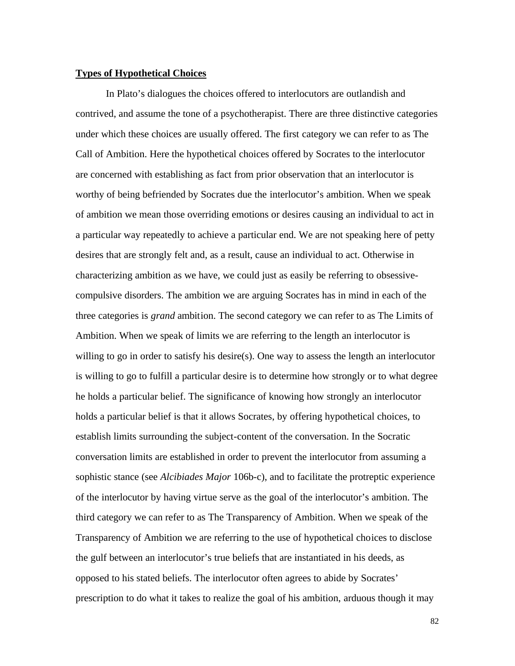# **Types of Hypothetical Choices**

In Plato's dialogues the choices offered to interlocutors are outlandish and contrived, and assume the tone of a psychotherapist. There are three distinctive categories under which these choices are usually offered. The first category we can refer to as The Call of Ambition. Here the hypothetical choices offered by Socrates to the interlocutor are concerned with establishing as fact from prior observation that an interlocutor is worthy of being befriended by Socrates due the interlocutor's ambition. When we speak of ambition we mean those overriding emotions or desires causing an individual to act in a particular way repeatedly to achieve a particular end. We are not speaking here of petty desires that are strongly felt and, as a result, cause an individual to act. Otherwise in characterizing ambition as we have, we could just as easily be referring to obsessivecompulsive disorders. The ambition we are arguing Socrates has in mind in each of the three categories is *grand* ambition. The second category we can refer to as The Limits of Ambition. When we speak of limits we are referring to the length an interlocutor is willing to go in order to satisfy his desire(s). One way to assess the length an interlocutor is willing to go to fulfill a particular desire is to determine how strongly or to what degree he holds a particular belief. The significance of knowing how strongly an interlocutor holds a particular belief is that it allows Socrates, by offering hypothetical choices, to establish limits surrounding the subject-content of the conversation. In the Socratic conversation limits are established in order to prevent the interlocutor from assuming a sophistic stance (see *Alcibiades Major* 106b-c), and to facilitate the protreptic experience of the interlocutor by having virtue serve as the goal of the interlocutor's ambition. The third category we can refer to as The Transparency of Ambition. When we speak of the Transparency of Ambition we are referring to the use of hypothetical choices to disclose the gulf between an interlocutor's true beliefs that are instantiated in his deeds, as opposed to his stated beliefs. The interlocutor often agrees to abide by Socrates' prescription to do what it takes to realize the goal of his ambition, arduous though it may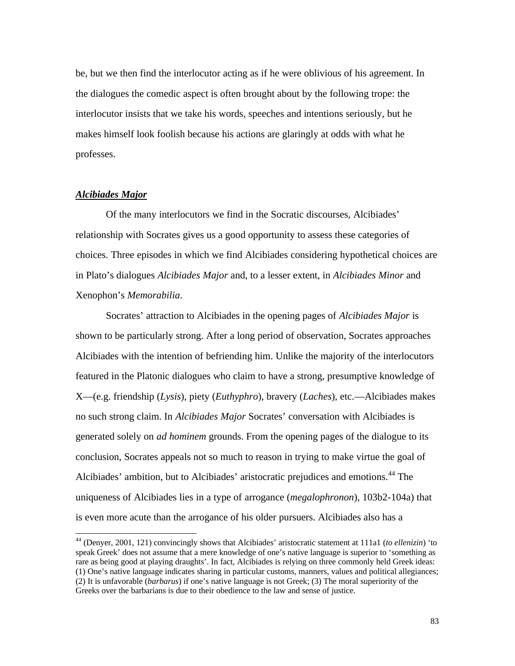be, but we then find the interlocutor acting as if he were oblivious of his agreement. In the dialogues the comedic aspect is often brought about by the following trope: the interlocutor insists that we take his words, speeches and intentions seriously, but he makes himself look foolish because his actions are glaringly at odds with what he professes.

## *Alcibiades Major*

 $\overline{a}$ 

Of the many interlocutors we find in the Socratic discourses, Alcibiades' relationship with Socrates gives us a good opportunity to assess these categories of choices. Three episodes in which we find Alcibiades considering hypothetical choices are in Plato's dialogues *Alcibiades Major* and, to a lesser extent, in *Alcibiades Minor* and Xenophon's *Memorabilia*.

Socrates' attraction to Alcibiades in the opening pages of *Alcibiades Major* is shown to be particularly strong. After a long period of observation, Socrates approaches Alcibiades with the intention of befriending him. Unlike the majority of the interlocutors featured in the Platonic dialogues who claim to have a strong, presumptive knowledge of X—(e.g. friendship (*Lysis*), piety (*Euthyphro*), bravery (*Laches*), etc.—Alcibiades makes no such strong claim. In *Alcibiades Major* Socrates' conversation with Alcibiades is generated solely on *ad hominem* grounds. From the opening pages of the dialogue to its conclusion, Socrates appeals not so much to reason in trying to make virtue the goal of Alcibiades' ambition, but to Alcibiades' aristocratic prejudices and emotions.<sup>44</sup> The uniqueness of Alcibiades lies in a type of arrogance (*megalophronon*), 103b2-104a) that is even more acute than the arrogance of his older pursuers. Alcibiades also has a

<sup>44</sup> (Denyer, 2001, 121) convincingly shows that Alcibiades' aristocratic statement at 111a1 (*to ellenizin*) 'to speak Greek' does not assume that a mere knowledge of one's native language is superior to 'something as rare as being good at playing draughts'. In fact, Alcibiades is relying on three commonly held Greek ideas: (1) One's native language indicates sharing in particular customs, manners, values and political allegiances; (2) It is unfavorable (*barbarus*) if one's native language is not Greek; (3) The moral superiority of the Greeks over the barbarians is due to their obedience to the law and sense of justice.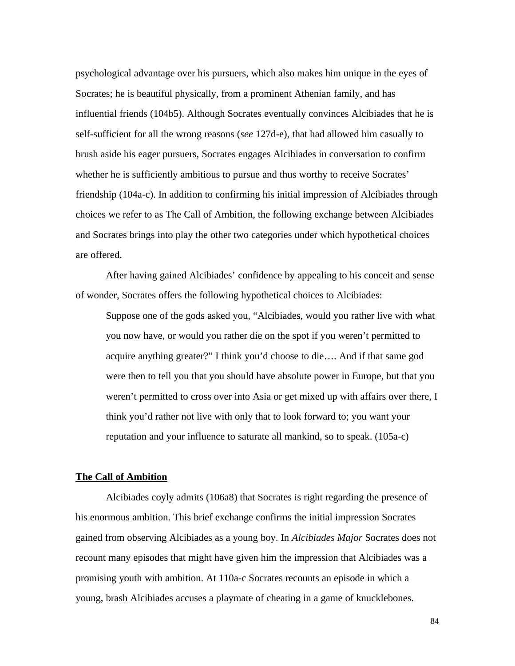psychological advantage over his pursuers, which also makes him unique in the eyes of Socrates; he is beautiful physically, from a prominent Athenian family, and has influential friends (104b5). Although Socrates eventually convinces Alcibiades that he is self-sufficient for all the wrong reasons (*see* 127d-e), that had allowed him casually to brush aside his eager pursuers, Socrates engages Alcibiades in conversation to confirm whether he is sufficiently ambitious to pursue and thus worthy to receive Socrates' friendship (104a-c). In addition to confirming his initial impression of Alcibiades through choices we refer to as The Call of Ambition, the following exchange between Alcibiades and Socrates brings into play the other two categories under which hypothetical choices are offered.

After having gained Alcibiades' confidence by appealing to his conceit and sense of wonder, Socrates offers the following hypothetical choices to Alcibiades:

Suppose one of the gods asked you, "Alcibiades, would you rather live with what you now have, or would you rather die on the spot if you weren't permitted to acquire anything greater?" I think you'd choose to die…. And if that same god were then to tell you that you should have absolute power in Europe, but that you weren't permitted to cross over into Asia or get mixed up with affairs over there, I think you'd rather not live with only that to look forward to; you want your reputation and your influence to saturate all mankind, so to speak. (105a-c)

#### **The Call of Ambition**

Alcibiades coyly admits (106a8) that Socrates is right regarding the presence of his enormous ambition. This brief exchange confirms the initial impression Socrates gained from observing Alcibiades as a young boy. In *Alcibiades Major* Socrates does not recount many episodes that might have given him the impression that Alcibiades was a promising youth with ambition. At 110a-c Socrates recounts an episode in which a young, brash Alcibiades accuses a playmate of cheating in a game of knucklebones.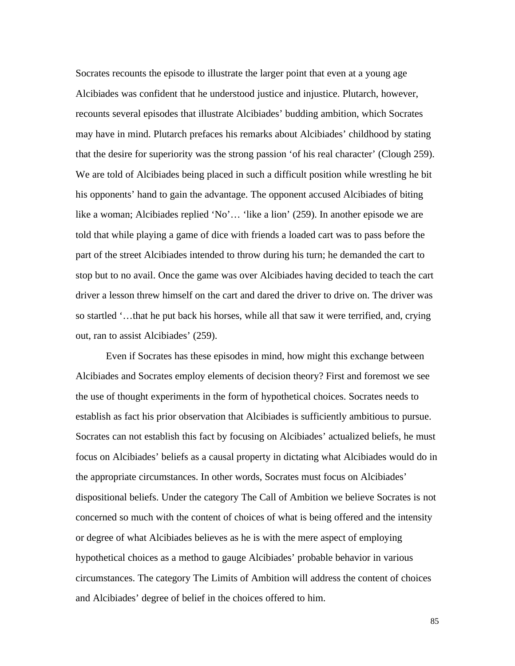Socrates recounts the episode to illustrate the larger point that even at a young age Alcibiades was confident that he understood justice and injustice. Plutarch, however, recounts several episodes that illustrate Alcibiades' budding ambition, which Socrates may have in mind. Plutarch prefaces his remarks about Alcibiades' childhood by stating that the desire for superiority was the strong passion 'of his real character' (Clough 259). We are told of Alcibiades being placed in such a difficult position while wrestling he bit his opponents' hand to gain the advantage. The opponent accused Alcibiades of biting like a woman; Alcibiades replied 'No'… 'like a lion' (259). In another episode we are told that while playing a game of dice with friends a loaded cart was to pass before the part of the street Alcibiades intended to throw during his turn; he demanded the cart to stop but to no avail. Once the game was over Alcibiades having decided to teach the cart driver a lesson threw himself on the cart and dared the driver to drive on. The driver was so startled '…that he put back his horses, while all that saw it were terrified, and, crying out, ran to assist Alcibiades' (259).

Even if Socrates has these episodes in mind, how might this exchange between Alcibiades and Socrates employ elements of decision theory? First and foremost we see the use of thought experiments in the form of hypothetical choices. Socrates needs to establish as fact his prior observation that Alcibiades is sufficiently ambitious to pursue. Socrates can not establish this fact by focusing on Alcibiades' actualized beliefs, he must focus on Alcibiades' beliefs as a causal property in dictating what Alcibiades would do in the appropriate circumstances. In other words, Socrates must focus on Alcibiades' dispositional beliefs. Under the category The Call of Ambition we believe Socrates is not concerned so much with the content of choices of what is being offered and the intensity or degree of what Alcibiades believes as he is with the mere aspect of employing hypothetical choices as a method to gauge Alcibiades' probable behavior in various circumstances. The category The Limits of Ambition will address the content of choices and Alcibiades' degree of belief in the choices offered to him.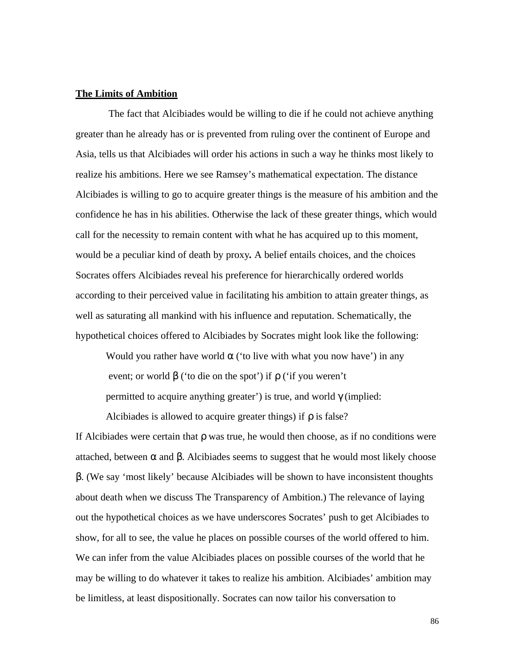# **The Limits of Ambition**

 The fact that Alcibiades would be willing to die if he could not achieve anything greater than he already has or is prevented from ruling over the continent of Europe and Asia, tells us that Alcibiades will order his actions in such a way he thinks most likely to realize his ambitions. Here we see Ramsey's mathematical expectation. The distance Alcibiades is willing to go to acquire greater things is the measure of his ambition and the confidence he has in his abilities. Otherwise the lack of these greater things, which would call for the necessity to remain content with what he has acquired up to this moment, would be a peculiar kind of death by proxy**.** A belief entails choices, and the choices Socrates offers Alcibiades reveal his preference for hierarchically ordered worlds according to their perceived value in facilitating his ambition to attain greater things, as well as saturating all mankind with his influence and reputation. Schematically, the hypothetical choices offered to Alcibiades by Socrates might look like the following:

Would you rather have world  $\alpha$  ('to live with what you now have') in any event; or world β ('to die on the spot') if  $ρ$  ('if you weren't permitted to acquire anything greater') is true, and world  $γ$  (implied:

Alcibiades is allowed to acquire greater things) if  $\rho$  is false?

If Alcibiades were certain that  $\rho$  was true, he would then choose, as if no conditions were attached, between α and β. Alcibiades seems to suggest that he would most likely choose β. (We say 'most likely' because Alcibiades will be shown to have inconsistent thoughts about death when we discuss The Transparency of Ambition.) The relevance of laying out the hypothetical choices as we have underscores Socrates' push to get Alcibiades to show, for all to see, the value he places on possible courses of the world offered to him. We can infer from the value Alcibiades places on possible courses of the world that he may be willing to do whatever it takes to realize his ambition. Alcibiades' ambition may be limitless, at least dispositionally. Socrates can now tailor his conversation to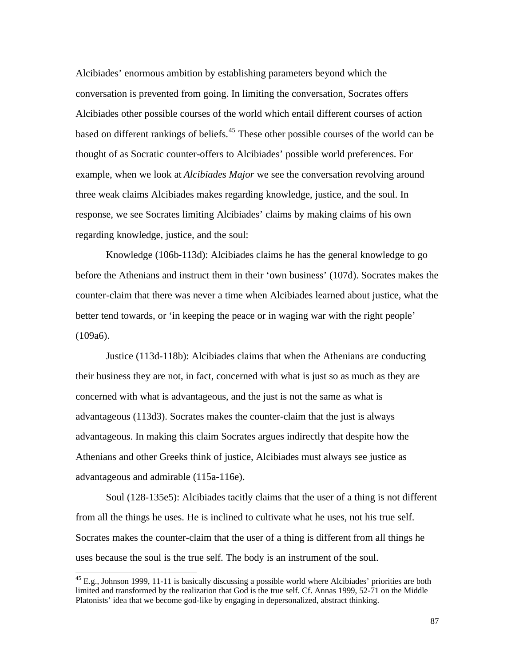Alcibiades' enormous ambition by establishing parameters beyond which the conversation is prevented from going. In limiting the conversation, Socrates offers Alcibiades other possible courses of the world which entail different courses of action based on different rankings of beliefs.<sup>45</sup> These other possible courses of the world can be thought of as Socratic counter-offers to Alcibiades' possible world preferences. For example, when we look at *Alcibiades Major* we see the conversation revolving around three weak claims Alcibiades makes regarding knowledge, justice, and the soul. In response, we see Socrates limiting Alcibiades' claims by making claims of his own regarding knowledge, justice, and the soul:

Knowledge (106b-113d): Alcibiades claims he has the general knowledge to go before the Athenians and instruct them in their 'own business' (107d). Socrates makes the counter-claim that there was never a time when Alcibiades learned about justice, what the better tend towards, or 'in keeping the peace or in waging war with the right people' (109a6).

Justice (113d-118b): Alcibiades claims that when the Athenians are conducting their business they are not, in fact, concerned with what is just so as much as they are concerned with what is advantageous, and the just is not the same as what is advantageous (113d3). Socrates makes the counter-claim that the just is always advantageous. In making this claim Socrates argues indirectly that despite how the Athenians and other Greeks think of justice, Alcibiades must always see justice as advantageous and admirable (115a-116e).

Soul (128-135e5): Alcibiades tacitly claims that the user of a thing is not different from all the things he uses. He is inclined to cultivate what he uses, not his true self. Socrates makes the counter-claim that the user of a thing is different from all things he uses because the soul is the true self. The body is an instrument of the soul.

-

 $45$  E.g., Johnson 1999, 11-11 is basically discussing a possible world where Alcibiades' priorities are both limited and transformed by the realization that God is the true self. Cf. Annas 1999, 52-71 on the Middle Platonists' idea that we become god-like by engaging in depersonalized, abstract thinking.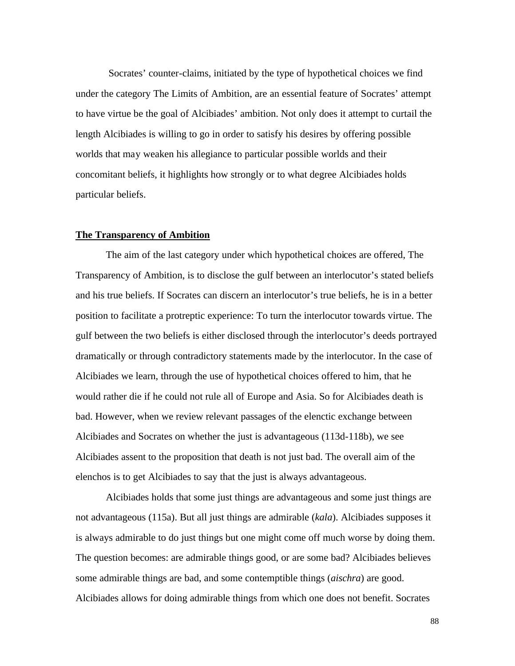Socrates' counter-claims, initiated by the type of hypothetical choices we find under the category The Limits of Ambition, are an essential feature of Socrates' attempt to have virtue be the goal of Alcibiades' ambition. Not only does it attempt to curtail the length Alcibiades is willing to go in order to satisfy his desires by offering possible worlds that may weaken his allegiance to particular possible worlds and their concomitant beliefs, it highlights how strongly or to what degree Alcibiades holds particular beliefs.

# **The Transparency of Ambition**

The aim of the last category under which hypothetical choices are offered, The Transparency of Ambition, is to disclose the gulf between an interlocutor's stated beliefs and his true beliefs. If Socrates can discern an interlocutor's true beliefs, he is in a better position to facilitate a protreptic experience: To turn the interlocutor towards virtue. The gulf between the two beliefs is either disclosed through the interlocutor's deeds portrayed dramatically or through contradictory statements made by the interlocutor. In the case of Alcibiades we learn, through the use of hypothetical choices offered to him, that he would rather die if he could not rule all of Europe and Asia. So for Alcibiades death is bad. However, when we review relevant passages of the elenctic exchange between Alcibiades and Socrates on whether the just is advantageous (113d-118b), we see Alcibiades assent to the proposition that death is not just bad. The overall aim of the elenchos is to get Alcibiades to say that the just is always advantageous.

Alcibiades holds that some just things are advantageous and some just things are not advantageous (115a). But all just things are admirable (*kala*). Alcibiades supposes it is always admirable to do just things but one might come off much worse by doing them. The question becomes: are admirable things good, or are some bad? Alcibiades believes some admirable things are bad, and some contemptible things (*aischra*) are good. Alcibiades allows for doing admirable things from which one does not benefit. Socrates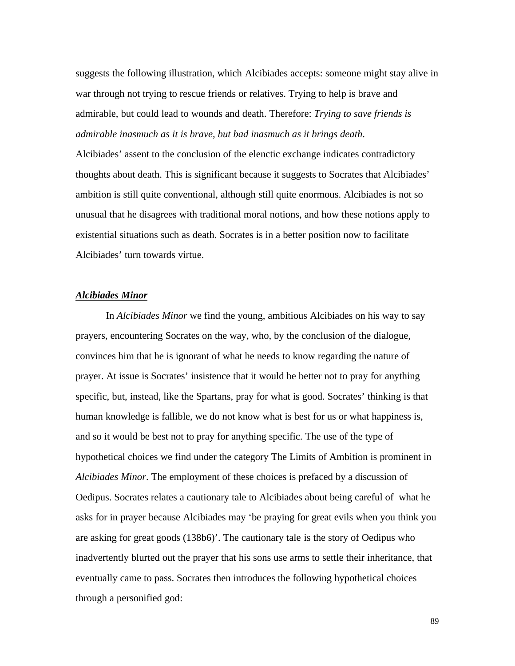suggests the following illustration, which Alcibiades accepts: someone might stay alive in war through not trying to rescue friends or relatives. Trying to help is brave and admirable, but could lead to wounds and death. Therefore: *Trying to save friends is admirable inasmuch as it is brave, but bad inasmuch as it brings death*.

Alcibiades' assent to the conclusion of the elenctic exchange indicates contradictory thoughts about death. This is significant because it suggests to Socrates that Alcibiades' ambition is still quite conventional, although still quite enormous. Alcibiades is not so unusual that he disagrees with traditional moral notions, and how these notions apply to existential situations such as death. Socrates is in a better position now to facilitate Alcibiades' turn towards virtue.

# *Alcibiades Minor*

In *Alcibiades Minor* we find the young, ambitious Alcibiades on his way to say prayers, encountering Socrates on the way, who, by the conclusion of the dialogue, convinces him that he is ignorant of what he needs to know regarding the nature of prayer. At issue is Socrates' insistence that it would be better not to pray for anything specific, but, instead, like the Spartans, pray for what is good. Socrates' thinking is that human knowledge is fallible, we do not know what is best for us or what happiness is, and so it would be best not to pray for anything specific. The use of the type of hypothetical choices we find under the category The Limits of Ambition is prominent in *Alcibiades Minor*. The employment of these choices is prefaced by a discussion of Oedipus. Socrates relates a cautionary tale to Alcibiades about being careful of what he asks for in prayer because Alcibiades may 'be praying for great evils when you think you are asking for great goods (138b6)'. The cautionary tale is the story of Oedipus who inadvertently blurted out the prayer that his sons use arms to settle their inheritance, that eventually came to pass. Socrates then introduces the following hypothetical choices through a personified god: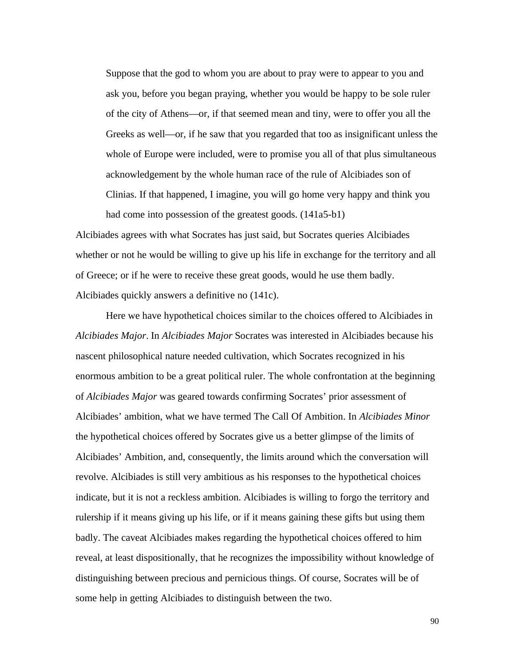Suppose that the god to whom you are about to pray were to appear to you and ask you, before you began praying, whether you would be happy to be sole ruler of the city of Athens—or, if that seemed mean and tiny, were to offer you all the Greeks as well—or, if he saw that you regarded that too as insignificant unless the whole of Europe were included, were to promise you all of that plus simultaneous acknowledgement by the whole human race of the rule of Alcibiades son of Clinias. If that happened, I imagine, you will go home very happy and think you had come into possession of the greatest goods.  $(141a5-b1)$ 

Alcibiades agrees with what Socrates has just said, but Socrates queries Alcibiades whether or not he would be willing to give up his life in exchange for the territory and all of Greece; or if he were to receive these great goods, would he use them badly. Alcibiades quickly answers a definitive no (141c).

Here we have hypothetical choices similar to the choices offered to Alcibiades in *Alcibiades Major*. In *Alcibiades Major* Socrates was interested in Alcibiades because his nascent philosophical nature needed cultivation, which Socrates recognized in his enormous ambition to be a great political ruler. The whole confrontation at the beginning of *Alcibiades Major* was geared towards confirming Socrates' prior assessment of Alcibiades' ambition, what we have termed The Call Of Ambition. In *Alcibiades Minor* the hypothetical choices offered by Socrates give us a better glimpse of the limits of Alcibiades' Ambition, and, consequently, the limits around which the conversation will revolve. Alcibiades is still very ambitious as his responses to the hypothetical choices indicate, but it is not a reckless ambition. Alcibiades is willing to forgo the territory and rulership if it means giving up his life, or if it means gaining these gifts but using them badly. The caveat Alcibiades makes regarding the hypothetical choices offered to him reveal, at least dispositionally, that he recognizes the impossibility without knowledge of distinguishing between precious and pernicious things. Of course, Socrates will be of some help in getting Alcibiades to distinguish between the two.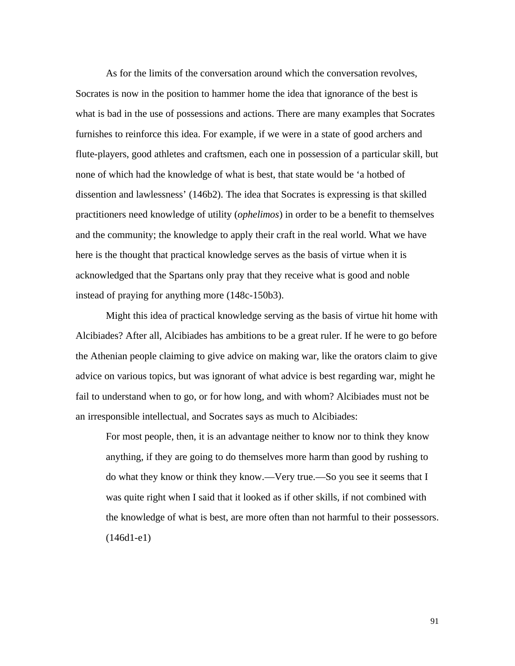As for the limits of the conversation around which the conversation revolves, Socrates is now in the position to hammer home the idea that ignorance of the best is what is bad in the use of possessions and actions. There are many examples that Socrates furnishes to reinforce this idea. For example, if we were in a state of good archers and flute-players, good athletes and craftsmen, each one in possession of a particular skill, but none of which had the knowledge of what is best, that state would be 'a hotbed of dissention and lawlessness' (146b2). The idea that Socrates is expressing is that skilled practitioners need knowledge of utility (*ophelimos*) in order to be a benefit to themselves and the community; the knowledge to apply their craft in the real world. What we have here is the thought that practical knowledge serves as the basis of virtue when it is acknowledged that the Spartans only pray that they receive what is good and noble instead of praying for anything more (148c-150b3).

Might this idea of practical knowledge serving as the basis of virtue hit home with Alcibiades? After all, Alcibiades has ambitions to be a great ruler. If he were to go before the Athenian people claiming to give advice on making war, like the orators claim to give advice on various topics, but was ignorant of what advice is best regarding war, might he fail to understand when to go, or for how long, and with whom? Alcibiades must not be an irresponsible intellectual, and Socrates says as much to Alcibiades:

For most people, then, it is an advantage neither to know nor to think they know anything, if they are going to do themselves more harm than good by rushing to do what they know or think they know.—Very true.—So you see it seems that I was quite right when I said that it looked as if other skills, if not combined with the knowledge of what is best, are more often than not harmful to their possessors. (146d1-e1)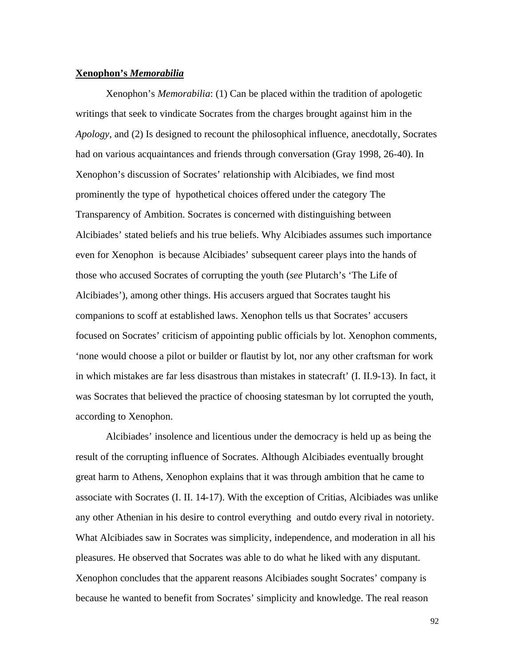# **Xenophon's** *Memorabilia*

Xenophon's *Memorabilia*: (1) Can be placed within the tradition of apologetic writings that seek to vindicate Socrates from the charges brought against him in the *Apology*, and (2) Is designed to recount the philosophical influence, anecdotally, Socrates had on various acquaintances and friends through conversation (Gray 1998, 26-40). In Xenophon's discussion of Socrates' relationship with Alcibiades, we find most prominently the type of hypothetical choices offered under the category The Transparency of Ambition. Socrates is concerned with distinguishing between Alcibiades' stated beliefs and his true beliefs. Why Alcibiades assumes such importance even for Xenophon is because Alcibiades' subsequent career plays into the hands of those who accused Socrates of corrupting the youth (*see* Plutarch's 'The Life of Alcibiades'), among other things. His accusers argued that Socrates taught his companions to scoff at established laws. Xenophon tells us that Socrates' accusers focused on Socrates' criticism of appointing public officials by lot. Xenophon comments, 'none would choose a pilot or builder or flautist by lot, nor any other craftsman for work in which mistakes are far less disastrous than mistakes in statecraft' (I. II.9-13). In fact, it was Socrates that believed the practice of choosing statesman by lot corrupted the youth, according to Xenophon.

Alcibiades' insolence and licentious under the democracy is held up as being the result of the corrupting influence of Socrates. Although Alcibiades eventually brought great harm to Athens, Xenophon explains that it was through ambition that he came to associate with Socrates (I. II. 14-17). With the exception of Critias, Alcibiades was unlike any other Athenian in his desire to control everything and outdo every rival in notoriety. What Alcibiades saw in Socrates was simplicity, independence, and moderation in all his pleasures. He observed that Socrates was able to do what he liked with any disputant. Xenophon concludes that the apparent reasons Alcibiades sought Socrates' company is because he wanted to benefit from Socrates' simplicity and knowledge. The real reason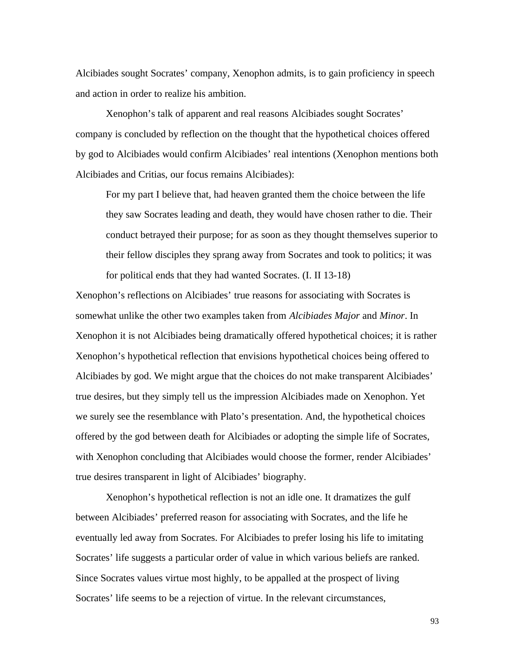Alcibiades sought Socrates' company, Xenophon admits, is to gain proficiency in speech and action in order to realize his ambition.

Xenophon's talk of apparent and real reasons Alcibiades sought Socrates' company is concluded by reflection on the thought that the hypothetical choices offered by god to Alcibiades would confirm Alcibiades' real intentions (Xenophon mentions both Alcibiades and Critias, our focus remains Alcibiades):

For my part I believe that, had heaven granted them the choice between the life they saw Socrates leading and death, they would have chosen rather to die. Their conduct betrayed their purpose; for as soon as they thought themselves superior to their fellow disciples they sprang away from Socrates and took to politics; it was for political ends that they had wanted Socrates. (I. II 13-18)

Xenophon's reflections on Alcibiades' true reasons for associating with Socrates is somewhat unlike the other two examples taken from *Alcibiades Major* and *Minor*. In Xenophon it is not Alcibiades being dramatically offered hypothetical choices; it is rather Xenophon's hypothetical reflection that envisions hypothetical choices being offered to Alcibiades by god. We might argue that the choices do not make transparent Alcibiades' true desires, but they simply tell us the impression Alcibiades made on Xenophon. Yet we surely see the resemblance with Plato's presentation. And, the hypothetical choices offered by the god between death for Alcibiades or adopting the simple life of Socrates, with Xenophon concluding that Alcibiades would choose the former, render Alcibiades' true desires transparent in light of Alcibiades' biography.

Xenophon's hypothetical reflection is not an idle one. It dramatizes the gulf between Alcibiades' preferred reason for associating with Socrates, and the life he eventually led away from Socrates. For Alcibiades to prefer losing his life to imitating Socrates' life suggests a particular order of value in which various beliefs are ranked. Since Socrates values virtue most highly, to be appalled at the prospect of living Socrates' life seems to be a rejection of virtue. In the relevant circumstances,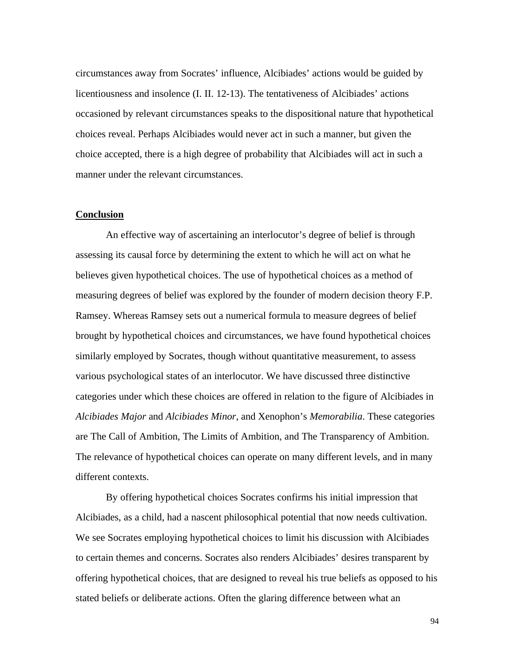circumstances away from Socrates' influence, Alcibiades' actions would be guided by licentiousness and insolence (I. II. 12-13). The tentativeness of Alcibiades' actions occasioned by relevant circumstances speaks to the dispositional nature that hypothetical choices reveal. Perhaps Alcibiades would never act in such a manner, but given the choice accepted, there is a high degree of probability that Alcibiades will act in such a manner under the relevant circumstances.

#### **Conclusion**

An effective way of ascertaining an interlocutor's degree of belief is through assessing its causal force by determining the extent to which he will act on what he believes given hypothetical choices. The use of hypothetical choices as a method of measuring degrees of belief was explored by the founder of modern decision theory F.P. Ramsey. Whereas Ramsey sets out a numerical formula to measure degrees of belief brought by hypothetical choices and circumstances, we have found hypothetical choices similarly employed by Socrates, though without quantitative measurement, to assess various psychological states of an interlocutor. We have discussed three distinctive categories under which these choices are offered in relation to the figure of Alcibiades in *Alcibiades Major* and *Alcibiades Minor*, and Xenophon's *Memorabilia*. These categories are The Call of Ambition, The Limits of Ambition, and The Transparency of Ambition. The relevance of hypothetical choices can operate on many different levels, and in many different contexts.

By offering hypothetical choices Socrates confirms his initial impression that Alcibiades, as a child, had a nascent philosophical potential that now needs cultivation. We see Socrates employing hypothetical choices to limit his discussion with Alcibiades to certain themes and concerns. Socrates also renders Alcibiades' desires transparent by offering hypothetical choices, that are designed to reveal his true beliefs as opposed to his stated beliefs or deliberate actions. Often the glaring difference between what an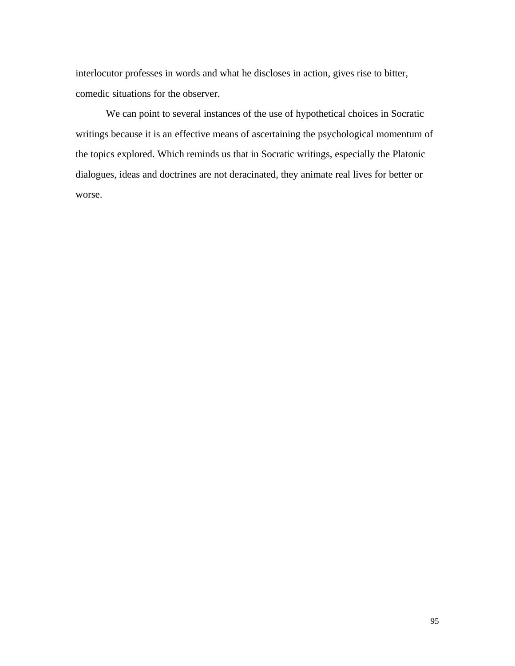interlocutor professes in words and what he discloses in action, gives rise to bitter, comedic situations for the observer.

We can point to several instances of the use of hypothetical choices in Socratic writings because it is an effective means of ascertaining the psychological momentum of the topics explored. Which reminds us that in Socratic writings, especially the Platonic dialogues, ideas and doctrines are not deracinated, they animate real lives for better or worse.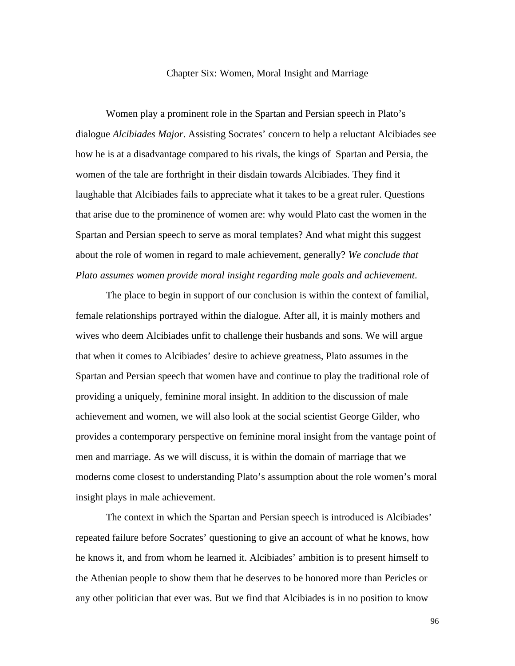# Chapter Six: Women, Moral Insight and Marriage

Women play a prominent role in the Spartan and Persian speech in Plato's dialogue *Alcibiades Major*. Assisting Socrates' concern to help a reluctant Alcibiades see how he is at a disadvantage compared to his rivals, the kings of Spartan and Persia, the women of the tale are forthright in their disdain towards Alcibiades. They find it laughable that Alcibiades fails to appreciate what it takes to be a great ruler. Questions that arise due to the prominence of women are: why would Plato cast the women in the Spartan and Persian speech to serve as moral templates? And what might this suggest about the role of women in regard to male achievement, generally? *We conclude that Plato assumes women provide moral insight regarding male goals and achievement*.

The place to begin in support of our conclusion is within the context of familial, female relationships portrayed within the dialogue. After all, it is mainly mothers and wives who deem Alcibiades unfit to challenge their husbands and sons. We will argue that when it comes to Alcibiades' desire to achieve greatness, Plato assumes in the Spartan and Persian speech that women have and continue to play the traditional role of providing a uniquely, feminine moral insight. In addition to the discussion of male achievement and women, we will also look at the social scientist George Gilder, who provides a contemporary perspective on feminine moral insight from the vantage point of men and marriage. As we will discuss, it is within the domain of marriage that we moderns come closest to understanding Plato's assumption about the role women's moral insight plays in male achievement.

The context in which the Spartan and Persian speech is introduced is Alcibiades' repeated failure before Socrates' questioning to give an account of what he knows, how he knows it, and from whom he learned it. Alcibiades' ambition is to present himself to the Athenian people to show them that he deserves to be honored more than Pericles or any other politician that ever was. But we find that Alcibiades is in no position to know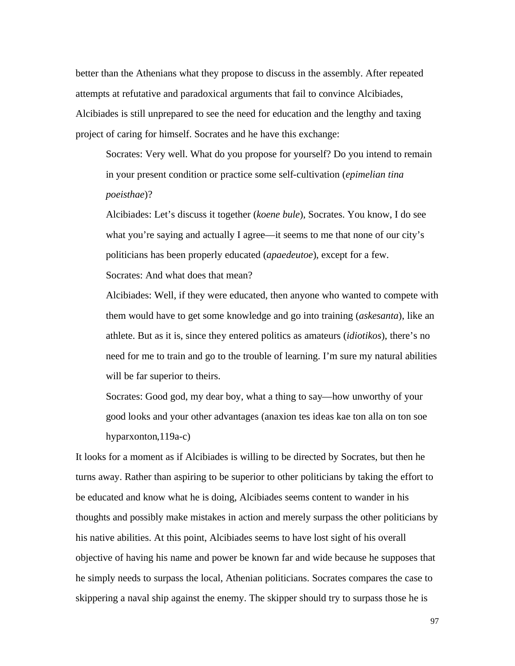better than the Athenians what they propose to discuss in the assembly. After repeated attempts at refutative and paradoxical arguments that fail to convince Alcibiades, Alcibiades is still unprepared to see the need for education and the lengthy and taxing project of caring for himself. Socrates and he have this exchange:

Socrates: Very well. What do you propose for yourself? Do you intend to remain in your present condition or practice some self-cultivation (*epimelian tina poeisthae*)?

Alcibiades: Let's discuss it together (*koene bule*), Socrates. You know, I do see what you're saying and actually I agree—it seems to me that none of our city's politicians has been properly educated (*apaedeutoe*), except for a few. Socrates: And what does that mean?

Alcibiades: Well, if they were educated, then anyone who wanted to compete with them would have to get some knowledge and go into training (*askesanta*), like an athlete. But as it is, since they entered politics as amateurs (*idiotikos*), there's no need for me to train and go to the trouble of learning. I'm sure my natural abilities will be far superior to theirs.

Socrates: Good god, my dear boy, what a thing to say—how unworthy of your good looks and your other advantages (anaxion tes ideas kae ton alla on ton soe hyparxonton,119a-c)

It looks for a moment as if Alcibiades is willing to be directed by Socrates, but then he turns away. Rather than aspiring to be superior to other politicians by taking the effort to be educated and know what he is doing, Alcibiades seems content to wander in his thoughts and possibly make mistakes in action and merely surpass the other politicians by his native abilities. At this point, Alcibiades seems to have lost sight of his overall objective of having his name and power be known far and wide because he supposes that he simply needs to surpass the local, Athenian politicians. Socrates compares the case to skippering a naval ship against the enemy. The skipper should try to surpass those he is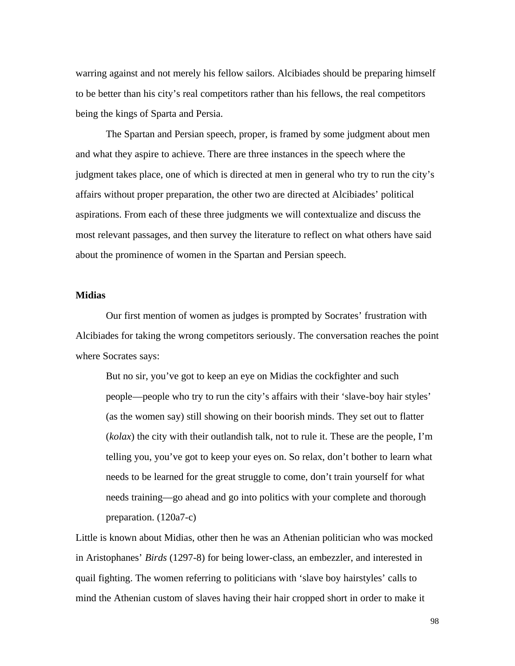warring against and not merely his fellow sailors. Alcibiades should be preparing himself to be better than his city's real competitors rather than his fellows, the real competitors being the kings of Sparta and Persia.

The Spartan and Persian speech, proper, is framed by some judgment about men and what they aspire to achieve. There are three instances in the speech where the judgment takes place, one of which is directed at men in general who try to run the city's affairs without proper preparation, the other two are directed at Alcibiades' political aspirations. From each of these three judgments we will contextualize and discuss the most relevant passages, and then survey the literature to reflect on what others have said about the prominence of women in the Spartan and Persian speech.

# **Midias**

Our first mention of women as judges is prompted by Socrates' frustration with Alcibiades for taking the wrong competitors seriously. The conversation reaches the point where Socrates says:

But no sir, you've got to keep an eye on Midias the cockfighter and such people—people who try to run the city's affairs with their 'slave-boy hair styles' (as the women say) still showing on their boorish minds. They set out to flatter (*kolax*) the city with their outlandish talk, not to rule it. These are the people, I'm telling you, you've got to keep your eyes on. So relax, don't bother to learn what needs to be learned for the great struggle to come, don't train yourself for what needs training—go ahead and go into politics with your complete and thorough preparation. (120a7-c)

Little is known about Midias, other then he was an Athenian politician who was mocked in Aristophanes' *Birds* (1297-8) for being lower-class, an embezzler, and interested in quail fighting. The women referring to politicians with 'slave boy hairstyles' calls to mind the Athenian custom of slaves having their hair cropped short in order to make it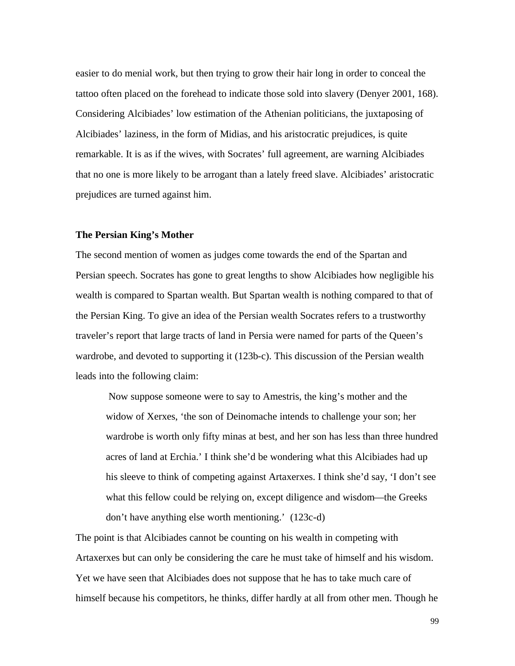easier to do menial work, but then trying to grow their hair long in order to conceal the tattoo often placed on the forehead to indicate those sold into slavery (Denyer 2001, 168). Considering Alcibiades' low estimation of the Athenian politicians, the juxtaposing of Alcibiades' laziness, in the form of Midias, and his aristocratic prejudices, is quite remarkable. It is as if the wives, with Socrates' full agreement, are warning Alcibiades that no one is more likely to be arrogant than a lately freed slave. Alcibiades' aristocratic prejudices are turned against him.

# **The Persian King's Mother**

The second mention of women as judges come towards the end of the Spartan and Persian speech. Socrates has gone to great lengths to show Alcibiades how negligible his wealth is compared to Spartan wealth. But Spartan wealth is nothing compared to that of the Persian King. To give an idea of the Persian wealth Socrates refers to a trustworthy traveler's report that large tracts of land in Persia were named for parts of the Queen's wardrobe, and devoted to supporting it (123b-c). This discussion of the Persian wealth leads into the following claim:

 Now suppose someone were to say to Amestris, the king's mother and the widow of Xerxes, 'the son of Deinomache intends to challenge your son; her wardrobe is worth only fifty minas at best, and her son has less than three hundred acres of land at Erchia.' I think she'd be wondering what this Alcibiades had up his sleeve to think of competing against Artaxerxes. I think she'd say, 'I don't see what this fellow could be relying on, except diligence and wisdom—the Greeks don't have anything else worth mentioning.' (123c-d)

The point is that Alcibiades cannot be counting on his wealth in competing with Artaxerxes but can only be considering the care he must take of himself and his wisdom. Yet we have seen that Alcibiades does not suppose that he has to take much care of himself because his competitors, he thinks, differ hardly at all from other men. Though he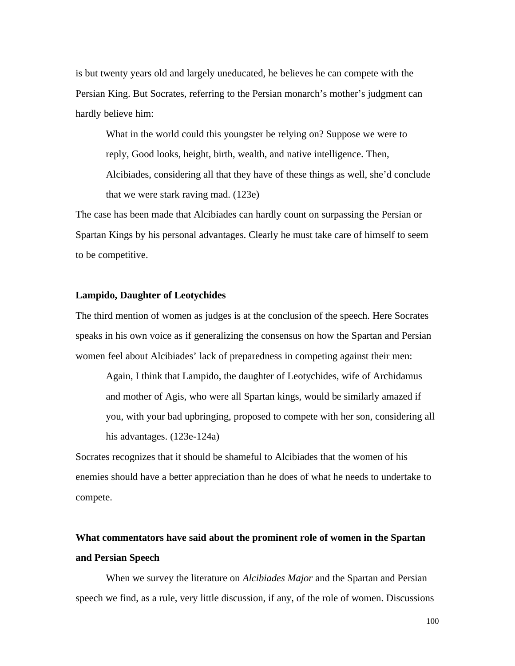is but twenty years old and largely uneducated, he believes he can compete with the Persian King. But Socrates, referring to the Persian monarch's mother's judgment can hardly believe him:

What in the world could this youngster be relying on? Suppose we were to reply, Good looks, height, birth, wealth, and native intelligence. Then, Alcibiades, considering all that they have of these things as well, she'd conclude that we were stark raving mad. (123e)

The case has been made that Alcibiades can hardly count on surpassing the Persian or Spartan Kings by his personal advantages. Clearly he must take care of himself to seem to be competitive.

# **Lampido, Daughter of Leotychides**

The third mention of women as judges is at the conclusion of the speech. Here Socrates speaks in his own voice as if generalizing the consensus on how the Spartan and Persian women feel about Alcibiades' lack of preparedness in competing against their men:

Again, I think that Lampido, the daughter of Leotychides, wife of Archidamus and mother of Agis, who were all Spartan kings, would be similarly amazed if you, with your bad upbringing, proposed to compete with her son, considering all his advantages. (123e-124a)

Socrates recognizes that it should be shameful to Alcibiades that the women of his enemies should have a better appreciation than he does of what he needs to undertake to compete.

# **What commentators have said about the prominent role of women in the Spartan and Persian Speech**

When we survey the literature on *Alcibiades Major* and the Spartan and Persian speech we find, as a rule, very little discussion, if any, of the role of women. Discussions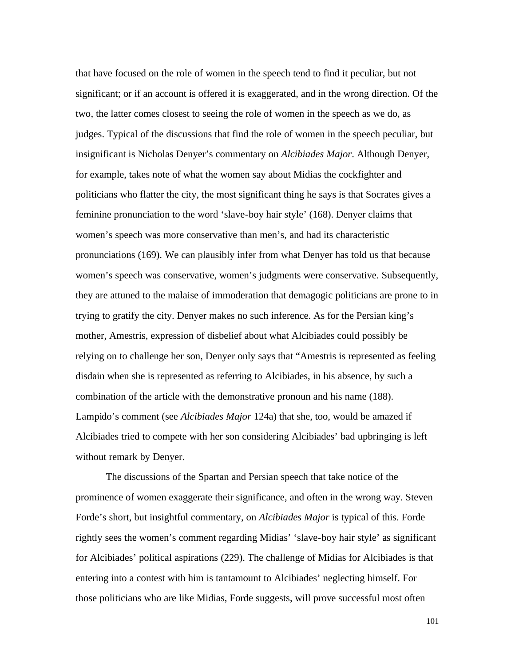that have focused on the role of women in the speech tend to find it peculiar, but not significant; or if an account is offered it is exaggerated, and in the wrong direction. Of the two, the latter comes closest to seeing the role of women in the speech as we do, as judges. Typical of the discussions that find the role of women in the speech peculiar, but insignificant is Nicholas Denyer's commentary on *Alcibiades Major*. Although Denyer, for example, takes note of what the women say about Midias the cockfighter and politicians who flatter the city, the most significant thing he says is that Socrates gives a feminine pronunciation to the word 'slave-boy hair style' (168). Denyer claims that women's speech was more conservative than men's, and had its characteristic pronunciations (169). We can plausibly infer from what Denyer has told us that because women's speech was conservative, women's judgments were conservative. Subsequently, they are attuned to the malaise of immoderation that demagogic politicians are prone to in trying to gratify the city. Denyer makes no such inference. As for the Persian king's mother, Amestris, expression of disbelief about what Alcibiades could possibly be relying on to challenge her son, Denyer only says that "Amestris is represented as feeling disdain when she is represented as referring to Alcibiades, in his absence, by such a combination of the article with the demonstrative pronoun and his name (188). Lampido's comment (see *Alcibiades Major* 124a) that she, too, would be amazed if Alcibiades tried to compete with her son considering Alcibiades' bad upbringing is left without remark by Denyer.

The discussions of the Spartan and Persian speech that take notice of the prominence of women exaggerate their significance, and often in the wrong way. Steven Forde's short, but insightful commentary, on *Alcibiades Major* is typical of this. Forde rightly sees the women's comment regarding Midias' 'slave-boy hair style' as significant for Alcibiades' political aspirations (229). The challenge of Midias for Alcibiades is that entering into a contest with him is tantamount to Alcibiades' neglecting himself. For those politicians who are like Midias, Forde suggests, will prove successful most often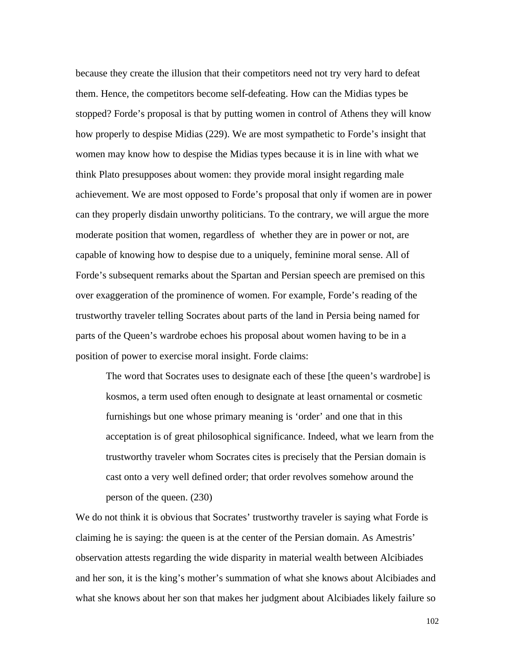because they create the illusion that their competitors need not try very hard to defeat them. Hence, the competitors become self-defeating. How can the Midias types be stopped? Forde's proposal is that by putting women in control of Athens they will know how properly to despise Midias (229). We are most sympathetic to Forde's insight that women may know how to despise the Midias types because it is in line with what we think Plato presupposes about women: they provide moral insight regarding male achievement. We are most opposed to Forde's proposal that only if women are in power can they properly disdain unworthy politicians. To the contrary, we will argue the more moderate position that women, regardless of whether they are in power or not, are capable of knowing how to despise due to a uniquely, feminine moral sense. All of Forde's subsequent remarks about the Spartan and Persian speech are premised on this over exaggeration of the prominence of women. For example, Forde's reading of the trustworthy traveler telling Socrates about parts of the land in Persia being named for parts of the Queen's wardrobe echoes his proposal about women having to be in a position of power to exercise moral insight. Forde claims:

The word that Socrates uses to designate each of these [the queen's wardrobe] is kosmos, a term used often enough to designate at least ornamental or cosmetic furnishings but one whose primary meaning is 'order' and one that in this acceptation is of great philosophical significance. Indeed, what we learn from the trustworthy traveler whom Socrates cites is precisely that the Persian domain is cast onto a very well defined order; that order revolves somehow around the person of the queen. (230)

We do not think it is obvious that Socrates' trustworthy traveler is saying what Forde is claiming he is saying: the queen is at the center of the Persian domain. As Amestris' observation attests regarding the wide disparity in material wealth between Alcibiades and her son, it is the king's mother's summation of what she knows about Alcibiades and what she knows about her son that makes her judgment about Alcibiades likely failure so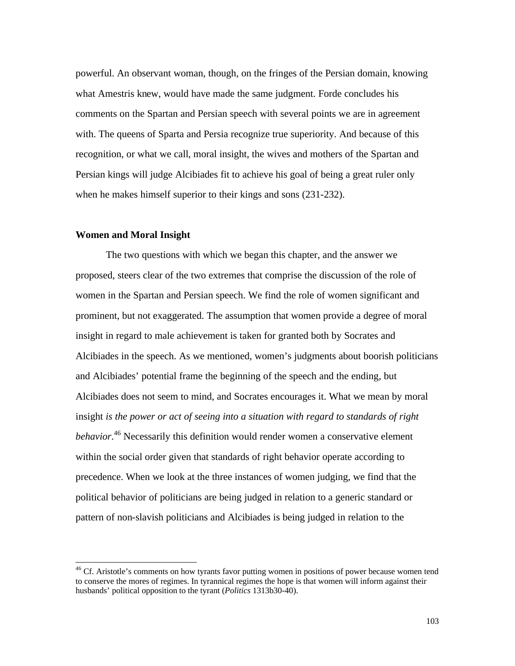powerful. An observant woman, though, on the fringes of the Persian domain, knowing what Amestris knew, would have made the same judgment. Forde concludes his comments on the Spartan and Persian speech with several points we are in agreement with. The queens of Sparta and Persia recognize true superiority. And because of this recognition, or what we call, moral insight, the wives and mothers of the Spartan and Persian kings will judge Alcibiades fit to achieve his goal of being a great ruler only when he makes himself superior to their kings and sons (231-232).

# **Women and Moral Insight**

 $\overline{a}$ 

The two questions with which we began this chapter, and the answer we proposed, steers clear of the two extremes that comprise the discussion of the role of women in the Spartan and Persian speech. We find the role of women significant and prominent, but not exaggerated. The assumption that women provide a degree of moral insight in regard to male achievement is taken for granted both by Socrates and Alcibiades in the speech. As we mentioned, women's judgments about boorish politicians and Alcibiades' potential frame the beginning of the speech and the ending, but Alcibiades does not seem to mind, and Socrates encourages it. What we mean by moral insight *is the power or act of seeing into a situation with regard to standards of right behavior*. <sup>46</sup> Necessarily this definition would render women a conservative element within the social order given that standards of right behavior operate according to precedence. When we look at the three instances of women judging, we find that the political behavior of politicians are being judged in relation to a generic standard or pattern of non-slavish politicians and Alcibiades is being judged in relation to the

<sup>&</sup>lt;sup>46</sup> Cf. Aristotle's comments on how tyrants favor putting women in positions of power because women tend to conserve the mores of regimes. In tyrannical regimes the hope is that women will inform against their husbands' political opposition to the tyrant (*Politics* 1313b30-40).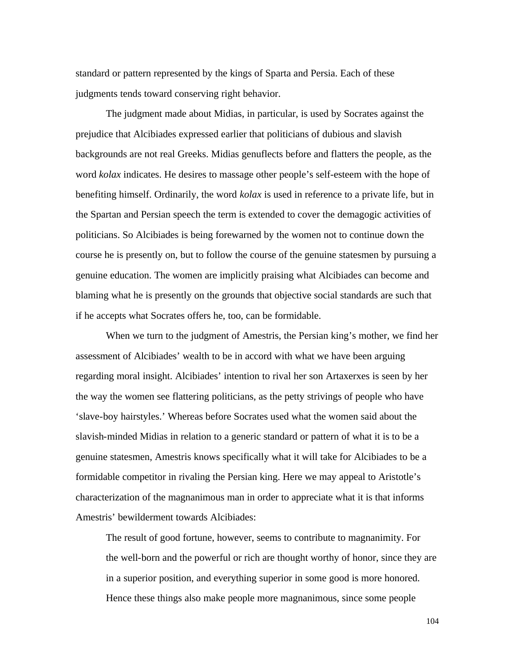standard or pattern represented by the kings of Sparta and Persia. Each of these judgments tends toward conserving right behavior.

The judgment made about Midias, in particular, is used by Socrates against the prejudice that Alcibiades expressed earlier that politicians of dubious and slavish backgrounds are not real Greeks. Midias genuflects before and flatters the people, as the word *kolax* indicates. He desires to massage other people's self-esteem with the hope of benefiting himself. Ordinarily, the word *kolax* is used in reference to a private life, but in the Spartan and Persian speech the term is extended to cover the demagogic activities of politicians. So Alcibiades is being forewarned by the women not to continue down the course he is presently on, but to follow the course of the genuine statesmen by pursuing a genuine education. The women are implicitly praising what Alcibiades can become and blaming what he is presently on the grounds that objective social standards are such that if he accepts what Socrates offers he, too, can be formidable.

When we turn to the judgment of Amestris, the Persian king's mother, we find her assessment of Alcibiades' wealth to be in accord with what we have been arguing regarding moral insight. Alcibiades' intention to rival her son Artaxerxes is seen by her the way the women see flattering politicians, as the petty strivings of people who have 'slave-boy hairstyles.' Whereas before Socrates used what the women said about the slavish-minded Midias in relation to a generic standard or pattern of what it is to be a genuine statesmen, Amestris knows specifically what it will take for Alcibiades to be a formidable competitor in rivaling the Persian king. Here we may appeal to Aristotle's characterization of the magnanimous man in order to appreciate what it is that informs Amestris' bewilderment towards Alcibiades:

The result of good fortune, however, seems to contribute to magnanimity. For the well-born and the powerful or rich are thought worthy of honor, since they are in a superior position, and everything superior in some good is more honored. Hence these things also make people more magnanimous, since some people

104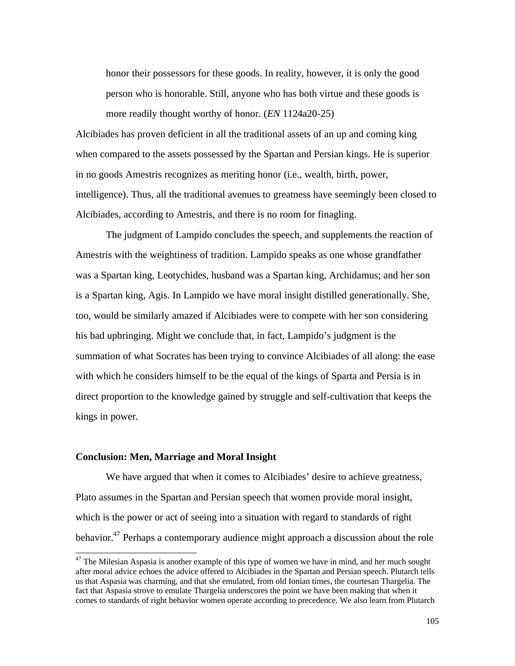honor their possessors for these goods. In reality, however, it is only the good person who is honorable. Still, anyone who has both virtue and these goods is more readily thought worthy of honor. (*EN* 1124a20-25)

Alcibiades has proven deficient in all the traditional assets of an up and coming king when compared to the assets possessed by the Spartan and Persian kings. He is superior in no goods Amestris recognizes as meriting honor (i.e., wealth, birth, power, intelligence). Thus, all the traditional avenues to greatness have seemingly been closed to Alcibiades, according to Amestris, and there is no room for finagling.

The judgment of Lampido concludes the speech, and supplements the reaction of Amestris with the weightiness of tradition. Lampido speaks as one whose grandfather was a Spartan king, Leotychides, husband was a Spartan king, Archidamus; and her son is a Spartan king, Agis. In Lampido we have moral insight distilled generationally. She, too, would be similarly amazed if Alcibiades were to compete with her son considering his bad upbringing. Might we conclude that, in fact, Lampido's judgment is the summation of what Socrates has been trying to convince Alcibiades of all along: the ease with which he considers himself to be the equal of the kings of Sparta and Persia is in direct proportion to the knowledge gained by struggle and self-cultivation that keeps the kings in power.

## **Conclusion: Men, Marriage and Moral Insight**

 $\overline{\phantom{a}}$ 

We have argued that when it comes to Alcibiades' desire to achieve greatness, Plato assumes in the Spartan and Persian speech that women provide moral insight, which is the power or act of seeing into a situation with regard to standards of right behavior.<sup>47</sup> Perhaps a contemporary audience might approach a discussion about the role

 $47$  The Milesian Aspasia is another example of this type of women we have in mind, and her much sought after moral advice echoes the advice offered to Alcibiades in the Spartan and Persian speech. Plutarch tells us that Aspasia was charming, and that she emulated, from old Ionian times, the courtesan Thargelia. The fact that Aspasia strove to emulate Thargelia underscores the point we have been making that when it comes to standards of right behavior women operate according to precedence. We also learn from Plutarch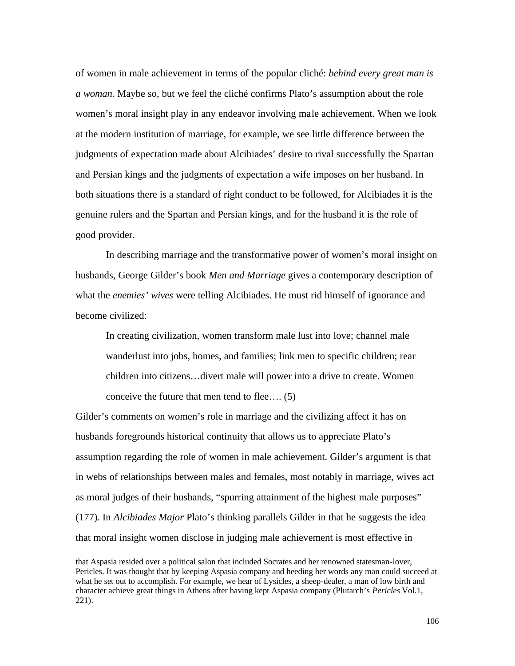of women in male achievement in terms of the popular cliché: *behind every great man is a woman*. Maybe so, but we feel the cliché confirms Plato's assumption about the role women's moral insight play in any endeavor involving male achievement. When we look at the modern institution of marriage, for example, we see little difference between the judgments of expectation made about Alcibiades' desire to rival successfully the Spartan and Persian kings and the judgments of expectation a wife imposes on her husband. In both situations there is a standard of right conduct to be followed, for Alcibiades it is the genuine rulers and the Spartan and Persian kings, and for the husband it is the role of good provider.

In describing marriage and the transformative power of women's moral insight on husbands, George Gilder's book *Men and Marriage* gives a contemporary description of what the *enemies' wives* were telling Alcibiades. He must rid himself of ignorance and become civilized:

In creating civilization, women transform male lust into love; channel male wanderlust into jobs, homes, and families; link men to specific children; rear children into citizens…divert male will power into a drive to create. Women conceive the future that men tend to flee…. (5)

Gilder's comments on women's role in marriage and the civilizing affect it has on husbands foregrounds historical continuity that allows us to appreciate Plato's assumption regarding the role of women in male achievement. Gilder's argument is that in webs of relationships between males and females, most notably in marriage, wives act as moral judges of their husbands, "spurring attainment of the highest male purposes" (177). In *Alcibiades Major* Plato's thinking parallels Gilder in that he suggests the idea that moral insight women disclose in judging male achievement is most effective in

-

that Aspasia resided over a political salon that included Socrates and her renowned statesman-lover, Pericles. It was thought that by keeping Aspasia company and heeding her words any man could succeed at what he set out to accomplish. For example, we hear of Lysicles, a sheep-dealer, a man of low birth and character achieve great things in Athens after having kept Aspasia company (Plutarch's *Pericles* Vol.1, 221).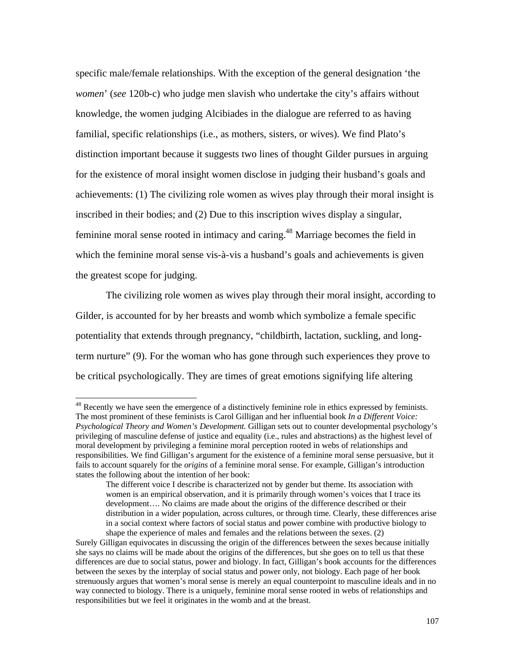specific male/female relationships. With the exception of the general designation 'the *women*' (*see* 120b-c) who judge men slavish who undertake the city's affairs without knowledge, the women judging Alcibiades in the dialogue are referred to as having familial, specific relationships (i.e., as mothers, sisters, or wives). We find Plato's distinction important because it suggests two lines of thought Gilder pursues in arguing for the existence of moral insight women disclose in judging their husband's goals and achievements: (1) The civilizing role women as wives play through their moral insight is inscribed in their bodies; and (2) Due to this inscription wives display a singular, feminine moral sense rooted in intimacy and caring.<sup>48</sup> Marriage becomes the field in which the feminine moral sense vis-à-vis a husband's goals and achievements is given the greatest scope for judging.

The civilizing role women as wives play through their moral insight, according to Gilder, is accounted for by her breasts and womb which symbolize a female specific potentiality that extends through pregnancy, "childbirth, lactation, suckling, and longterm nurture" (9). For the woman who has gone through such experiences they prove to be critical psychologically. They are times of great emotions signifying life altering

-

<sup>&</sup>lt;sup>48</sup> Recently we have seen the emergence of a distinctively feminine role in ethics expressed by feminists. The most prominent of these feminists is Carol Gilligan and her influential book *In a Different Voice: Psychological Theory and Women's Development*. Gilligan sets out to counter developmental psychology's privileging of masculine defense of justice and equality (i.e., rules and abstractions) as the highest level of moral development by privileging a feminine moral perception rooted in webs of relationships and responsibilities. We find Gilligan's argument for the existence of a feminine moral sense persuasive, but it fails to account squarely for the *origins* of a feminine moral sense. For example, Gilligan's introduction states the following about the intention of her book:

The different voice I describe is characterized not by gender but theme. Its association with women is an empirical observation, and it is primarily through women's voices that I trace its development…. No claims are made about the origins of the difference described or their distribution in a wider population, across cultures, or through time. Clearly, these differences arise in a social context where factors of social status and power combine with productive biology to shape the experience of males and females and the relations between the sexes. (2)

Surely Gilligan equivocates in discussing the origin of the differences between the sexes because initially she says no claims will be made about the origins of the differences, but she goes on to tell us that these differences are due to social status, power and biology. In fact, Gilligan's book accounts for the differences between the sexes by the interplay of social status and power only, not biology. Each page of her book strenuously argues that women's moral sense is merely an equal counterpoint to masculine ideals and in no way connected to biology. There is a uniquely, feminine moral sense rooted in webs of relationships and responsibilities but we feel it originates in the womb and at the breast.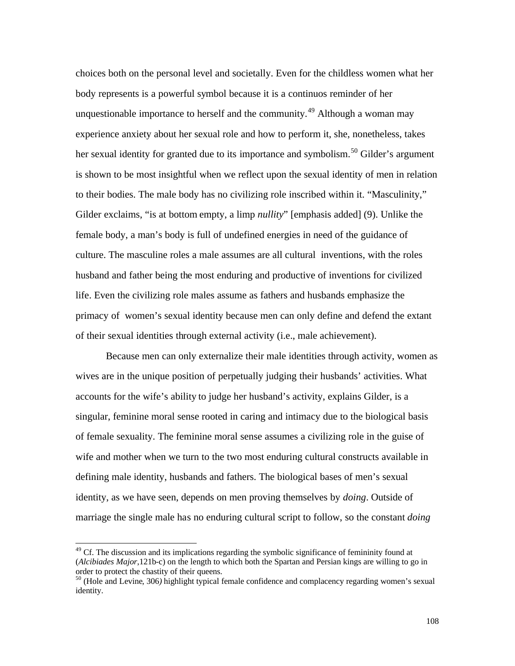choices both on the personal level and societally. Even for the childless women what her body represents is a powerful symbol because it is a continuos reminder of her unquestionable importance to herself and the community.<sup>49</sup> Although a woman may experience anxiety about her sexual role and how to perform it, she, nonetheless, takes her sexual identity for granted due to its importance and symbolism.<sup>50</sup> Gilder's argument is shown to be most insightful when we reflect upon the sexual identity of men in relation to their bodies. The male body has no civilizing role inscribed within it. "Masculinity," Gilder exclaims, "is at bottom empty, a limp *nullity*" [emphasis added] (9). Unlike the female body, a man's body is full of undefined energies in need of the guidance of culture. The masculine roles a male assumes are all cultural inventions, with the roles husband and father being the most enduring and productive of inventions for civilized life. Even the civilizing role males assume as fathers and husbands emphasize the primacy of women's sexual identity because men can only define and defend the extant of their sexual identities through external activity (i.e., male achievement).

Because men can only externalize their male identities through activity, women as wives are in the unique position of perpetually judging their husbands' activities. What accounts for the wife's ability to judge her husband's activity, explains Gilder, is a singular, feminine moral sense rooted in caring and intimacy due to the biological basis of female sexuality. The feminine moral sense assumes a civilizing role in the guise of wife and mother when we turn to the two most enduring cultural constructs available in defining male identity, husbands and fathers. The biological bases of men's sexual identity, as we have seen, depends on men proving themselves by *doing*. Outside of marriage the single male has no enduring cultural script to follow, so the constant *doing*

 $\overline{\phantom{a}}$ 

<sup>&</sup>lt;sup>49</sup> Cf. The discussion and its implications regarding the symbolic significance of femininity found at (*Alcibiades Major*,121b-c) on the length to which both the Spartan and Persian kings are willing to go in order to protect the chastity of their queens.

<sup>50</sup> (Hole and Levine, 306*)* highlight typical female confidence and complacency regarding women's sexual identity.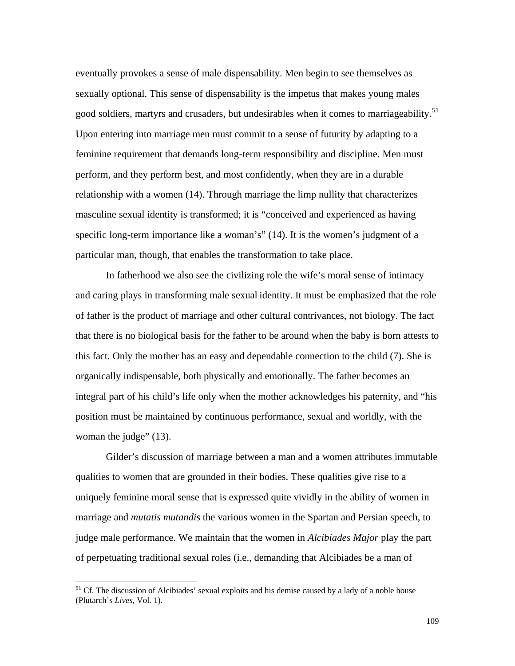eventually provokes a sense of male dispensability. Men begin to see themselves as sexually optional. This sense of dispensability is the impetus that makes young males good soldiers, martyrs and crusaders, but undesirables when it comes to marriageability.<sup>51</sup> Upon entering into marriage men must commit to a sense of futurity by adapting to a feminine requirement that demands long-term responsibility and discipline. Men must perform, and they perform best, and most confidently, when they are in a durable relationship with a women (14). Through marriage the limp nullity that characterizes masculine sexual identity is transformed; it is "conceived and experienced as having specific long-term importance like a woman's" (14). It is the women's judgment of a particular man, though, that enables the transformation to take place.

In fatherhood we also see the civilizing role the wife's moral sense of intimacy and caring plays in transforming male sexual identity. It must be emphasized that the role of father is the product of marriage and other cultural contrivances, not biology. The fact that there is no biological basis for the father to be around when the baby is born attests to this fact. Only the mother has an easy and dependable connection to the child (7). She is organically indispensable, both physically and emotionally. The father becomes an integral part of his child's life only when the mother acknowledges his paternity, and "his position must be maintained by continuous performance, sexual and worldly, with the woman the judge" (13).

Gilder's discussion of marriage between a man and a women attributes immutable qualities to women that are grounded in their bodies. These qualities give rise to a uniquely feminine moral sense that is expressed quite vividly in the ability of women in marriage and *mutatis mutandis* the various women in the Spartan and Persian speech, to judge male performance. We maintain that the women in *Alcibiades Major* play the part of perpetuating traditional sexual roles (i.e., demanding that Alcibiades be a man of

 $\overline{\phantom{a}}$ 

 $<sup>51</sup>$  Cf. The discussion of Alcibiades' sexual exploits and his demise caused by a lady of a noble house</sup> (Plutarch's *Lives*, Vol. 1).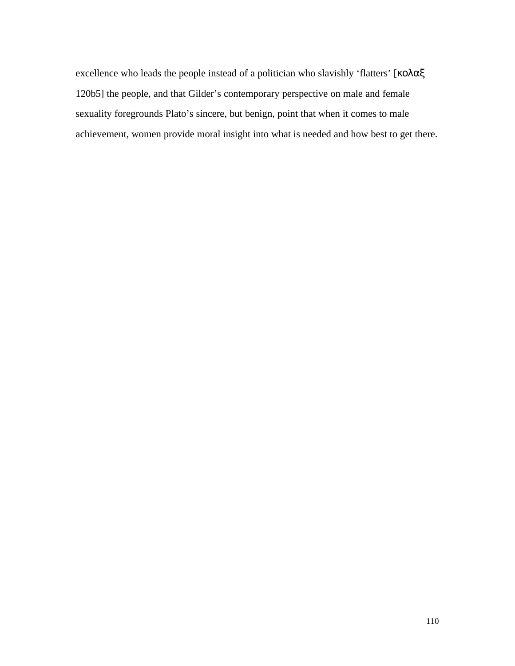excellence who leads the people instead of a politician who slavishly 'flatters' [κολαξ 120b5] the people, and that Gilder's contemporary perspective on male and female sexuality foregrounds Plato's sincere, but benign, point that when it comes to male achievement, women provide moral insight into what is needed and how best to get there.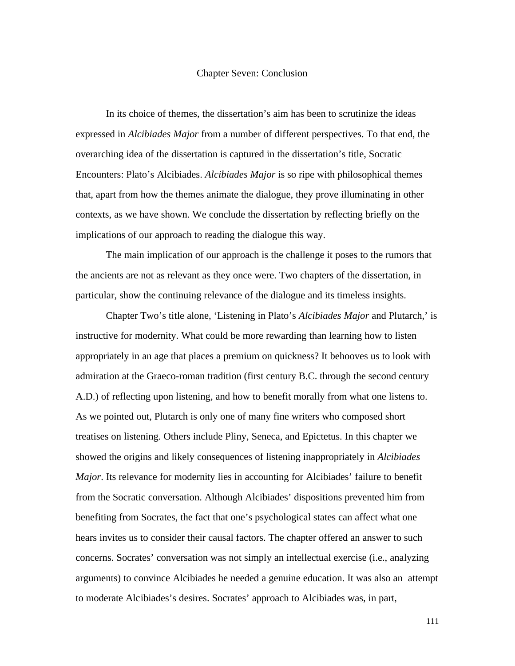## Chapter Seven: Conclusion

In its choice of themes, the dissertation's aim has been to scrutinize the ideas expressed in *Alcibiades Major* from a number of different perspectives. To that end, the overarching idea of the dissertation is captured in the dissertation's title, Socratic Encounters: Plato's Alcibiades. *Alcibiades Major* is so ripe with philosophical themes that, apart from how the themes animate the dialogue, they prove illuminating in other contexts, as we have shown. We conclude the dissertation by reflecting briefly on the implications of our approach to reading the dialogue this way.

The main implication of our approach is the challenge it poses to the rumors that the ancients are not as relevant as they once were. Two chapters of the dissertation, in particular, show the continuing relevance of the dialogue and its timeless insights.

Chapter Two's title alone, 'Listening in Plato's *Alcibiades Major* and Plutarch,' is instructive for modernity. What could be more rewarding than learning how to listen appropriately in an age that places a premium on quickness? It behooves us to look with admiration at the Graeco-roman tradition (first century B.C. through the second century A.D.) of reflecting upon listening, and how to benefit morally from what one listens to. As we pointed out, Plutarch is only one of many fine writers who composed short treatises on listening. Others include Pliny, Seneca, and Epictetus. In this chapter we showed the origins and likely consequences of listening inappropriately in *Alcibiades Major*. Its relevance for modernity lies in accounting for Alcibiades' failure to benefit from the Socratic conversation. Although Alcibiades' dispositions prevented him from benefiting from Socrates, the fact that one's psychological states can affect what one hears invites us to consider their causal factors. The chapter offered an answer to such concerns. Socrates' conversation was not simply an intellectual exercise (i.e., analyzing arguments) to convince Alcibiades he needed a genuine education. It was also an attempt to moderate Alcibiades's desires. Socrates' approach to Alcibiades was, in part,

111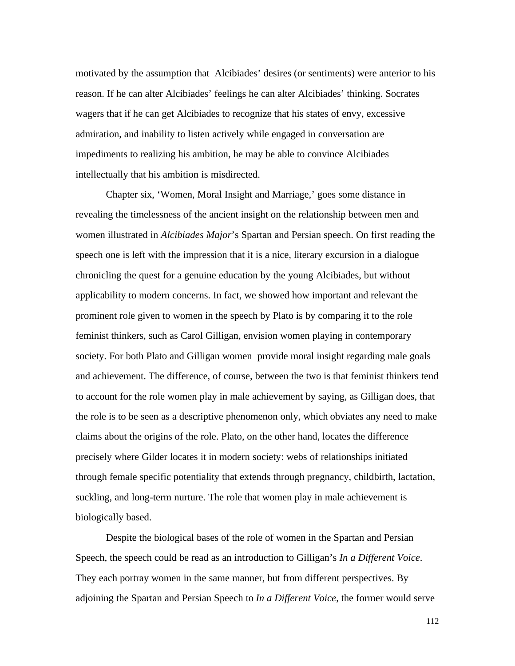motivated by the assumption that Alcibiades' desires (or sentiments) were anterior to his reason. If he can alter Alcibiades' feelings he can alter Alcibiades' thinking. Socrates wagers that if he can get Alcibiades to recognize that his states of envy, excessive admiration, and inability to listen actively while engaged in conversation are impediments to realizing his ambition, he may be able to convince Alcibiades intellectually that his ambition is misdirected.

Chapter six, 'Women, Moral Insight and Marriage,' goes some distance in revealing the timelessness of the ancient insight on the relationship between men and women illustrated in *Alcibiades Major*'s Spartan and Persian speech. On first reading the speech one is left with the impression that it is a nice, literary excursion in a dialogue chronicling the quest for a genuine education by the young Alcibiades, but without applicability to modern concerns. In fact, we showed how important and relevant the prominent role given to women in the speech by Plato is by comparing it to the role feminist thinkers, such as Carol Gilligan, envision women playing in contemporary society. For both Plato and Gilligan women provide moral insight regarding male goals and achievement. The difference, of course, between the two is that feminist thinkers tend to account for the role women play in male achievement by saying, as Gilligan does, that the role is to be seen as a descriptive phenomenon only, which obviates any need to make claims about the origins of the role. Plato, on the other hand, locates the difference precisely where Gilder locates it in modern society: webs of relationships initiated through female specific potentiality that extends through pregnancy, childbirth, lactation, suckling, and long-term nurture. The role that women play in male achievement is biologically based.

Despite the biological bases of the role of women in the Spartan and Persian Speech, the speech could be read as an introduction to Gilligan's *In a Different Voice*. They each portray women in the same manner, but from different perspectives. By adjoining the Spartan and Persian Speech to *In a Different Voice*, the former would serve

112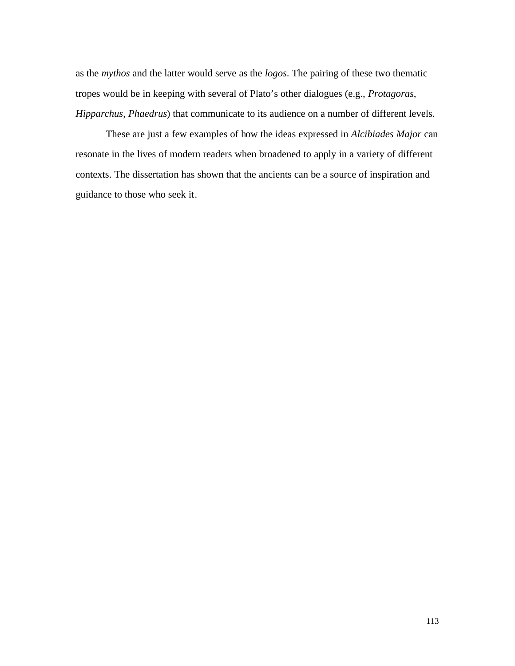as the *mythos* and the latter would serve as the *logos*. The pairing of these two thematic tropes would be in keeping with several of Plato's other dialogues (e.g., *Protagoras*, *Hipparchus*, *Phaedrus*) that communicate to its audience on a number of different levels.

These are just a few examples of how the ideas expressed in *Alcibiades Major* can resonate in the lives of modern readers when broadened to apply in a variety of different contexts. The dissertation has shown that the ancients can be a source of inspiration and guidance to those who seek it.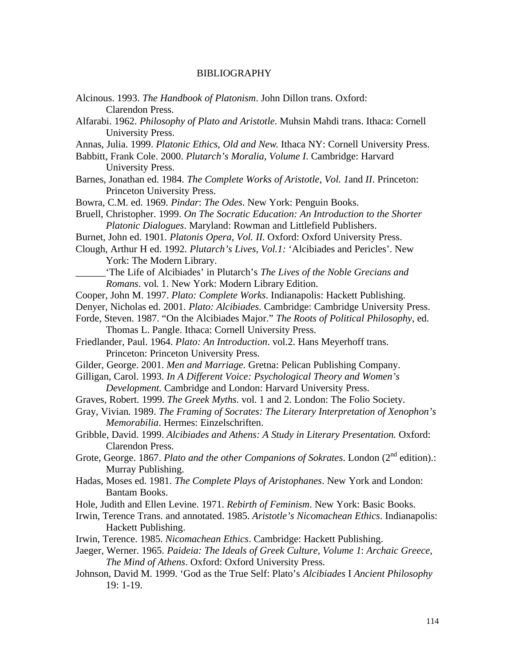## BIBLIOGRAPHY

Alcinous. 1993. *The Handbook of Platonism*. John Dillon trans. Oxford:

| Clarendon Press.                                                                       |
|----------------------------------------------------------------------------------------|
| Alfarabi. 1962. Philosophy of Plato and Aristotle. Muhsin Mahdi trans. Ithaca: Cornell |
| University Press.                                                                      |
| Annas, Julia. 1999. Platonic Ethics, Old and New. Ithaca NY: Cornell University Press. |
| Babbitt, Frank Cole. 2000. Plutarch's Moralia, Volume I. Cambridge: Harvard            |
| University Press.                                                                      |
| Barnes, Jonathan ed. 1984. The Complete Works of Aristotle, Vol. 1 and II. Princeton:  |
| Princeton University Press.                                                            |
| Bowra, C.M. ed. 1969. Pindar: The Odes. New York: Penguin Books.                       |
| Bruell, Christopher. 1999. On The Socratic Education: An Introduction to the Shorter   |
| <i>Platonic Dialogues.</i> Maryland: Rowman and Littlefield Publishers.                |

- Burnet, John ed. 1901. *Platonis Opera, Vol. II*. Oxford: Oxford University Press.
- Clough, Arthur H ed. 1992. *Plutarch's Lives, Vol.1:* 'Alcibiades and Pericles'. New York: The Modern Library.
- \_\_\_\_\_\_'The Life of Alcibiades' in Plutarch's *The Lives of the Noble Grecians and Romans*. vol. 1. New York: Modern Library Edition.
- Cooper, John M. 1997. *Plato: Complete Works*. Indianapolis: Hackett Publishing.
- Denyer, Nicholas ed. 2001. *Plato: Alcibiades*. Cambridge: Cambridge University Press.
- Forde, Steven. 1987. "On the Alcibiades Major." *The Roots of Political Philosophy*, ed. Thomas L. Pangle. Ithaca: Cornell University Press.
- Friedlander, Paul. 1964. *Plato: An Introduction*. vol.2. Hans Meyerhoff trans. Princeton: Princeton University Press.
- Gilder, George. 2001. *Men and Marriage*. Gretna: Pelican Publishing Company.
- Gilligan, Carol. 1993. *In A Different Voice: Psychological Theory and Women's Development.* Cambridge and London: Harvard University Press.
- Graves, Robert. 1999. *The Greek Myths*. vol. 1 and 2. London: The Folio Society.
- Gray, Vivian. 1989. *The Framing of Socrates: The Literary Interpretation of Xenophon's Memorabilia*. Hermes: Einzelschriften.
- Gribble, David. 1999. *Alcibiades and Athens: A Study in Literary Presentation.* Oxford: Clarendon Press.
- Grote, George. 1867. *Plato and the other Companions of Sokrates*. London (2<sup>nd</sup> edition).: Murray Publishing.
- Hadas, Moses ed. 1981. *The Complete Plays of Aristophanes*. New York and London: Bantam Books.
- Hole, Judith and Ellen Levine. 1971. *Rebirth of Feminism*. New York: Basic Books.
- Irwin, Terence Trans. and annotated. 1985. *Aristotle's Nicomachean Ethics*. Indianapolis: Hackett Publishing.
- Irwin, Terence. 1985. *Nicomachean Ethics*. Cambridge: Hackett Publishing.
- Jaeger, Werner. 1965. *Paideia: The Ideals of Greek Culture, Volume 1*: *Archaic Greece, The Mind of Athens*. Oxford: Oxford University Press.
- Johnson, David M. 1999. 'God as the True Self: Plato's *Alcibiades* I *Ancient Philosophy*  19: 1-19.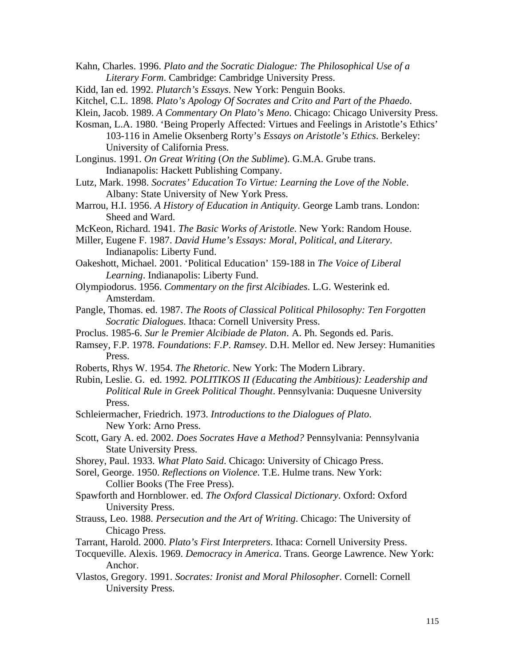Kahn, Charles. 1996. *Plato and the Socratic Dialogue: The Philosophical Use of a Literary Form*. Cambridge: Cambridge University Press.

- Kidd, Ian ed. 1992. *Plutarch's Essays*. New York: Penguin Books.
- Kitchel, C.L. 1898. *Plato's Apology Of Socrates and Crito and Part of the Phaedo*.
- Klein, Jacob. 1989. *A Commentary On Plato's Meno*. Chicago: Chicago University Press.
- Kosman, L.A. 1980. 'Being Properly Affected: Virtues and Feelings in Aristotle's Ethics' 103-116 in Amelie Oksenberg Rorty's *Essays on Aristotle's Ethics*. Berkeley: University of California Press.
- Longinus. 1991. *On Great Writing* (*On the Sublime*). G.M.A. Grube trans. Indianapolis: Hackett Publishing Company.
- Lutz, Mark. 1998. *Socrates' Education To Virtue: Learning the Love of the Noble*. Albany: State University of New York Press.
- Marrou, H.I. 1956. *A History of Education in Antiquity*. George Lamb trans. London: Sheed and Ward.
- McKeon, Richard. 1941. *The Basic Works of Aristotle*. New York: Random House.
- Miller, Eugene F. 1987. *David Hume's Essays: Moral, Political, and Literary*. Indianapolis: Liberty Fund.
- Oakeshott, Michael. 2001. 'Political Education' 159-188 in *The Voice of Liberal Learning*. Indianapolis: Liberty Fund.
- Olympiodorus. 1956. *Commentary on the first Alcibiades*. L.G. Westerink ed. Amsterdam.
- Pangle, Thomas. ed. 1987. *The Roots of Classical Political Philosophy: Ten Forgotten Socratic Dialogues*. Ithaca: Cornell University Press.
- Proclus. 1985-6. *Sur le Premier Alcibiade de Platon*. A. Ph. Segonds ed. Paris.
- Ramsey, F.P. 1978. *Foundations*: *F.P*. *Ramsey*. D.H. Mellor ed. New Jersey: Humanities Press.
- Roberts, Rhys W. 1954. *The Rhetoric*. New York: The Modern Library.
- Rubin, Leslie. G. ed. 1992*. POLITIKOS II (Educating the Ambitious): Leadership and Political Rule in Greek Political Thought*. Pennsylvania: Duquesne University Press.
- Schleiermacher, Friedrich. 1973. *Introductions to the Dialogues of Plato*. New York: Arno Press.
- Scott, Gary A. ed. 2002. *Does Socrates Have a Method?* Pennsylvania: Pennsylvania State University Press.
- Shorey, Paul. 1933. *What Plato Said*. Chicago: University of Chicago Press.
- Sorel, George. 1950. *Reflections on Violence*. T.E. Hulme trans. New York: Collier Books (The Free Press).
- Spawforth and Hornblower. ed. *The Oxford Classical Dictionary*. Oxford: Oxford University Press.
- Strauss, Leo. 1988. *Persecution and the Art of Writing*. Chicago: The University of Chicago Press.
- Tarrant, Harold. 2000. *Plato's First Interpreters*. Ithaca: Cornell University Press.
- Tocqueville. Alexis. 1969. *Democracy in America*. Trans. George Lawrence. New York: Anchor.
- Vlastos, Gregory. 1991. *Socrates: Ironist and Moral Philosopher*. Cornell: Cornell University Press.